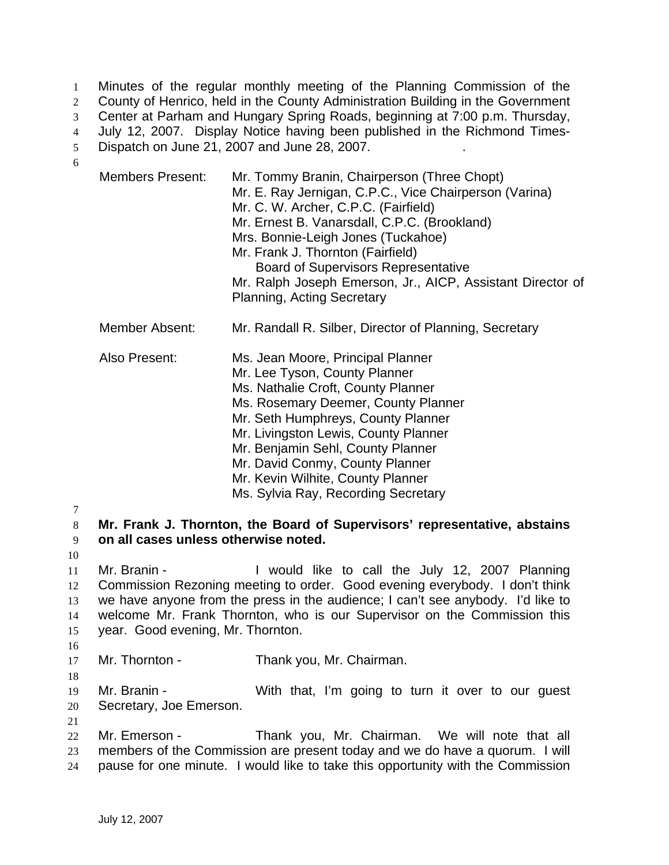Minutes of the regular monthly meeting of the Planning Commission of the 2 County of Henrico, held in the County Administration Building in the Government Center at Parham and Hungary Spring Roads, beginning at 7:00 p.m. Thursday, July 12, 2007. Display Notice having been published in the Richmond Times-Dispatch on June 21, 2007 and June 28, 2007. . 6

|   | <b>Members Present:</b>                                                   | Mr. Tommy Branin, Chairperson (Three Chopt)<br>Mr. E. Ray Jernigan, C.P.C., Vice Chairperson (Varina)<br>Mr. C. W. Archer, C.P.C. (Fairfield)<br>Mr. Ernest B. Vanarsdall, C.P.C. (Brookland)<br>Mrs. Bonnie-Leigh Jones (Tuckahoe)<br>Mr. Frank J. Thornton (Fairfield)<br><b>Board of Supervisors Representative</b><br>Mr. Ralph Joseph Emerson, Jr., AICP, Assistant Director of<br><b>Planning, Acting Secretary</b> |  |
|---|---------------------------------------------------------------------------|---------------------------------------------------------------------------------------------------------------------------------------------------------------------------------------------------------------------------------------------------------------------------------------------------------------------------------------------------------------------------------------------------------------------------|--|
|   | <b>Member Absent:</b>                                                     | Mr. Randall R. Silber, Director of Planning, Secretary                                                                                                                                                                                                                                                                                                                                                                    |  |
|   | Also Present:                                                             | Ms. Jean Moore, Principal Planner<br>Mr. Lee Tyson, County Planner<br>Ms. Nathalie Croft, County Planner<br>Ms. Rosemary Deemer, County Planner<br>Mr. Seth Humphreys, County Planner<br>Mr. Livingston Lewis, County Planner<br>Mr. Benjamin Sehl, County Planner<br>Mr. David Conmy, County Planner<br>Mr. Kevin Wilhite, County Planner<br>Ms. Sylvia Ray, Recording Secretary                                         |  |
| 8 | Mr. Frank J. Thornton, the Board of Supervisors' representative, abstains |                                                                                                                                                                                                                                                                                                                                                                                                                           |  |

10

16

18

21

7

## 9 **on all cases unless otherwise noted.**

Mr. Branin - I would like to call the July 12, 2007 Planning Commission Rezoning meeting to order. Good evening everybody. I don't think we have anyone from the press in the audience; I can't see anybody. I'd like to welcome Mr. Frank Thornton, who is our Supervisor on the Commission this year. Good evening, Mr. Thornton.

17 Mr. Thornton - Thank you, Mr. Chairman.

19 Mr. Branin - With that, I'm going to turn it over to our guest 20 Secretary, Joe Emerson.

22 Mr. Emerson - Thank you, Mr. Chairman. We will note that all 23 members of the Commission are present today and we do have a quorum. I will 24 pause for one minute. I would like to take this opportunity with the Commission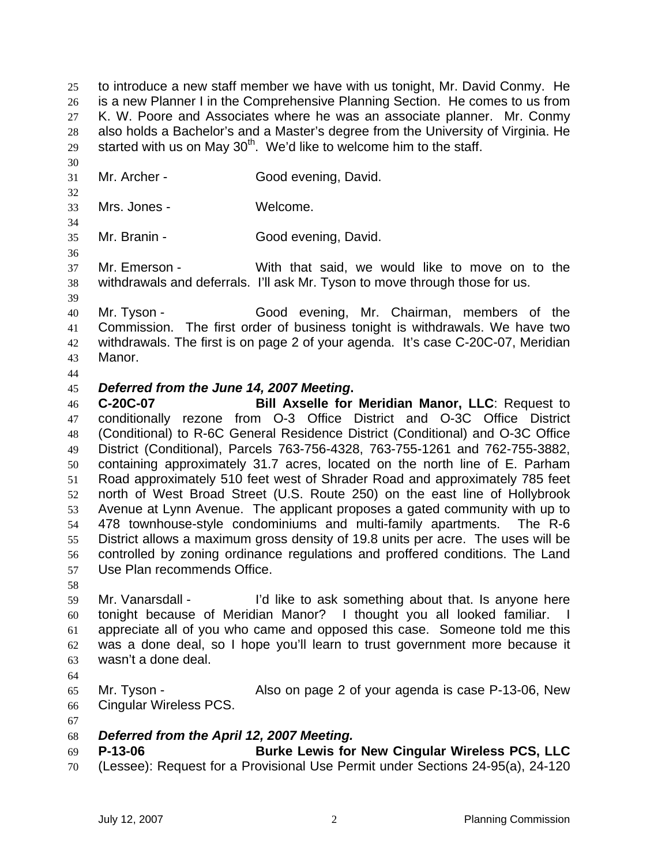to introduce a new staff member we have with us tonight, Mr. David Conmy. He is a new Planner I in the Comprehensive Planning Section. He comes to us from K. W. Poore and Associates where he was an associate planner. Mr. Conmy also holds a Bachelor's and a Master's degree from the University of Virginia. He 29 started with us on May  $30<sup>th</sup>$ . We'd like to welcome him to the staff.

- 
- Mr. Archer Good evening, David.
- Mrs. Jones Welcome.
- Mr. Branin Good evening, David.
- 

Mr. Emerson - With that said, we would like to move on to the withdrawals and deferrals. I'll ask Mr. Tyson to move through those for us.

- Mr. Tyson Good evening, Mr. Chairman, members of the Commission. The first order of business tonight is withdrawals. We have two withdrawals. The first is on page 2 of your agenda. It's case C-20C-07, Meridian Manor.
- 

## *Deferred from the June 14, 2007 Meeting***.**

**C-20C-07 Bill Axselle for Meridian Manor, LLC**: Request to conditionally rezone from O-3 Office District and O-3C Office District (Conditional) to R-6C General Residence District (Conditional) and O-3C Office District (Conditional), Parcels 763-756-4328, 763-755-1261 and 762-755-3882, containing approximately 31.7 acres, located on the north line of E. Parham Road approximately 510 feet west of Shrader Road and approximately 785 feet north of West Broad Street (U.S. Route 250) on the east line of Hollybrook Avenue at Lynn Avenue. The applicant proposes a gated community with up to 478 townhouse-style condominiums and multi-family apartments. The R-6 District allows a maximum gross density of 19.8 units per acre. The uses will be controlled by zoning ordinance regulations and proffered conditions. The Land Use Plan recommends Office.

Mr. Vanarsdall - I'd like to ask something about that. Is anyone here tonight because of Meridian Manor? I thought you all looked familiar. I appreciate all of you who came and opposed this case. Someone told me this was a done deal, so I hope you'll learn to trust government more because it wasn't a done deal.

Mr. Tyson - Also on page 2 of your agenda is case P-13-06, New Cingular Wireless PCS.

- *Deferred from the April 12, 2007 Meeting.*
- **P-13-06 Burke Lewis for New Cingular Wireless PCS, LLC**
- (Lessee): Request for a Provisional Use Permit under Sections 24-95(a), 24-120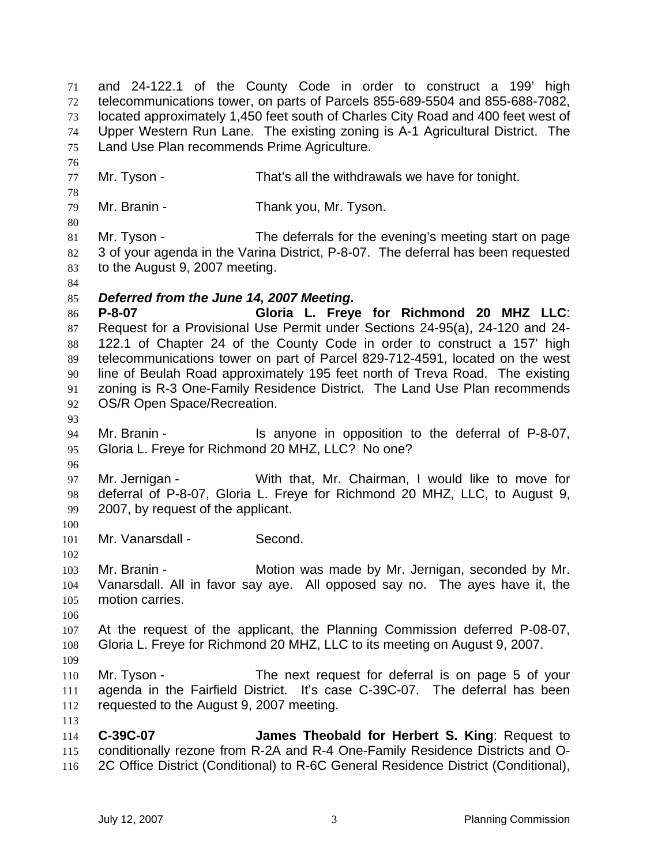and 24-122.1 of the County Code in order to construct a 199' high telecommunications tower, on parts of Parcels 855-689-5504 and 855-688-7082, located approximately 1,450 feet south of Charles City Road and 400 feet west of Upper Western Run Lane. The existing zoning is A-1 Agricultural District. The Land Use Plan recommends Prime Agriculture. Mr. Tyson - That's all the withdrawals we have for tonight. Mr. Branin - Thank you, Mr. Tyson. Mr. Tyson - The deferrals for the evening's meeting start on page 82 3 of your agenda in the Varina District, P-8-07. The deferral has been requested to the August 9, 2007 meeting. *Deferred from the June 14, 2007 Meeting***. P-8-07 Gloria L. Freye for Richmond 20 MHZ LLC**: Request for a Provisional Use Permit under Sections 24-95(a), 24-120 and 24- 122.1 of Chapter 24 of the County Code in order to construct a 157' high telecommunications tower on part of Parcel 829-712-4591, located on the west line of Beulah Road approximately 195 feet north of Treva Road. The existing zoning is R-3 One-Family Residence District. The Land Use Plan recommends OS/R Open Space/Recreation. Mr. Branin - Is anyone in opposition to the deferral of P-8-07, Gloria L. Freye for Richmond 20 MHZ, LLC? No one? Mr. Jernigan - With that, Mr. Chairman, I would like to move for deferral of P-8-07, Gloria L. Freye for Richmond 20 MHZ, LLC, to August 9, 2007, by request of the applicant. Mr. Vanarsdall - Second. Mr. Branin - Motion was made by Mr. Jernigan, seconded by Mr. Vanarsdall. All in favor say aye. All opposed say no. The ayes have it, the motion carries. At the request of the applicant, the Planning Commission deferred P-08-07, Gloria L. Freye for Richmond 20 MHZ, LLC to its meeting on August 9, 2007. Mr. Tyson - The next request for deferral is on page 5 of your agenda in the Fairfield District. It's case C-39C-07. The deferral has been requested to the August 9, 2007 meeting. **C-39C-07 James Theobald for Herbert S. King**: Request to conditionally rezone from R-2A and R-4 One-Family Residence Districts and O-2C Office District (Conditional) to R-6C General Residence District (Conditional),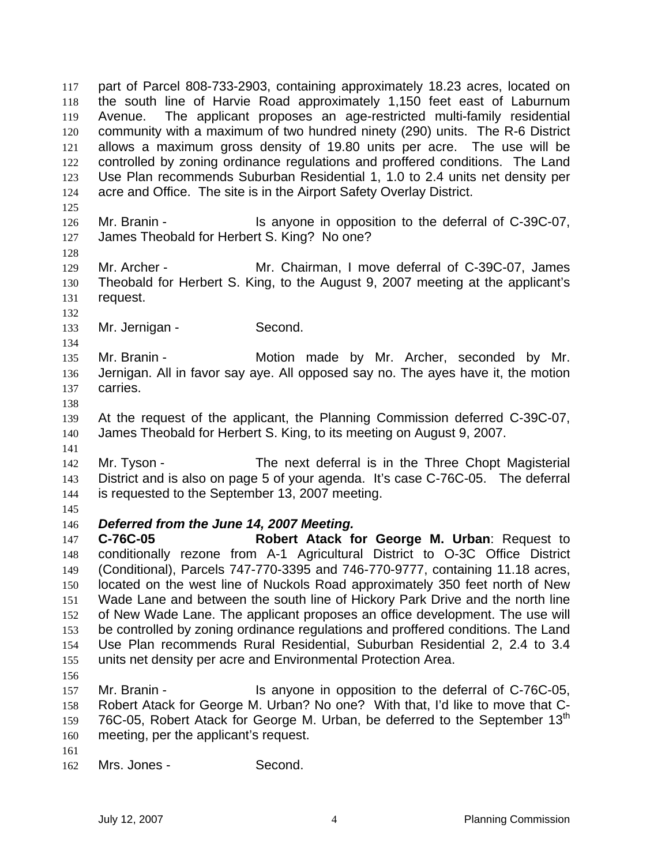part of Parcel 808-733-2903, containing approximately 18.23 acres, located on the south line of Harvie Road approximately 1,150 feet east of Laburnum Avenue. The applicant proposes an age-restricted multi-family residential community with a maximum of two hundred ninety (290) units. The R-6 District allows a maximum gross density of 19.80 units per acre. The use will be 122 controlled by zoning ordinance regulations and proffered conditions. The Land Use Plan recommends Suburban Residential 1, 1.0 to 2.4 units net density per acre and Office. The site is in the Airport Safety Overlay District. 126 Mr. Branin - Is anyone in opposition to the deferral of C-39C-07, 127 James Theobald for Herbert S. King? No one? Mr. Archer - Mr. Chairman, I move deferral of C-39C-07, James Theobald for Herbert S. King, to the August 9, 2007 meeting at the applicant's request. 133 Mr. Jernigan - Second. Mr. Branin - Motion made by Mr. Archer, seconded by Mr. Jernigan. All in favor say aye. All opposed say no. The ayes have it, the motion carries. At the request of the applicant, the Planning Commission deferred C-39C-07, James Theobald for Herbert S. King, to its meeting on August 9, 2007. Mr. Tyson - The next deferral is in the Three Chopt Magisterial District and is also on page 5 of your agenda. It's case C-76C-05. The deferral is requested to the September 13, 2007 meeting. *Deferred from the June 14, 2007 Meeting.*  **C-76C-05 Robert Atack for George M. Urban**: Request to conditionally rezone from A-1 Agricultural District to O-3C Office District (Conditional), Parcels 747-770-3395 and 746-770-9777, containing 11.18 acres, located on the west line of Nuckols Road approximately 350 feet north of New Wade Lane and between the south line of Hickory Park Drive and the north line of New Wade Lane. The applicant proposes an office development. The use will be controlled by zoning ordinance regulations and proffered conditions. The Land Use Plan recommends Rural Residential, Suburban Residential 2, 2.4 to 3.4 units net density per acre and Environmental Protection Area. 157 Mr. Branin - Is anyone in opposition to the deferral of C-76C-05, Robert Atack for George M. Urban? No one? With that, I'd like to move that C-159 76C-05, Robert Atack for George M. Urban, be deferred to the September  $13<sup>th</sup>$ meeting, per the applicant's request. Mrs. Jones - Second.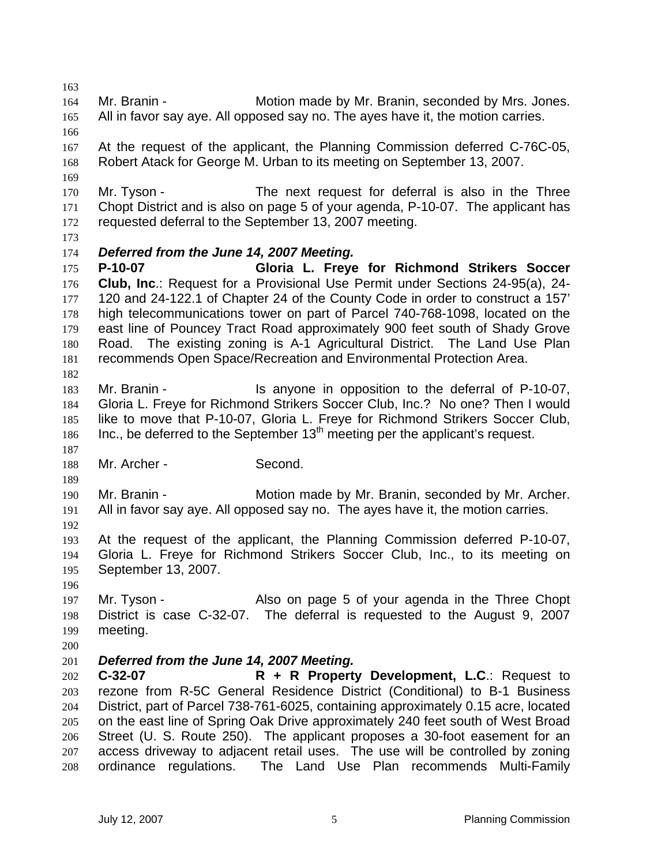Mr. Branin - Motion made by Mr. Branin, seconded by Mrs. Jones. All in favor say aye. All opposed say no. The ayes have it, the motion carries. At the request of the applicant, the Planning Commission deferred C-76C-05, Robert Atack for George M. Urban to its meeting on September 13, 2007. 170 Mr. Tyson - The next request for deferral is also in the Three Chopt District and is also on page 5 of your agenda, P-10-07. The applicant has requested deferral to the September 13, 2007 meeting. *Deferred from the June 14, 2007 Meeting.*  **P-10-07 Gloria L. Freye for Richmond Strikers Soccer Club, Inc**.: Request for a Provisional Use Permit under Sections 24-95(a), 24- 120 and 24-122.1 of Chapter 24 of the County Code in order to construct a 157' high telecommunications tower on part of Parcel 740-768-1098, located on the east line of Pouncey Tract Road approximately 900 feet south of Shady Grove Road. The existing zoning is A-1 Agricultural District. The Land Use Plan recommends Open Space/Recreation and Environmental Protection Area. Mr. Branin - Is anyone in opposition to the deferral of P-10-07, Gloria L. Freye for Richmond Strikers Soccer Club, Inc.? No one? Then I would like to move that P-10-07, Gloria L. Freye for Richmond Strikers Soccer Club, 186 Inc., be deferred to the September  $13<sup>th</sup>$  meeting per the applicant's request. 188 Mr. Archer - Second. Mr. Branin - Motion made by Mr. Branin, seconded by Mr. Archer. All in favor say aye. All opposed say no. The ayes have it, the motion carries. At the request of the applicant, the Planning Commission deferred P-10-07, Gloria L. Freye for Richmond Strikers Soccer Club, Inc., to its meeting on September 13, 2007. Mr. Tyson - Also on page 5 of your agenda in the Three Chopt District is case C-32-07. The deferral is requested to the August 9, 2007 meeting. *Deferred from the June 14, 2007 Meeting.*  **C-32-07 R + R Property Development, L.C**.: Request to rezone from R-5C General Residence District (Conditional) to B-1 Business District, part of Parcel 738-761-6025, containing approximately 0.15 acre, located on the east line of Spring Oak Drive approximately 240 feet south of West Broad Street (U. S. Route 250). The applicant proposes a 30-foot easement for an access driveway to adjacent retail uses. The use will be controlled by zoning ordinance regulations. The Land Use Plan recommends Multi-Family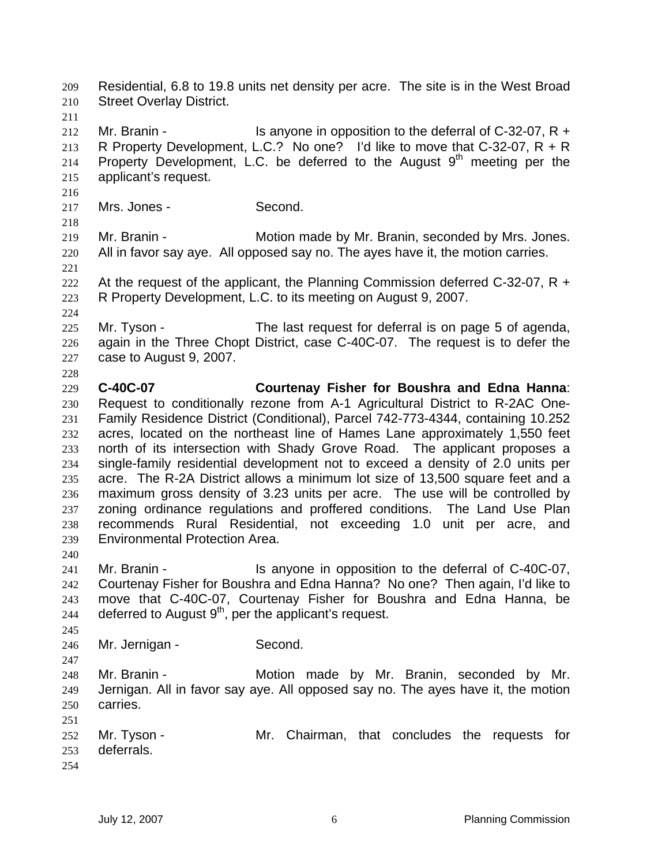Residential, 6.8 to 19.8 units net density per acre. The site is in the West Broad Street Overlay District. 212 Mr. Branin - Is anyone in opposition to the deferral of C-32-07, R + 213 R Property Development, L.C.? No one? I'd like to move that C-32-07,  $R + R$ 214 Property Development, L.C. be deferred to the August  $9<sup>th</sup>$  meeting per the applicant's request. 217 Mrs. Jones - Second. Mr. Branin - Motion made by Mr. Branin, seconded by Mrs. Jones. All in favor say aye. All opposed say no. The ayes have it, the motion carries. 222 At the request of the applicant, the Planning Commission deferred C-32-07, R  $+$ R Property Development, L.C. to its meeting on August 9, 2007. Mr. Tyson - The last request for deferral is on page 5 of agenda, again in the Three Chopt District, case C-40C-07. The request is to defer the case to August 9, 2007. **C-40C-07 Courtenay Fisher for Boushra and Edna Hanna**: Request to conditionally rezone from A-1 Agricultural District to R-2AC One-Family Residence District (Conditional), Parcel 742-773-4344, containing 10.252 acres, located on the northeast line of Hames Lane approximately 1,550 feet north of its intersection with Shady Grove Road. The applicant proposes a single-family residential development not to exceed a density of 2.0 units per acre. The R-2A District allows a minimum lot size of 13,500 square feet and a maximum gross density of 3.23 units per acre. The use will be controlled by zoning ordinance regulations and proffered conditions. The Land Use Plan recommends Rural Residential, not exceeding 1.0 unit per acre, and Environmental Protection Area. 241 Mr. Branin - Is anyone in opposition to the deferral of C-40C-07, Courtenay Fisher for Boushra and Edna Hanna? No one? Then again, I'd like to move that C-40C-07, Courtenay Fisher for Boushra and Edna Hanna, be 244 deferred to August  $9<sup>th</sup>$ , per the applicant's request. Mr. Jernigan - Second. Mr. Branin - Motion made by Mr. Branin, seconded by Mr. Jernigan. All in favor say aye. All opposed say no. The ayes have it, the motion carries. 252 Mr. Tyson - Mr. Chairman, that concludes the requests for deferrals.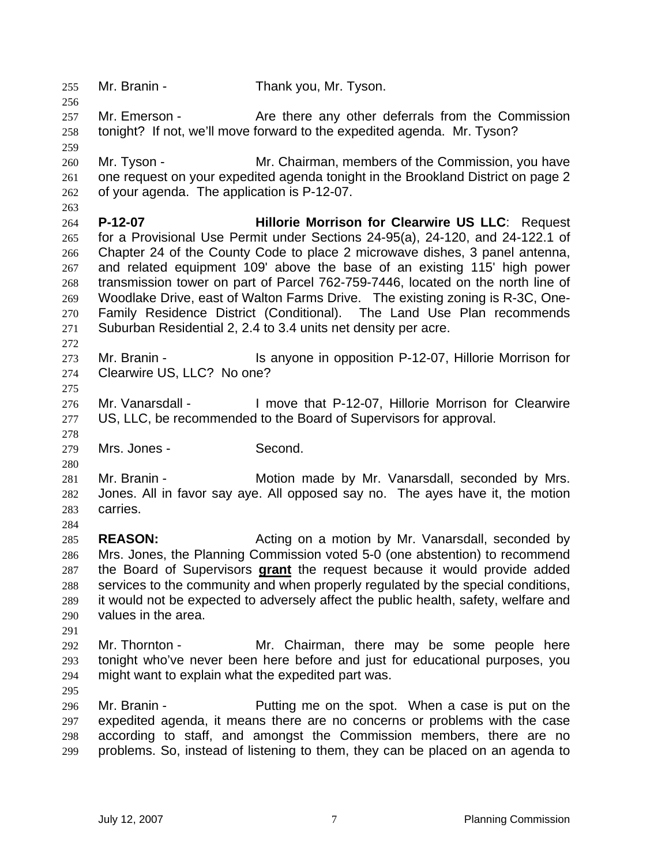Mr. Branin - Thank you, Mr. Tyson. 257 Mr. Emerson - Are there any other deferrals from the Commission tonight? If not, we'll move forward to the expedited agenda. Mr. Tyson? Mr. Tyson - Mr. Chairman, members of the Commission, you have one request on your expedited agenda tonight in the Brookland District on page 2 of your agenda. The application is P-12-07. **P-12-07 Hillorie Morrison for Clearwire US LLC**: Request for a Provisional Use Permit under Sections 24-95(a), 24-120, and 24-122.1 of Chapter 24 of the County Code to place 2 microwave dishes, 3 panel antenna, and related equipment 109' above the base of an existing 115' high power transmission tower on part of Parcel 762-759-7446, located on the north line of Woodlake Drive, east of Walton Farms Drive. The existing zoning is R-3C, One-Family Residence District (Conditional). The Land Use Plan recommends Suburban Residential 2, 2.4 to 3.4 units net density per acre. 273 Mr. Branin - Is anyone in opposition P-12-07, Hillorie Morrison for Clearwire US, LLC? No one? Mr. Vanarsdall - I move that P-12-07, Hillorie Morrison for Clearwire US, LLC, be recommended to the Board of Supervisors for approval. Mrs. Jones - Second. Mr. Branin - Motion made by Mr. Vanarsdall, seconded by Mrs. Jones. All in favor say aye. All opposed say no. The ayes have it, the motion carries. **REASON:** Acting on a motion by Mr. Vanarsdall, seconded by Mrs. Jones, the Planning Commission voted 5-0 (one abstention) to recommend the Board of Supervisors **grant** the request because it would provide added services to the community and when properly regulated by the special conditions, it would not be expected to adversely affect the public health, safety, welfare and values in the area. Mr. Thornton - Mr. Chairman, there may be some people here tonight who've never been here before and just for educational purposes, you might want to explain what the expedited part was. Mr. Branin - Putting me on the spot. When a case is put on the expedited agenda, it means there are no concerns or problems with the case according to staff, and amongst the Commission members, there are no problems. So, instead of listening to them, they can be placed on an agenda to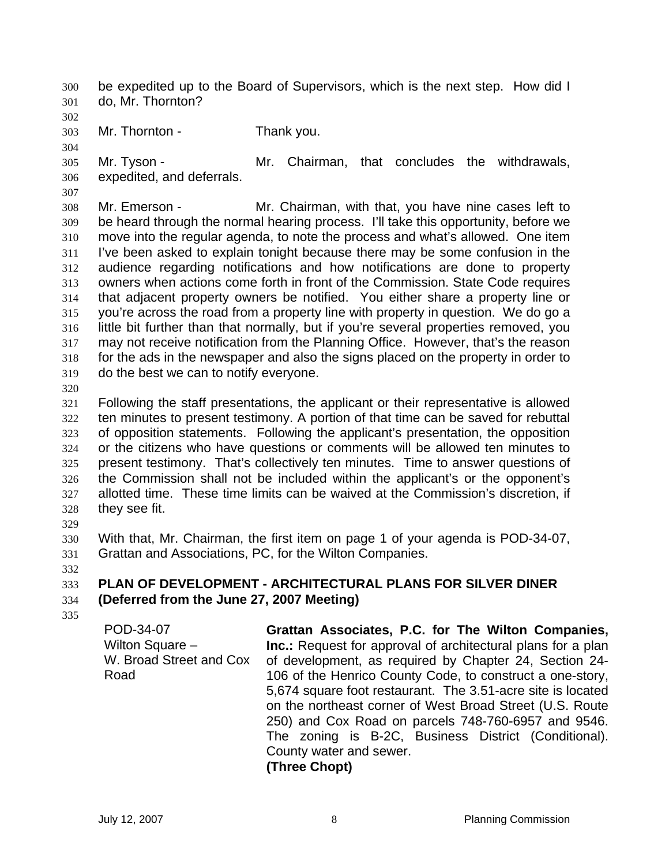be expedited up to the Board of Supervisors, which is the next step. How did I do, Mr. Thornton?

- 
- Mr. Thornton Thank you.

Mr. Tyson - Mr. Chairman, that concludes the withdrawals, expedited, and deferrals.

Mr. Emerson - Mr. Chairman, with that, you have nine cases left to be heard through the normal hearing process. I'll take this opportunity, before we move into the regular agenda, to note the process and what's allowed. One item I've been asked to explain tonight because there may be some confusion in the audience regarding notifications and how notifications are done to property owners when actions come forth in front of the Commission. State Code requires that adjacent property owners be notified. You either share a property line or you're across the road from a property line with property in question. We do go a little bit further than that normally, but if you're several properties removed, you may not receive notification from the Planning Office. However, that's the reason for the ads in the newspaper and also the signs placed on the property in order to do the best we can to notify everyone.

Following the staff presentations, the applicant or their representative is allowed ten minutes to present testimony. A portion of that time can be saved for rebuttal of opposition statements. Following the applicant's presentation, the opposition or the citizens who have questions or comments will be allowed ten minutes to present testimony. That's collectively ten minutes. Time to answer questions of the Commission shall not be included within the applicant's or the opponent's allotted time. These time limits can be waived at the Commission's discretion, if they see fit.

With that, Mr. Chairman, the first item on page 1 of your agenda is POD-34-07, Grattan and Associations, PC, for the Wilton Companies.

## **PLAN OF DEVELOPMENT - ARCHITECTURAL PLANS FOR SILVER DINER (Deferred from the June 27, 2007 Meeting)**

POD-34-07 Wilton Square – W. Broad Street and Cox Road

**Grattan Associates, P.C. for The Wilton Companies, Inc.:** Request for approval of architectural plans for a plan of development, as required by Chapter 24, Section 24- 106 of the Henrico County Code, to construct a one-story, 5,674 square foot restaurant. The 3.51-acre site is located on the northeast corner of West Broad Street (U.S. Route 250) and Cox Road on parcels 748-760-6957 and 9546. The zoning is B-2C, Business District (Conditional). County water and sewer.

**(Three Chopt)**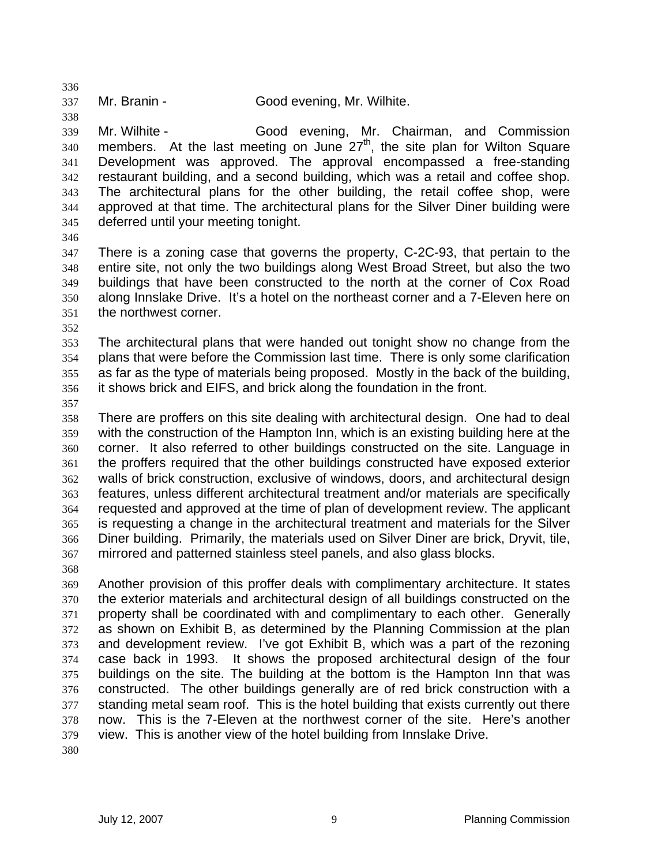Mr. Branin - Good evening, Mr. Wilhite.

Mr. Wilhite - Good evening, Mr. Chairman, and Commission members. At the last meeting on June  $27<sup>th</sup>$ , the site plan for Wilton Square Development was approved. The approval encompassed a free-standing restaurant building, and a second building, which was a retail and coffee shop. The architectural plans for the other building, the retail coffee shop, were approved at that time. The architectural plans for the Silver Diner building were deferred until your meeting tonight.

There is a zoning case that governs the property, C-2C-93, that pertain to the entire site, not only the two buildings along West Broad Street, but also the two buildings that have been constructed to the north at the corner of Cox Road along Innslake Drive. It's a hotel on the northeast corner and a 7-Eleven here on the northwest corner.

The architectural plans that were handed out tonight show no change from the plans that were before the Commission last time. There is only some clarification as far as the type of materials being proposed. Mostly in the back of the building, it shows brick and EIFS, and brick along the foundation in the front.

There are proffers on this site dealing with architectural design. One had to deal with the construction of the Hampton Inn, which is an existing building here at the corner. It also referred to other buildings constructed on the site. Language in the proffers required that the other buildings constructed have exposed exterior walls of brick construction, exclusive of windows, doors, and architectural design features, unless different architectural treatment and/or materials are specifically requested and approved at the time of plan of development review. The applicant is requesting a change in the architectural treatment and materials for the Silver Diner building. Primarily, the materials used on Silver Diner are brick, Dryvit, tile, mirrored and patterned stainless steel panels, and also glass blocks.

Another provision of this proffer deals with complimentary architecture. It states the exterior materials and architectural design of all buildings constructed on the property shall be coordinated with and complimentary to each other. Generally as shown on Exhibit B, as determined by the Planning Commission at the plan and development review. I've got Exhibit B, which was a part of the rezoning case back in 1993. It shows the proposed architectural design of the four buildings on the site. The building at the bottom is the Hampton Inn that was constructed. The other buildings generally are of red brick construction with a standing metal seam roof. This is the hotel building that exists currently out there now. This is the 7-Eleven at the northwest corner of the site. Here's another view. This is another view of the hotel building from Innslake Drive.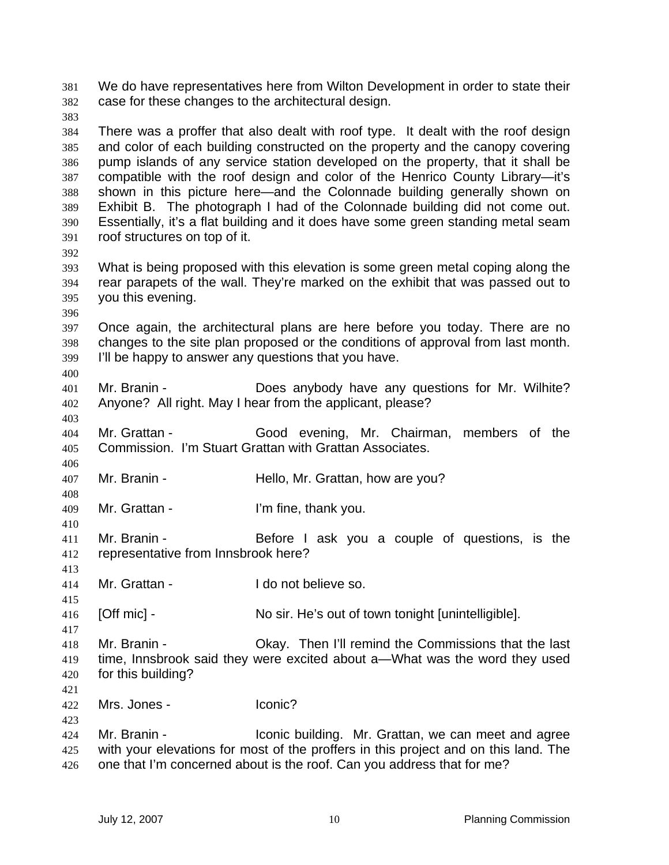We do have representatives here from Wilton Development in order to state their case for these changes to the architectural design. There was a proffer that also dealt with roof type. It dealt with the roof design and color of each building constructed on the property and the canopy covering pump islands of any service station developed on the property, that it shall be compatible with the roof design and color of the Henrico County Library—it's shown in this picture here—and the Colonnade building generally shown on Exhibit B. The photograph I had of the Colonnade building did not come out. Essentially, it's a flat building and it does have some green standing metal seam roof structures on top of it. What is being proposed with this elevation is some green metal coping along the rear parapets of the wall. They're marked on the exhibit that was passed out to you this evening. Once again, the architectural plans are here before you today. There are no changes to the site plan proposed or the conditions of approval from last month. I'll be happy to answer any questions that you have. Mr. Branin - Does anybody have any questions for Mr. Wilhite? Anyone? All right. May I hear from the applicant, please? Mr. Grattan - Good evening, Mr. Chairman, members of the Commission. I'm Stuart Grattan with Grattan Associates. Mr. Branin - Hello, Mr. Grattan, how are you? Mr. Grattan - I'm fine, thank you. Mr. Branin - Before I ask you a couple of questions, is the representative from Innsbrook here? Mr. Grattan - I do not believe so. [Off mic] - No sir. He's out of town tonight [unintelligible]. Mr. Branin - Okay. Then I'll remind the Commissions that the last time, Innsbrook said they were excited about a—What was the word they used for this building? Mrs. Jones - Iconic? Mr. Branin - Iconic building. Mr. Grattan, we can meet and agree with your elevations for most of the proffers in this project and on this land. The 426 one that I'm concerned about is the roof. Can you address that for me?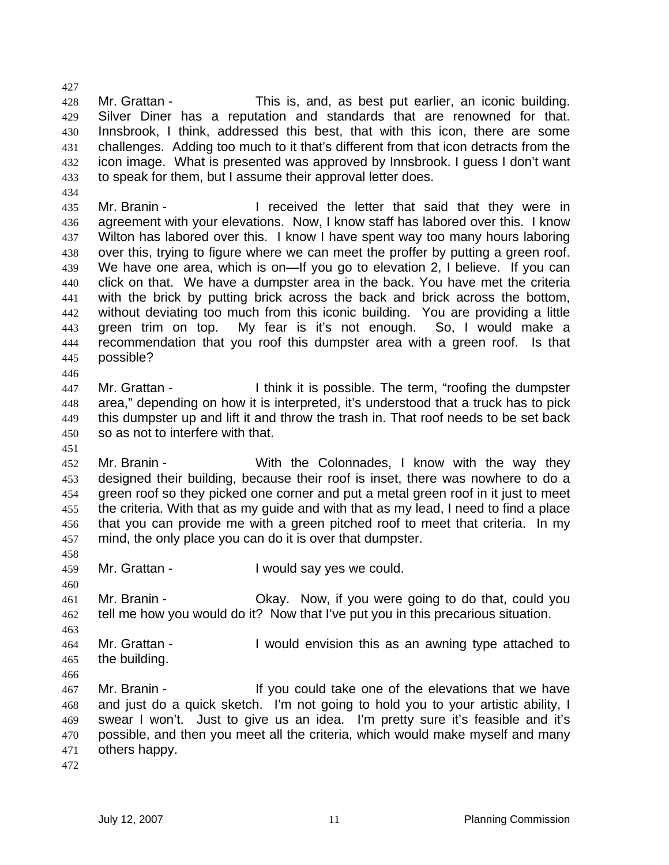Mr. Grattan - This is, and, as best put earlier, an iconic building. Silver Diner has a reputation and standards that are renowned for that. Innsbrook, I think, addressed this best, that with this icon, there are some challenges. Adding too much to it that's different from that icon detracts from the icon image. What is presented was approved by Innsbrook. I guess I don't want to speak for them, but I assume their approval letter does.

Mr. Branin - I received the letter that said that they were in agreement with your elevations. Now, I know staff has labored over this. I know Wilton has labored over this. I know I have spent way too many hours laboring over this, trying to figure where we can meet the proffer by putting a green roof. We have one area, which is on—If you go to elevation 2, I believe. If you can click on that. We have a dumpster area in the back. You have met the criteria with the brick by putting brick across the back and brick across the bottom, without deviating too much from this iconic building. You are providing a little green trim on top. My fear is it's not enough. So, I would make a recommendation that you roof this dumpster area with a green roof. Is that possible?

Mr. Grattan - I think it is possible. The term, "roofing the dumpster area," depending on how it is interpreted, it's understood that a truck has to pick this dumpster up and lift it and throw the trash in. That roof needs to be set back so as not to interfere with that.

- Mr. Branin With the Colonnades, I know with the way they designed their building, because their roof is inset, there was nowhere to do a green roof so they picked one corner and put a metal green roof in it just to meet the criteria. With that as my guide and with that as my lead, I need to find a place that you can provide me with a green pitched roof to meet that criteria. In my mind, the only place you can do it is over that dumpster.
- 

Mr. Grattan - I would say yes we could.

Mr. Branin - Okay. Now, if you were going to do that, could you tell me how you would do it? Now that I've put you in this precarious situation.

- Mr. Grattan I would envision this as an awning type attached to the building.
- 

Mr. Branin - If you could take one of the elevations that we have and just do a quick sketch. I'm not going to hold you to your artistic ability, I swear I won't. Just to give us an idea. I'm pretty sure it's feasible and it's possible, and then you meet all the criteria, which would make myself and many others happy.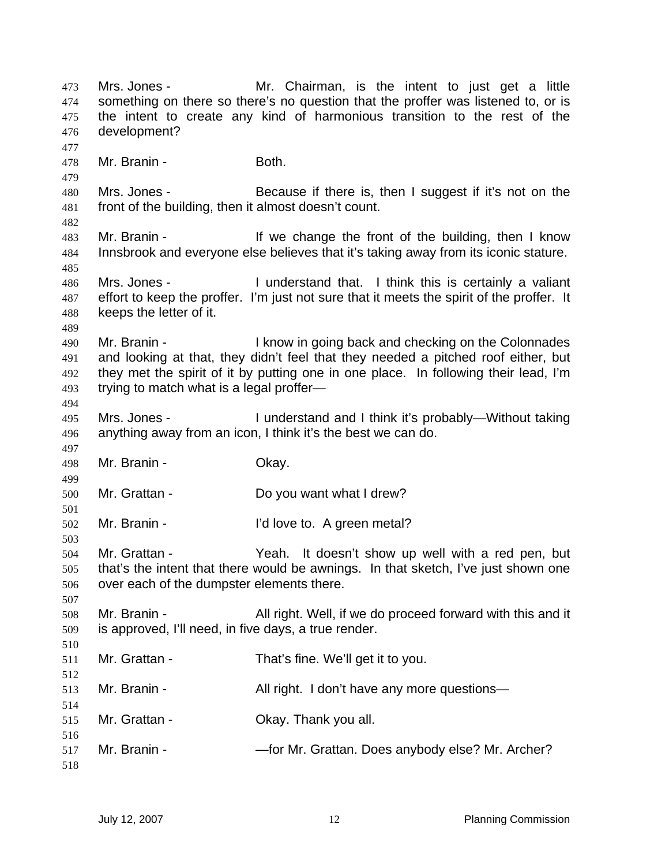Mrs. Jones - Mr. Chairman, is the intent to just get a little something on there so there's no question that the proffer was listened to, or is the intent to create any kind of harmonious transition to the rest of the development? Mr. Branin - Both. Mrs. Jones - Because if there is, then I suggest if it's not on the front of the building, then it almost doesn't count. Mr. Branin - If we change the front of the building, then I know Innsbrook and everyone else believes that it's taking away from its iconic stature. Mrs. Jones - I understand that. I think this is certainly a valiant effort to keep the proffer. I'm just not sure that it meets the spirit of the proffer. It keeps the letter of it. Mr. Branin - I know in going back and checking on the Colonnades and looking at that, they didn't feel that they needed a pitched roof either, but they met the spirit of it by putting one in one place. In following their lead, I'm trying to match what is a legal proffer— Mrs. Jones - I understand and I think it's probably—Without taking anything away from an icon, I think it's the best we can do. Mr. Branin - Okay. Mr. Grattan - Do you want what I drew? Mr. Branin - I'd love to. A green metal? Mr. Grattan - Yeah. It doesn't show up well with a red pen, but that's the intent that there would be awnings. In that sketch, I've just shown one over each of the dumpster elements there. Mr. Branin - All right. Well, if we do proceed forward with this and it is approved, I'll need, in five days, a true render. Mr. Grattan - That's fine. We'll get it to you. Mr. Branin - All right. I don't have any more questions— Mr. Grattan - Okay. Thank you all. 517 Mr. Branin - — — — for Mr. Grattan. Does anybody else? Mr. Archer?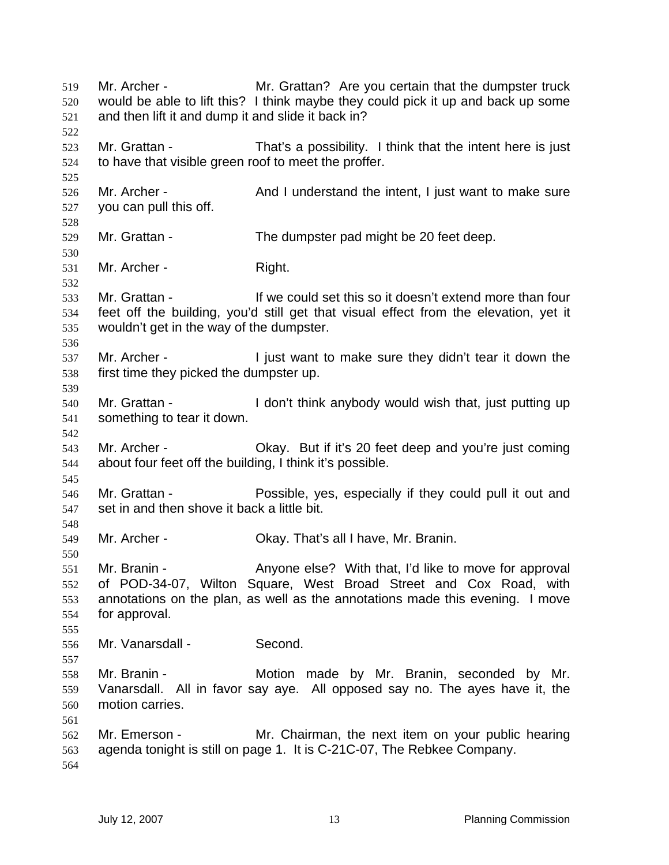Mr. Archer - Mr. Grattan? Are you certain that the dumpster truck would be able to lift this? I think maybe they could pick it up and back up some and then lift it and dump it and slide it back in? Mr. Grattan - That's a possibility. I think that the intent here is just to have that visible green roof to meet the proffer. 526 Mr. Archer - And I understand the intent, I just want to make sure you can pull this off. Mr. Grattan - The dumpster pad might be 20 feet deep. Mr. Archer - Right. Mr. Grattan - If we could set this so it doesn't extend more than four feet off the building, you'd still get that visual effect from the elevation, yet it wouldn't get in the way of the dumpster. 537 Mr. Archer - I just want to make sure they didn't tear it down the first time they picked the dumpster up. Mr. Grattan - I don't think anybody would wish that, just putting up something to tear it down. Mr. Archer - Okay. But if it's 20 feet deep and you're just coming about four feet off the building, I think it's possible. Mr. Grattan - Possible, yes, especially if they could pull it out and set in and then shove it back a little bit. Mr. Archer - Okay. That's all I have, Mr. Branin. Mr. Branin - Anyone else? With that, I'd like to move for approval of POD-34-07, Wilton Square, West Broad Street and Cox Road, with annotations on the plan, as well as the annotations made this evening. I move for approval. Mr. Vanarsdall - Second. Mr. Branin - Motion made by Mr. Branin, seconded by Mr. Vanarsdall. All in favor say aye. All opposed say no. The ayes have it, the motion carries. Mr. Emerson - Mr. Chairman, the next item on your public hearing agenda tonight is still on page 1. It is C-21C-07, The Rebkee Company.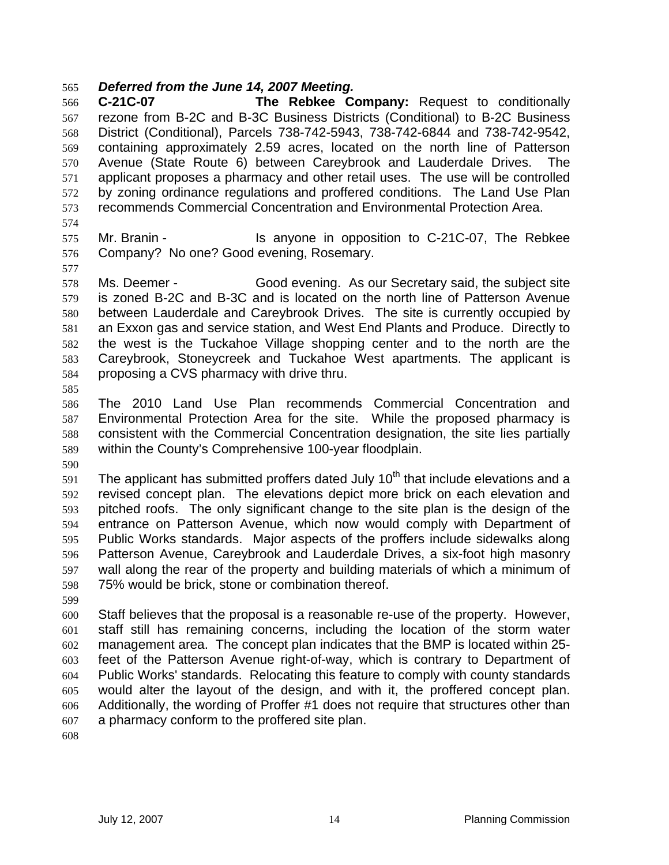## *Deferred from the June 14, 2007 Meeting.*

**C-21C-07 The Rebkee Company:** Request to conditionally rezone from B-2C and B-3C Business Districts (Conditional) to B-2C Business District (Conditional), Parcels 738-742-5943, 738-742-6844 and 738-742-9542, containing approximately 2.59 acres, located on the north line of Patterson Avenue (State Route 6) between Careybrook and Lauderdale Drives. The applicant proposes a pharmacy and other retail uses. The use will be controlled by zoning ordinance regulations and proffered conditions. The Land Use Plan recommends Commercial Concentration and Environmental Protection Area.

- Mr. Branin Is anyone in opposition to C-21C-07, The Rebkee Company? No one? Good evening, Rosemary.
- Ms. Deemer Good evening. As our Secretary said, the subject site is zoned B-2C and B-3C and is located on the north line of Patterson Avenue between Lauderdale and Careybrook Drives. The site is currently occupied by an Exxon gas and service station, and West End Plants and Produce. Directly to the west is the Tuckahoe Village shopping center and to the north are the Careybrook, Stoneycreek and Tuckahoe West apartments. The applicant is proposing a CVS pharmacy with drive thru.
- 
- The 2010 Land Use Plan recommends Commercial Concentration and Environmental Protection Area for the site. While the proposed pharmacy is consistent with the Commercial Concentration designation, the site lies partially within the County's Comprehensive 100-year floodplain.
- 

 The applicant has submitted proffers dated July 10<sup>th</sup> that include elevations and a revised concept plan. The elevations depict more brick on each elevation and pitched roofs. The only significant change to the site plan is the design of the entrance on Patterson Avenue, which now would comply with Department of Public Works standards. Major aspects of the proffers include sidewalks along Patterson Avenue, Careybrook and Lauderdale Drives, a six-foot high masonry wall along the rear of the property and building materials of which a minimum of 75% would be brick, stone or combination thereof.

Staff believes that the proposal is a reasonable re-use of the property. However, staff still has remaining concerns, including the location of the storm water management area. The concept plan indicates that the BMP is located within 25- feet of the Patterson Avenue right-of-way, which is contrary to Department of Public Works' standards. Relocating this feature to comply with county standards would alter the layout of the design, and with it, the proffered concept plan. Additionally, the wording of Proffer #1 does not require that structures other than a pharmacy conform to the proffered site plan.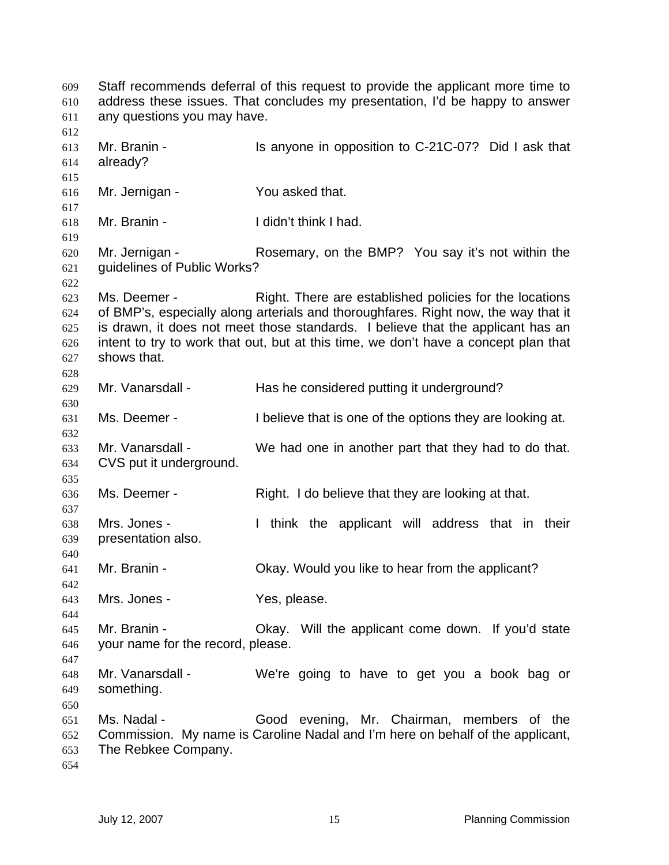Staff recommends deferral of this request to provide the applicant more time to address these issues. That concludes my presentation, I'd be happy to answer any questions you may have. Mr. Branin - Is anyone in opposition to C-21C-07? Did I ask that already? Mr. Jernigan - You asked that. Mr. Branin - I didn't think I had. Mr. Jernigan - Rosemary, on the BMP? You say it's not within the guidelines of Public Works? Ms. Deemer - Right. There are established policies for the locations of BMP's, especially along arterials and thoroughfares. Right now, the way that it is drawn, it does not meet those standards. I believe that the applicant has an intent to try to work that out, but at this time, we don't have a concept plan that shows that. Mr. Vanarsdall - Has he considered putting it underground? Ms. Deemer - I believe that is one of the options they are looking at. Mr. Vanarsdall - We had one in another part that they had to do that. CVS put it underground. Ms. Deemer - Right. I do believe that they are looking at that. Mrs. Jones - I think the applicant will address that in their presentation also. Mr. Branin - Okay. Would you like to hear from the applicant? Mrs. Jones - Yes, please. Mr. Branin - Okay. Will the applicant come down. If you'd state your name for the record, please. Mr. Vanarsdall - We're going to have to get you a book bag or something. Ms. Nadal - Good evening, Mr. Chairman, members of the Commission. My name is Caroline Nadal and I'm here on behalf of the applicant, The Rebkee Company.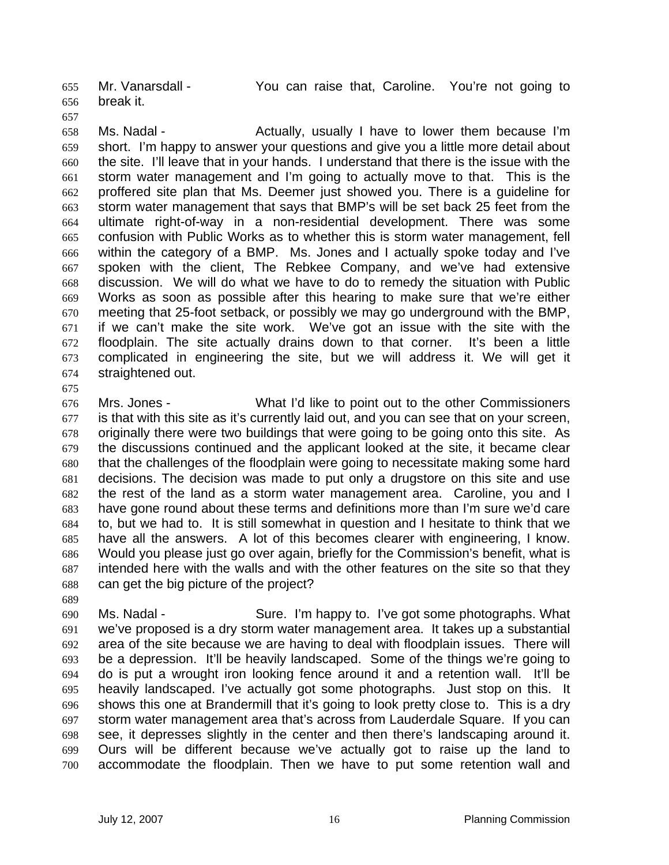Mr. Vanarsdall - You can raise that, Caroline. You're not going to break it.

- -

Ms. Nadal - Actually, usually I have to lower them because I'm short. I'm happy to answer your questions and give you a little more detail about the site. I'll leave that in your hands. I understand that there is the issue with the storm water management and I'm going to actually move to that. This is the proffered site plan that Ms. Deemer just showed you. There is a guideline for storm water management that says that BMP's will be set back 25 feet from the ultimate right-of-way in a non-residential development. There was some confusion with Public Works as to whether this is storm water management, fell within the category of a BMP. Ms. Jones and I actually spoke today and I've spoken with the client, The Rebkee Company, and we've had extensive discussion. We will do what we have to do to remedy the situation with Public Works as soon as possible after this hearing to make sure that we're either meeting that 25-foot setback, or possibly we may go underground with the BMP, if we can't make the site work. We've got an issue with the site with the floodplain. The site actually drains down to that corner. It's been a little complicated in engineering the site, but we will address it. We will get it straightened out.

Mrs. Jones - What I'd like to point out to the other Commissioners is that with this site as it's currently laid out, and you can see that on your screen, originally there were two buildings that were going to be going onto this site. As the discussions continued and the applicant looked at the site, it became clear that the challenges of the floodplain were going to necessitate making some hard decisions. The decision was made to put only a drugstore on this site and use the rest of the land as a storm water management area. Caroline, you and I have gone round about these terms and definitions more than I'm sure we'd care to, but we had to. It is still somewhat in question and I hesitate to think that we have all the answers. A lot of this becomes clearer with engineering, I know. Would you please just go over again, briefly for the Commission's benefit, what is intended here with the walls and with the other features on the site so that they can get the big picture of the project?

Ms. Nadal - Sure. I'm happy to. I've got some photographs. What we've proposed is a dry storm water management area. It takes up a substantial area of the site because we are having to deal with floodplain issues. There will be a depression. It'll be heavily landscaped. Some of the things we're going to do is put a wrought iron looking fence around it and a retention wall. It'll be heavily landscaped. I've actually got some photographs. Just stop on this. It shows this one at Brandermill that it's going to look pretty close to. This is a dry storm water management area that's across from Lauderdale Square. If you can see, it depresses slightly in the center and then there's landscaping around it. Ours will be different because we've actually got to raise up the land to accommodate the floodplain. Then we have to put some retention wall and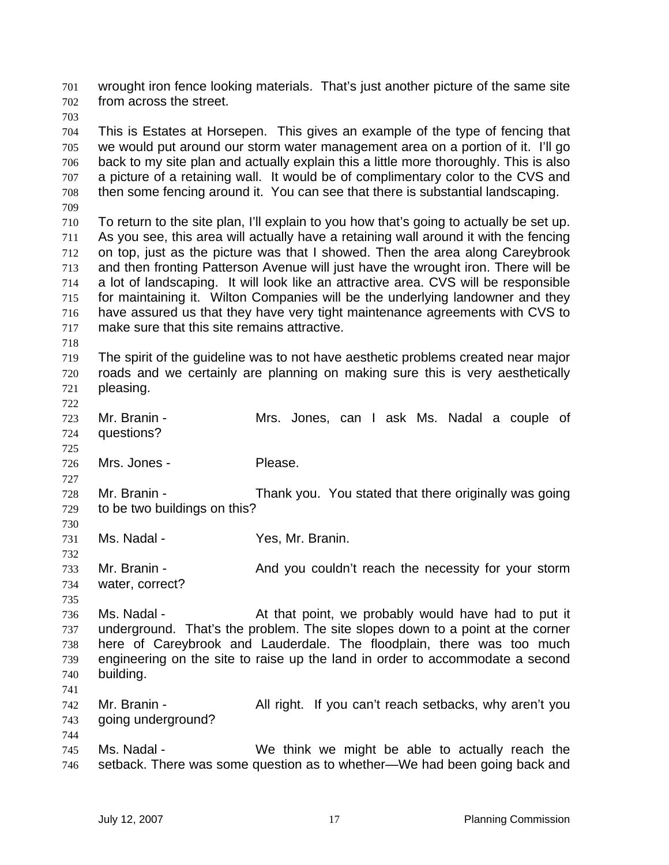wrought iron fence looking materials. That's just another picture of the same site from across the street.

This is Estates at Horsepen. This gives an example of the type of fencing that we would put around our storm water management area on a portion of it. I'll go back to my site plan and actually explain this a little more thoroughly. This is also a picture of a retaining wall. It would be of complimentary color to the CVS and then some fencing around it. You can see that there is substantial landscaping. To return to the site plan, I'll explain to you how that's going to actually be set up. As you see, this area will actually have a retaining wall around it with the fencing

on top, just as the picture was that I showed. Then the area along Careybrook and then fronting Patterson Avenue will just have the wrought iron. There will be a lot of landscaping. It will look like an attractive area. CVS will be responsible for maintaining it. Wilton Companies will be the underlying landowner and they have assured us that they have very tight maintenance agreements with CVS to make sure that this site remains attractive.

The spirit of the guideline was to not have aesthetic problems created near major roads and we certainly are planning on making sure this is very aesthetically pleasing. 

- Mr. Branin Mrs. Jones, can I ask Ms. Nadal a couple of questions?
- Mrs. Jones Please.

Mr. Branin - Thank you. You stated that there originally was going to be two buildings on this? 

Ms. Nadal - Yes, Mr. Branin.

733 Mr. Branin - And you couldn't reach the necessity for your storm water, correct?

736 Ms. Nadal - At that point, we probably would have had to put it underground. That's the problem. The site slopes down to a point at the corner here of Careybrook and Lauderdale. The floodplain, there was too much engineering on the site to raise up the land in order to accommodate a second building. 

Mr. Branin - All right. If you can't reach setbacks, why aren't you going underground?

Ms. Nadal - We think we might be able to actually reach the setback. There was some question as to whether—We had been going back and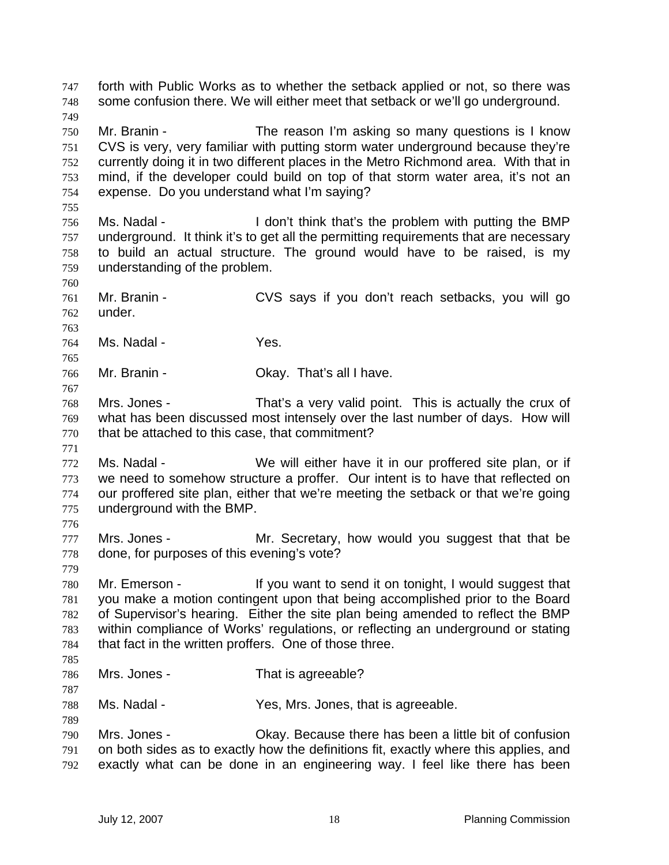forth with Public Works as to whether the setback applied or not, so there was some confusion there. We will either meet that setback or we'll go underground. Mr. Branin - The reason I'm asking so many questions is I know CVS is very, very familiar with putting storm water underground because they're currently doing it in two different places in the Metro Richmond area. With that in mind, if the developer could build on top of that storm water area, it's not an expense. Do you understand what I'm saying? Ms. Nadal - I don't think that's the problem with putting the BMP underground. It think it's to get all the permitting requirements that are necessary to build an actual structure. The ground would have to be raised, is my understanding of the problem. Mr. Branin - CVS says if you don't reach setbacks, you will go under. Ms. Nadal - Yes. Mr. Branin - Okay. That's all I have. Mrs. Jones - That's a very valid point. This is actually the crux of what has been discussed most intensely over the last number of days. How will that be attached to this case, that commitment? Ms. Nadal - We will either have it in our proffered site plan, or if we need to somehow structure a proffer. Our intent is to have that reflected on our proffered site plan, either that we're meeting the setback or that we're going underground with the BMP. 777 Mrs. Jones - Mr. Secretary, how would you suggest that that be done, for purposes of this evening's vote? Mr. Emerson - If you want to send it on tonight, I would suggest that you make a motion contingent upon that being accomplished prior to the Board of Supervisor's hearing. Either the site plan being amended to reflect the BMP within compliance of Works' regulations, or reflecting an underground or stating that fact in the written proffers. One of those three. Mrs. Jones - That is agreeable? Ms. Nadal - Yes, Mrs. Jones, that is agreeable. Mrs. Jones - Okay. Because there has been a little bit of confusion on both sides as to exactly how the definitions fit, exactly where this applies, and exactly what can be done in an engineering way. I feel like there has been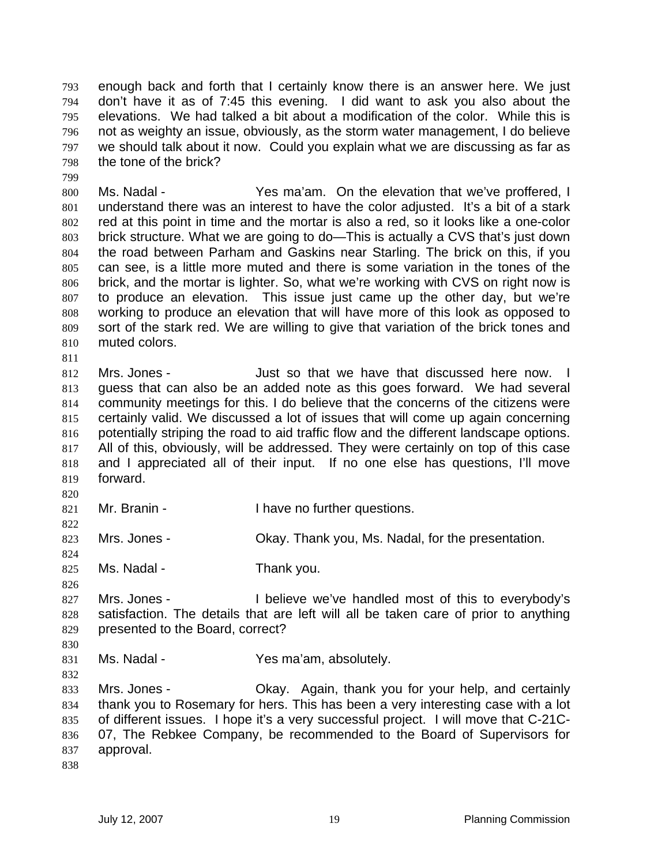enough back and forth that I certainly know there is an answer here. We just don't have it as of 7:45 this evening. I did want to ask you also about the elevations. We had talked a bit about a modification of the color. While this is not as weighty an issue, obviously, as the storm water management, I do believe we should talk about it now. Could you explain what we are discussing as far as the tone of the brick?

800 Ms. Nadal - Yes ma'am. On the elevation that we've proffered, I understand there was an interest to have the color adjusted. It's a bit of a stark red at this point in time and the mortar is also a red, so it looks like a one-color brick structure. What we are going to do—This is actually a CVS that's just down the road between Parham and Gaskins near Starling. The brick on this, if you can see, is a little more muted and there is some variation in the tones of the brick, and the mortar is lighter. So, what we're working with CVS on right now is to produce an elevation. This issue just came up the other day, but we're working to produce an elevation that will have more of this look as opposed to sort of the stark red. We are willing to give that variation of the brick tones and muted colors.

Mrs. Jones - Just so that we have that discussed here now. I guess that can also be an added note as this goes forward. We had several community meetings for this. I do believe that the concerns of the citizens were certainly valid. We discussed a lot of issues that will come up again concerning potentially striping the road to aid traffic flow and the different landscape options. All of this, obviously, will be addressed. They were certainly on top of this case and I appreciated all of their input. If no one else has questions, I'll move forward.

- 821 Mr. Branin **I** have no further questions.
- Mrs. Jones Okay. Thank you, Ms. Nadal, for the presentation.
- 825 Ms. Nadal Thank you.
- Mrs. Jones I believe we've handled most of this to everybody's satisfaction. The details that are left will all be taken care of prior to anything presented to the Board, correct?
- 831 Ms. Nadal Yes ma'am, absolutely.
- 833 Mrs. Jones Ckay. Again, thank you for your help, and certainly thank you to Rosemary for hers. This has been a very interesting case with a lot of different issues. I hope it's a very successful project. I will move that C-21C-07, The Rebkee Company, be recommended to the Board of Supervisors for approval.
-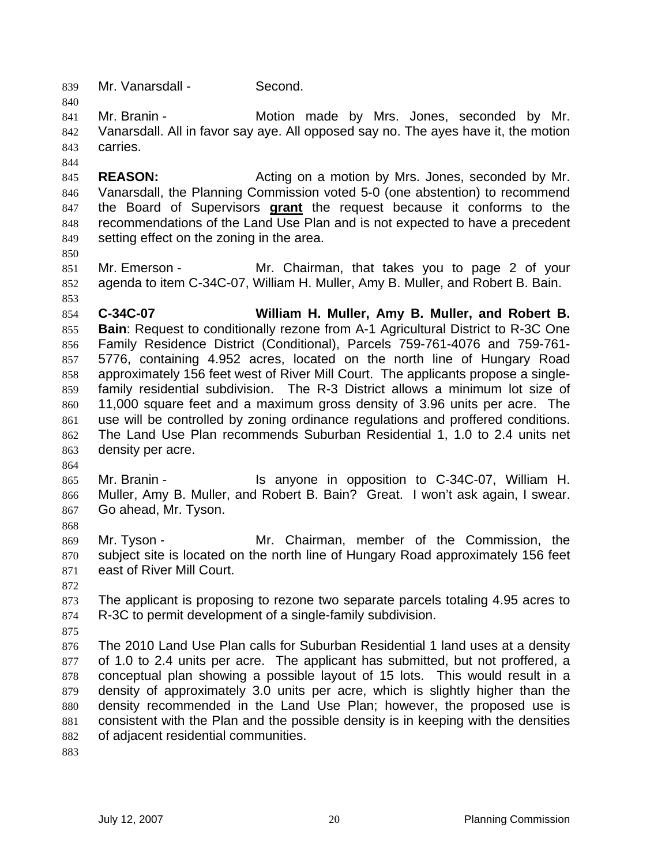Mr. Vanarsdall - Second.

Mr. Branin - Motion made by Mrs. Jones, seconded by Mr. Vanarsdall. All in favor say aye. All opposed say no. The ayes have it, the motion carries.

**REASON:** Acting on a motion by Mrs. Jones, seconded by Mr. Vanarsdall, the Planning Commission voted 5-0 (one abstention) to recommend the Board of Supervisors **grant** the request because it conforms to the recommendations of the Land Use Plan and is not expected to have a precedent setting effect on the zoning in the area.

Mr. Emerson - Mr. Chairman, that takes you to page 2 of your agenda to item C-34C-07, William H. Muller, Amy B. Muller, and Robert B. Bain.

**C-34C-07 William H. Muller, Amy B. Muller, and Robert B. Bain**: Request to conditionally rezone from A-1 Agricultural District to R-3C One Family Residence District (Conditional), Parcels 759-761-4076 and 759-761- 5776, containing 4.952 acres, located on the north line of Hungary Road approximately 156 feet west of River Mill Court. The applicants propose a single-family residential subdivision. The R-3 District allows a minimum lot size of 11,000 square feet and a maximum gross density of 3.96 units per acre. The use will be controlled by zoning ordinance regulations and proffered conditions. The Land Use Plan recommends Suburban Residential 1, 1.0 to 2.4 units net density per acre.

Mr. Branin - Is anyone in opposition to C-34C-07, William H. Muller, Amy B. Muller, and Robert B. Bain? Great. I won't ask again, I swear. Go ahead, Mr. Tyson.

Mr. Tyson - Mr. Chairman, member of the Commission, the subject site is located on the north line of Hungary Road approximately 156 feet east of River Mill Court.

The applicant is proposing to rezone two separate parcels totaling 4.95 acres to R-3C to permit development of a single-family subdivision.

The 2010 Land Use Plan calls for Suburban Residential 1 land uses at a density of 1.0 to 2.4 units per acre. The applicant has submitted, but not proffered, a conceptual plan showing a possible layout of 15 lots. This would result in a density of approximately 3.0 units per acre, which is slightly higher than the density recommended in the Land Use Plan; however, the proposed use is consistent with the Plan and the possible density is in keeping with the densities of adjacent residential communities.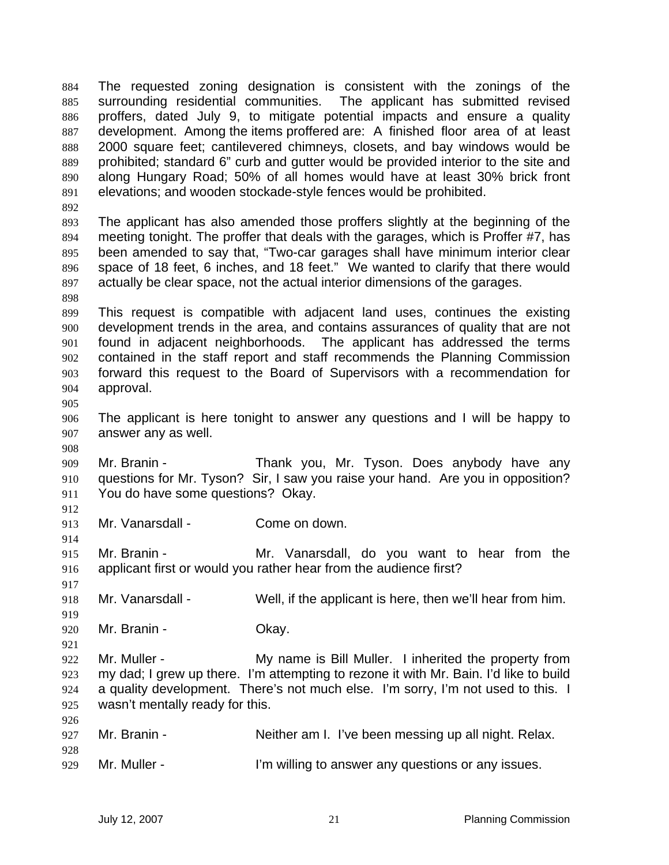The requested zoning designation is consistent with the zonings of the surrounding residential communities. The applicant has submitted revised proffers, dated July 9, to mitigate potential impacts and ensure a quality development. Among the items proffered are: A finished floor area of at least 2000 square feet; cantilevered chimneys, closets, and bay windows would be prohibited; standard 6" curb and gutter would be provided interior to the site and along Hungary Road; 50% of all homes would have at least 30% brick front elevations; and wooden stockade-style fences would be prohibited. The applicant has also amended those proffers slightly at the beginning of the meeting tonight. The proffer that deals with the garages, which is Proffer #7, has been amended to say that, "Two-car garages shall have minimum interior clear space of 18 feet, 6 inches, and 18 feet." We wanted to clarify that there would actually be clear space, not the actual interior dimensions of the garages. This request is compatible with adjacent land uses, continues the existing development trends in the area, and contains assurances of quality that are not found in adjacent neighborhoods. The applicant has addressed the terms contained in the staff report and staff recommends the Planning Commission forward this request to the Board of Supervisors with a recommendation for approval. The applicant is here tonight to answer any questions and I will be happy to answer any as well. Mr. Branin - Thank you, Mr. Tyson. Does anybody have any questions for Mr. Tyson? Sir, I saw you raise your hand. Are you in opposition? You do have some questions? Okay. Mr. Vanarsdall - Come on down. Mr. Branin - Mr. Vanarsdall, do you want to hear from the applicant first or would you rather hear from the audience first? Mr. Vanarsdall - Well, if the applicant is here, then we'll hear from him. Mr. Branin - Okay. Mr. Muller - My name is Bill Muller. I inherited the property from my dad; I grew up there. I'm attempting to rezone it with Mr. Bain. I'd like to build a quality development. There's not much else. I'm sorry, I'm not used to this. I wasn't mentally ready for this. Mr. Branin - Neither am I. I've been messing up all night. Relax. Mr. Muller - I'm willing to answer any questions or any issues.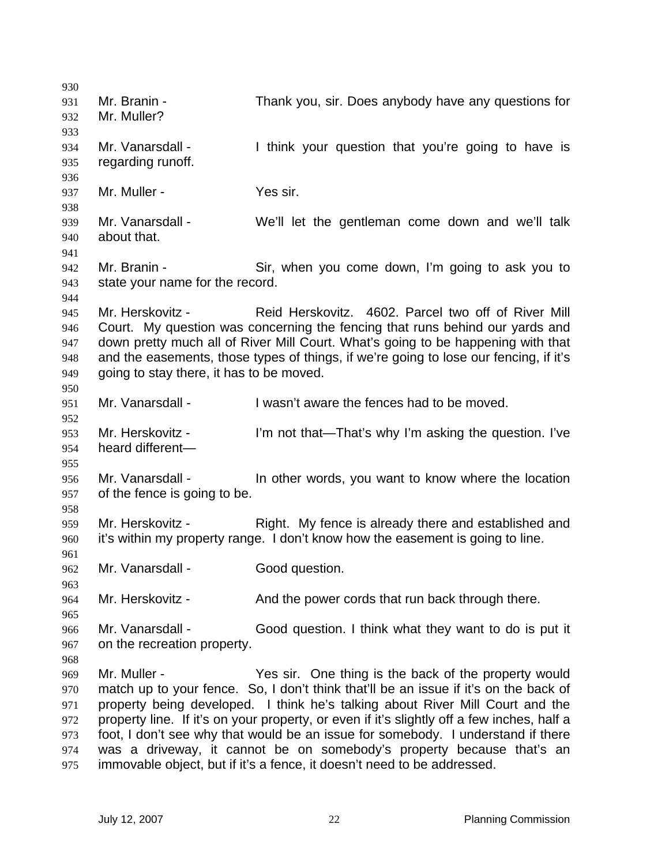Mr. Branin - Thank you, sir. Does anybody have any questions for Mr. Muller? Mr. Vanarsdall - I think your question that you're going to have is regarding runoff. 937 Mr. Muller - Yes sir. Mr. Vanarsdall - We'll let the gentleman come down and we'll talk about that. 942 Mr. Branin - Sir, when you come down, I'm going to ask you to state your name for the record. Mr. Herskovitz - Reid Herskovitz. 4602. Parcel two off of River Mill Court. My question was concerning the fencing that runs behind our yards and down pretty much all of River Mill Court. What's going to be happening with that and the easements, those types of things, if we're going to lose our fencing, if it's going to stay there, it has to be moved. Mr. Vanarsdall - I wasn't aware the fences had to be moved. Mr. Herskovitz - I'm not that—That's why I'm asking the question. I've heard different— Mr. Vanarsdall - In other words, you want to know where the location of the fence is going to be. Mr. Herskovitz - Right. My fence is already there and established and it's within my property range. I don't know how the easement is going to line. 962 Mr. Vanarsdall - Good question. 964 Mr. Herskovitz - And the power cords that run back through there. Mr. Vanarsdall - Good question. I think what they want to do is put it on the recreation property. Mr. Muller - Yes sir. One thing is the back of the property would match up to your fence. So, I don't think that'll be an issue if it's on the back of property being developed. I think he's talking about River Mill Court and the property line. If it's on your property, or even if it's slightly off a few inches, half a foot, I don't see why that would be an issue for somebody. I understand if there was a driveway, it cannot be on somebody's property because that's an immovable object, but if it's a fence, it doesn't need to be addressed.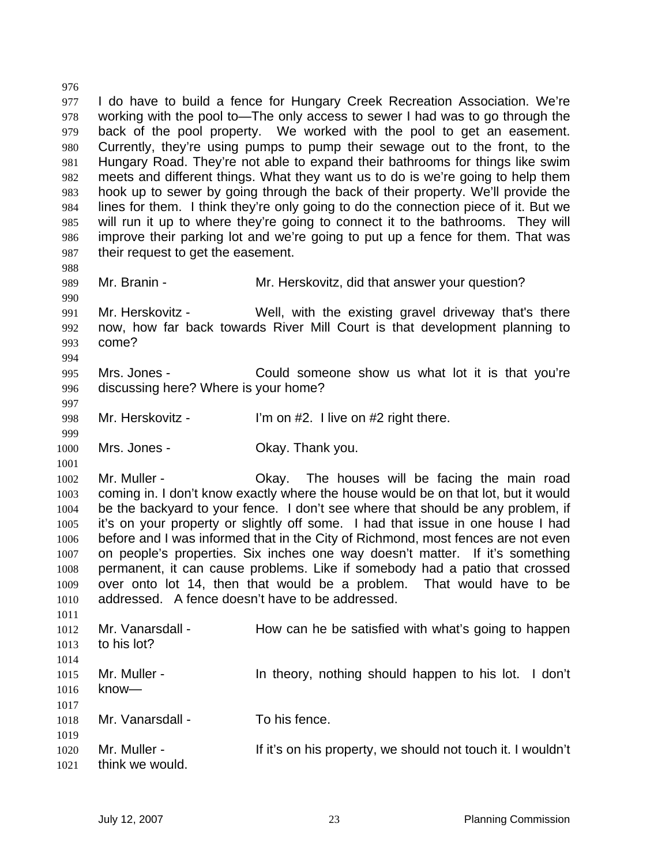I do have to build a fence for Hungary Creek Recreation Association. We're working with the pool to—The only access to sewer I had was to go through the back of the pool property. We worked with the pool to get an easement. Currently, they're using pumps to pump their sewage out to the front, to the Hungary Road. They're not able to expand their bathrooms for things like swim meets and different things. What they want us to do is we're going to help them hook up to sewer by going through the back of their property. We'll provide the lines for them. I think they're only going to do the connection piece of it. But we will run it up to where they're going to connect it to the bathrooms. They will improve their parking lot and we're going to put up a fence for them. That was 987 their request to get the easement. Mr. Branin - Mr. Herskovitz, did that answer your question? Mr. Herskovitz - Well, with the existing gravel driveway that's there now, how far back towards River Mill Court is that development planning to come? Mrs. Jones - Could someone show us what lot it is that you're discussing here? Where is your home? 998 Mr. Herskovitz - I'm on #2. I live on #2 right there. Mrs. Jones - Okay. Thank you. Mr. Muller - Okay. The houses will be facing the main road coming in. I don't know exactly where the house would be on that lot, but it would be the backyard to your fence. I don't see where that should be any problem, if it's on your property or slightly off some. I had that issue in one house I had before and I was informed that in the City of Richmond, most fences are not even on people's properties. Six inches one way doesn't matter. If it's something permanent, it can cause problems. Like if somebody had a patio that crossed over onto lot 14, then that would be a problem. That would have to be addressed. A fence doesn't have to be addressed. 1012 Mr. Vanarsdall - How can he be satisfied with what's going to happen to his lot? Mr. Muller - In theory, nothing should happen to his lot. I don't know— 1018 Mr. Vanarsdall - To his fence. Mr. Muller - If it's on his property, we should not touch it. I wouldn't think we would.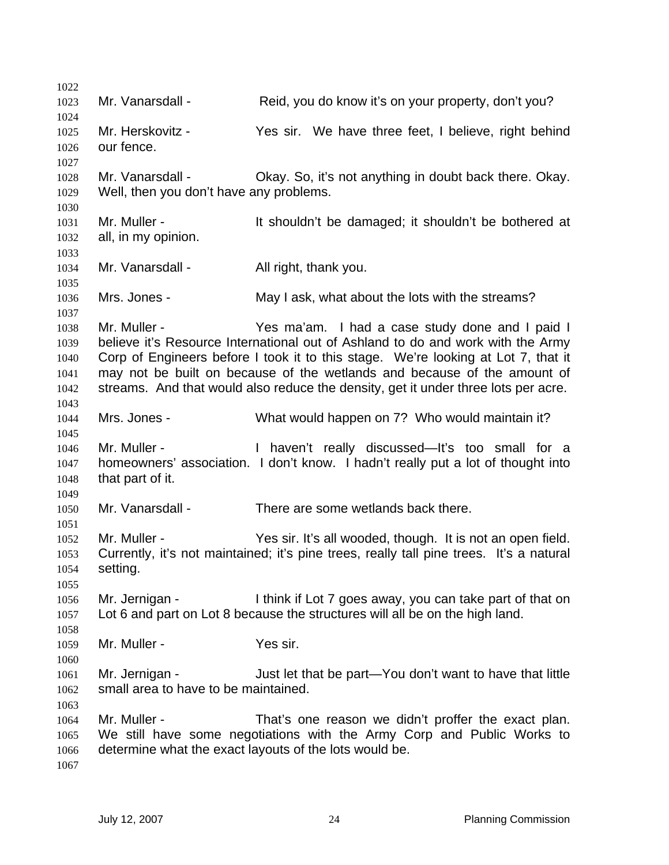1023 Mr. Vanarsdall - Reid, you do know it's on your property, don't you? Mr. Herskovitz - Yes sir. We have three feet, I believe, right behind our fence. Mr. Vanarsdall - Okay. So, it's not anything in doubt back there. Okay. Well, then you don't have any problems. 1031 Mr. Muller - It shouldn't be damaged; it shouldn't be bothered at all, in my opinion. Mr. Vanarsdall - All right, thank you. Mrs. Jones - May I ask, what about the lots with the streams? Mr. Muller - Yes ma'am. I had a case study done and I paid I believe it's Resource International out of Ashland to do and work with the Army Corp of Engineers before I took it to this stage. We're looking at Lot 7, that it may not be built on because of the wetlands and because of the amount of streams. And that would also reduce the density, get it under three lots per acre. Mrs. Jones - What would happen on 7? Who would maintain it? Mr. Muller - I haven't really discussed—It's too small for a homeowners' association. I don't know. I hadn't really put a lot of thought into that part of it. Mr. Vanarsdall - There are some wetlands back there. Mr. Muller - Yes sir. It's all wooded, though. It is not an open field. Currently, it's not maintained; it's pine trees, really tall pine trees. It's a natural setting. Mr. Jernigan - I think if Lot 7 goes away, you can take part of that on Lot 6 and part on Lot 8 because the structures will all be on the high land. 1059 Mr. Muller - Yes sir. Mr. Jernigan - Just let that be part—You don't want to have that little small area to have to be maintained. Mr. Muller - That's one reason we didn't proffer the exact plan. We still have some negotiations with the Army Corp and Public Works to determine what the exact layouts of the lots would be.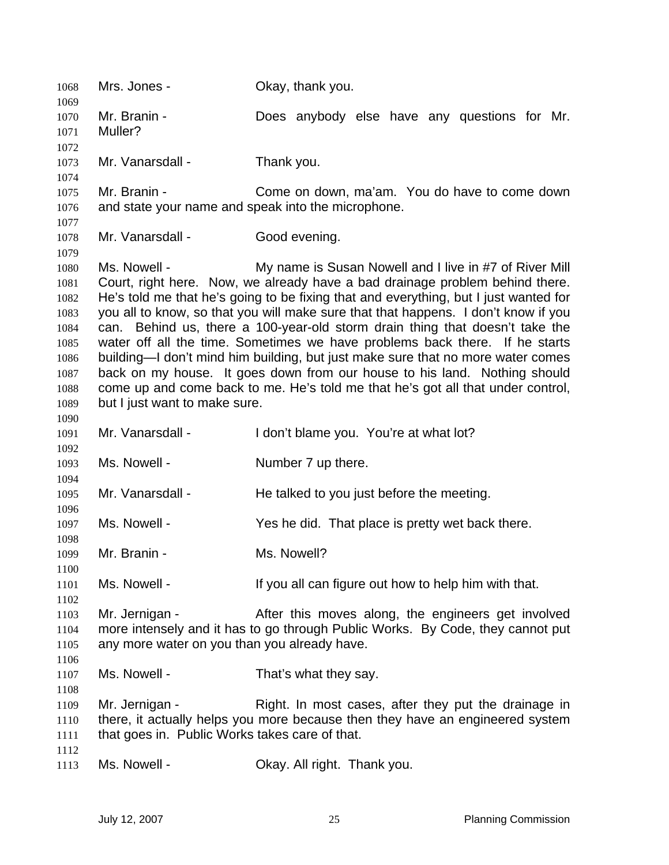| 1068<br>1069 | Mrs. Jones -                                                                    | Okay, thank you.                                                                     |  |
|--------------|---------------------------------------------------------------------------------|--------------------------------------------------------------------------------------|--|
| 1070         | Mr. Branin -                                                                    | Does anybody else have any questions for Mr.                                         |  |
| 1071         | Muller?                                                                         |                                                                                      |  |
| 1072         |                                                                                 |                                                                                      |  |
| 1073         | Mr. Vanarsdall -                                                                | Thank you.                                                                           |  |
| 1074         |                                                                                 |                                                                                      |  |
| 1075         | Mr. Branin -                                                                    | Come on down, ma'am. You do have to come down                                        |  |
| 1076         | and state your name and speak into the microphone.                              |                                                                                      |  |
| 1077         |                                                                                 |                                                                                      |  |
| 1078         | Mr. Vanarsdall -                                                                | Good evening.                                                                        |  |
| 1079         |                                                                                 |                                                                                      |  |
| 1080         | Ms. Nowell -                                                                    | My name is Susan Nowell and I live in #7 of River Mill                               |  |
| 1081         |                                                                                 | Court, right here. Now, we already have a bad drainage problem behind there.         |  |
| 1082         |                                                                                 | He's told me that he's going to be fixing that and everything, but I just wanted for |  |
| 1083         |                                                                                 | you all to know, so that you will make sure that that happens. I don't know if you   |  |
| 1084         |                                                                                 | can. Behind us, there a 100-year-old storm drain thing that doesn't take the         |  |
| 1085         |                                                                                 | water off all the time. Sometimes we have problems back there. If he starts          |  |
| 1086         |                                                                                 | building—I don't mind him building, but just make sure that no more water comes      |  |
| 1087         |                                                                                 | back on my house. It goes down from our house to his land. Nothing should            |  |
| 1088         | come up and come back to me. He's told me that he's got all that under control, |                                                                                      |  |
| 1089         | but I just want to make sure.                                                   |                                                                                      |  |
| 1090         |                                                                                 |                                                                                      |  |
| 1091         | Mr. Vanarsdall -                                                                | I don't blame you. You're at what lot?                                               |  |
| 1092         |                                                                                 |                                                                                      |  |
| 1093         | Ms. Nowell -                                                                    | Number 7 up there.                                                                   |  |
| 1094         |                                                                                 |                                                                                      |  |
| 1095<br>1096 | Mr. Vanarsdall -                                                                | He talked to you just before the meeting.                                            |  |
| 1097         | Ms. Nowell -                                                                    | Yes he did. That place is pretty wet back there.                                     |  |
| 1098         |                                                                                 |                                                                                      |  |
| 1099         | Mr. Branin -                                                                    | Ms. Nowell?                                                                          |  |
| 1100         |                                                                                 |                                                                                      |  |
| 1101         | Ms. Nowell -                                                                    | If you all can figure out how to help him with that.                                 |  |
| 1102         |                                                                                 |                                                                                      |  |
| 1103         | Mr. Jernigan -                                                                  | After this moves along, the engineers get involved                                   |  |
| 1104         | more intensely and it has to go through Public Works. By Code, they cannot put  |                                                                                      |  |
| 1105         | any more water on you than you already have.                                    |                                                                                      |  |
| 1106         |                                                                                 |                                                                                      |  |
| 1107         | Ms. Nowell -                                                                    | That's what they say.                                                                |  |
| 1108         |                                                                                 |                                                                                      |  |
| 1109         | Mr. Jernigan -                                                                  | Right. In most cases, after they put the drainage in                                 |  |
| 1110         | there, it actually helps you more because then they have an engineered system   |                                                                                      |  |
| 1111         | that goes in. Public Works takes care of that.                                  |                                                                                      |  |
| 1112         |                                                                                 |                                                                                      |  |
| 1113         | Ms. Nowell -                                                                    | Okay. All right. Thank you.                                                          |  |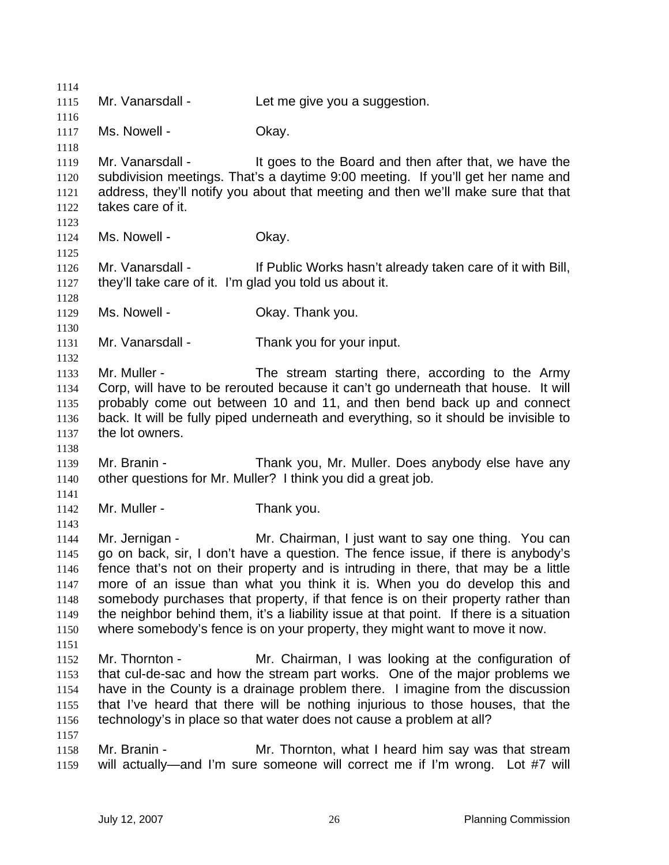1115 Mr. Vanarsdall - Let me give you a suggestion. 1117 Ms. Nowell - Ckay. 1119 Mr. Vanarsdall - It goes to the Board and then after that, we have the subdivision meetings. That's a daytime 9:00 meeting. If you'll get her name and address, they'll notify you about that meeting and then we'll make sure that that takes care of it. 1124 Ms. Nowell - Ckay. Mr. Vanarsdall - If Public Works hasn't already taken care of it with Bill, they'll take care of it. I'm glad you told us about it. Ms. Nowell - Okay. Thank you. Mr. Vanarsdall - Thank you for your input. Mr. Muller - The stream starting there, according to the Army Corp, will have to be rerouted because it can't go underneath that house. It will probably come out between 10 and 11, and then bend back up and connect back. It will be fully piped underneath and everything, so it should be invisible to the lot owners. Mr. Branin - Thank you, Mr. Muller. Does anybody else have any other questions for Mr. Muller? I think you did a great job. 1142 Mr. Muller - Thank you. Mr. Jernigan - Mr. Chairman, I just want to say one thing. You can go on back, sir, I don't have a question. The fence issue, if there is anybody's fence that's not on their property and is intruding in there, that may be a little more of an issue than what you think it is. When you do develop this and somebody purchases that property, if that fence is on their property rather than the neighbor behind them, it's a liability issue at that point. If there is a situation where somebody's fence is on your property, they might want to move it now. Mr. Thornton - Mr. Chairman, I was looking at the configuration of that cul-de-sac and how the stream part works. One of the major problems we have in the County is a drainage problem there. I imagine from the discussion that I've heard that there will be nothing injurious to those houses, that the technology's in place so that water does not cause a problem at all? Mr. Branin - Mr. Thornton, what I heard him say was that stream will actually—and I'm sure someone will correct me if I'm wrong. Lot #7 will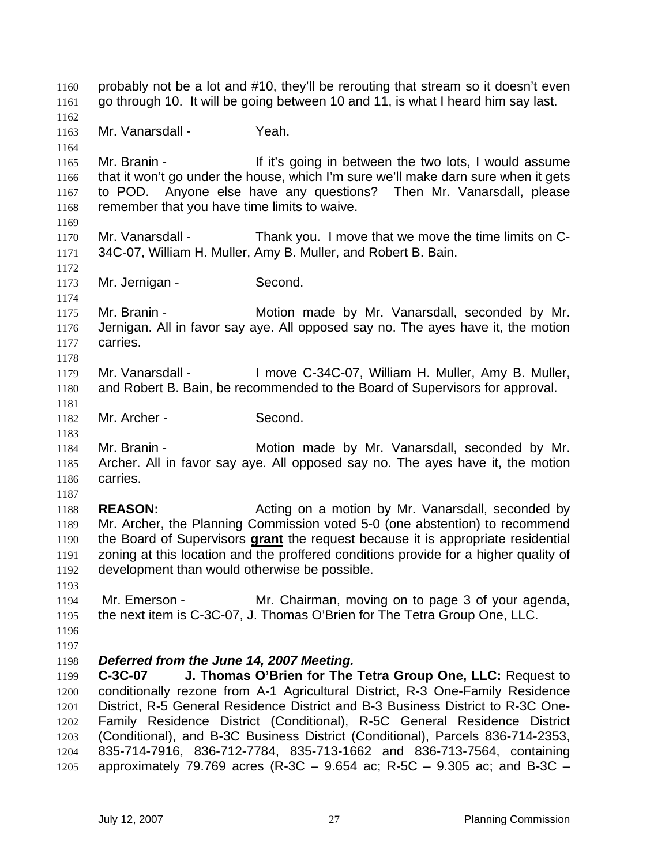probably not be a lot and #10, they'll be rerouting that stream so it doesn't even go through 10. It will be going between 10 and 11, is what I heard him say last. Mr. Vanarsdall - Yeah. 1165 Mr. Branin - If it's going in between the two lots, I would assume that it won't go under the house, which I'm sure we'll make darn sure when it gets to POD. Anyone else have any questions? Then Mr. Vanarsdall, please 1168 remember that you have time limits to waive. Mr. Vanarsdall - Thank you. I move that we move the time limits on C-34C-07, William H. Muller, Amy B. Muller, and Robert B. Bain. Mr. Jernigan - Second. Mr. Branin - Motion made by Mr. Vanarsdall, seconded by Mr. Jernigan. All in favor say aye. All opposed say no. The ayes have it, the motion carries. Mr. Vanarsdall - I move C-34C-07, William H. Muller, Amy B. Muller, and Robert B. Bain, be recommended to the Board of Supervisors for approval. Mr. Archer - Second. Mr. Branin - Motion made by Mr. Vanarsdall, seconded by Mr. Archer. All in favor say aye. All opposed say no. The ayes have it, the motion carries. **REASON:** Acting on a motion by Mr. Vanarsdall, seconded by Mr. Archer, the Planning Commission voted 5-0 (one abstention) to recommend the Board of Supervisors **grant** the request because it is appropriate residential zoning at this location and the proffered conditions provide for a higher quality of development than would otherwise be possible. Mr. Emerson - Mr. Chairman, moving on to page 3 of your agenda, the next item is C-3C-07, J. Thomas O'Brien for The Tetra Group One, LLC. *Deferred from the June 14, 2007 Meeting.*  **C-3C-07 J. Thomas O'Brien for The Tetra Group One, LLC:** Request to conditionally rezone from A-1 Agricultural District, R-3 One-Family Residence District, R-5 General Residence District and B-3 Business District to R-3C One-Family Residence District (Conditional), R-5C General Residence District (Conditional), and B-3C Business District (Conditional), Parcels 836-714-2353, 835-714-7916, 836-712-7784, 835-713-1662 and 836-713-7564, containing approximately 79.769 acres (R-3C – 9.654 ac; R-5C – 9.305 ac; and B-3C –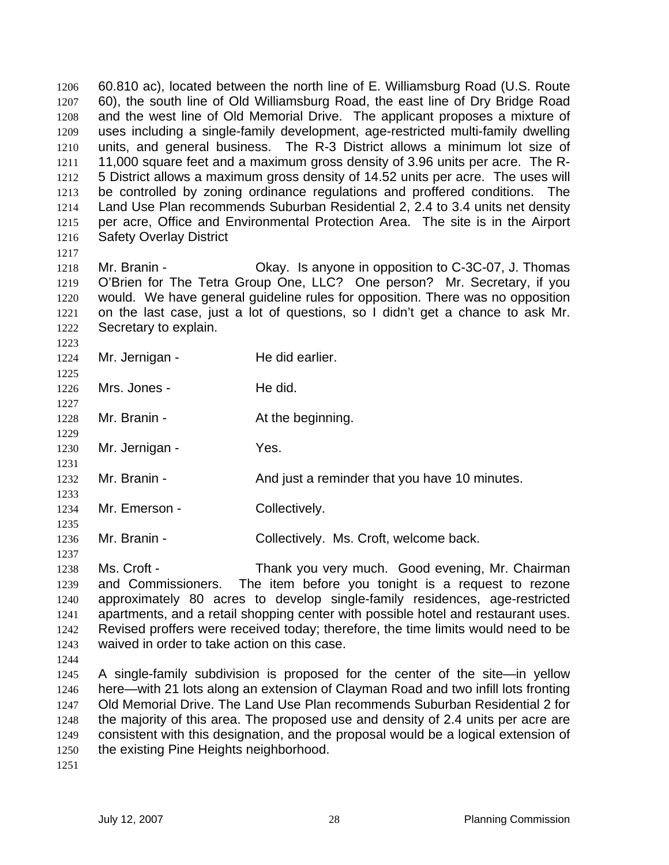60.810 ac), located between the north line of E. Williamsburg Road (U.S. Route 60), the south line of Old Williamsburg Road, the east line of Dry Bridge Road and the west line of Old Memorial Drive. The applicant proposes a mixture of uses including a single-family development, age-restricted multi-family dwelling units, and general business. The R-3 District allows a minimum lot size of 11,000 square feet and a maximum gross density of 3.96 units per acre. The R-5 District allows a maximum gross density of 14.52 units per acre. The uses will be controlled by zoning ordinance regulations and proffered conditions. The Land Use Plan recommends Suburban Residential 2, 2.4 to 3.4 units net density per acre, Office and Environmental Protection Area. The site is in the Airport Safety Overlay District

Mr. Branin - Okay. Is anyone in opposition to C-3C-07, J. Thomas O'Brien for The Tetra Group One, LLC? One person? Mr. Secretary, if you would. We have general guideline rules for opposition. There was no opposition on the last case, just a lot of questions, so I didn't get a chance to ask Mr. Secretary to explain.

1224 Mr. Jernigan - He did earlier. 

1226 Mrs. Jones - He did.

1228 Mr. Branin - At the beginning.

1230 Mr. Jernigan - Yes.

- 1232 Mr. Branin And just a reminder that you have 10 minutes.
- 1234 Mr. Emerson Collectively.

Mr. Branin - Collectively. Ms. Croft, welcome back.

Ms. Croft - Thank you very much. Good evening, Mr. Chairman and Commissioners. The item before you tonight is a request to rezone approximately 80 acres to develop single-family residences, age-restricted apartments, and a retail shopping center with possible hotel and restaurant uses. Revised proffers were received today; therefore, the time limits would need to be waived in order to take action on this case.

A single-family subdivision is proposed for the center of the site—in yellow here—with 21 lots along an extension of Clayman Road and two infill lots fronting Old Memorial Drive. The Land Use Plan recommends Suburban Residential 2 for the majority of this area. The proposed use and density of 2.4 units per acre are consistent with this designation, and the proposal would be a logical extension of 1250 the existing Pine Heights neighborhood.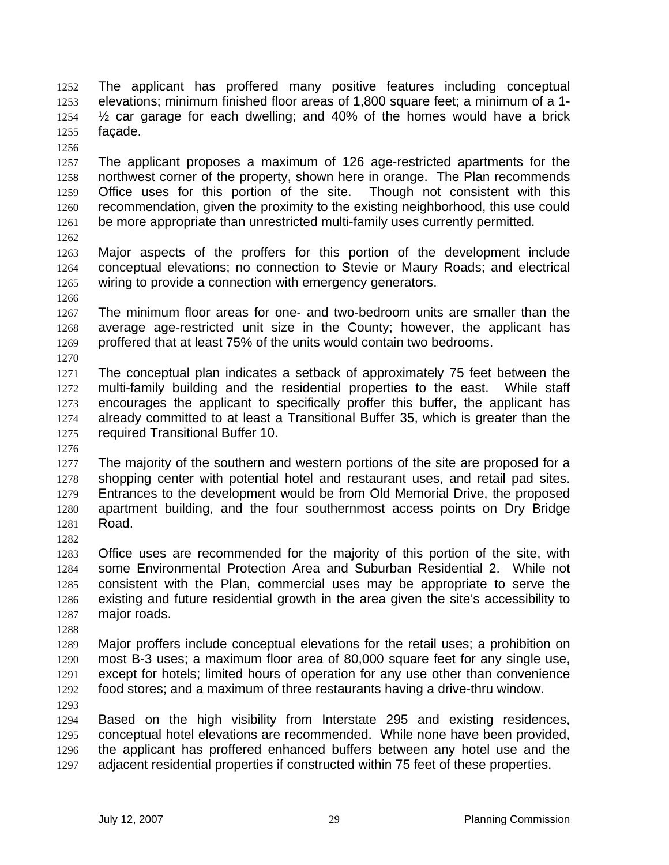The applicant has proffered many positive features including conceptual elevations; minimum finished floor areas of 1,800 square feet; a minimum of a 1- ½ car garage for each dwelling; and 40% of the homes would have a brick façade.

The applicant proposes a maximum of 126 age-restricted apartments for the northwest corner of the property, shown here in orange. The Plan recommends Office uses for this portion of the site. Though not consistent with this recommendation, given the proximity to the existing neighborhood, this use could be more appropriate than unrestricted multi-family uses currently permitted.

Major aspects of the proffers for this portion of the development include conceptual elevations; no connection to Stevie or Maury Roads; and electrical wiring to provide a connection with emergency generators.

The minimum floor areas for one- and two-bedroom units are smaller than the average age-restricted unit size in the County; however, the applicant has proffered that at least 75% of the units would contain two bedrooms.

The conceptual plan indicates a setback of approximately 75 feet between the multi-family building and the residential properties to the east. While staff encourages the applicant to specifically proffer this buffer, the applicant has already committed to at least a Transitional Buffer 35, which is greater than the required Transitional Buffer 10.

1277 The majority of the southern and western portions of the site are proposed for a shopping center with potential hotel and restaurant uses, and retail pad sites. Entrances to the development would be from Old Memorial Drive, the proposed apartment building, and the four southernmost access points on Dry Bridge Road.

Office uses are recommended for the majority of this portion of the site, with some Environmental Protection Area and Suburban Residential 2. While not consistent with the Plan, commercial uses may be appropriate to serve the existing and future residential growth in the area given the site's accessibility to major roads.

Major proffers include conceptual elevations for the retail uses; a prohibition on most B-3 uses; a maximum floor area of 80,000 square feet for any single use, except for hotels; limited hours of operation for any use other than convenience food stores; and a maximum of three restaurants having a drive-thru window.

Based on the high visibility from Interstate 295 and existing residences, conceptual hotel elevations are recommended. While none have been provided, the applicant has proffered enhanced buffers between any hotel use and the adjacent residential properties if constructed within 75 feet of these properties.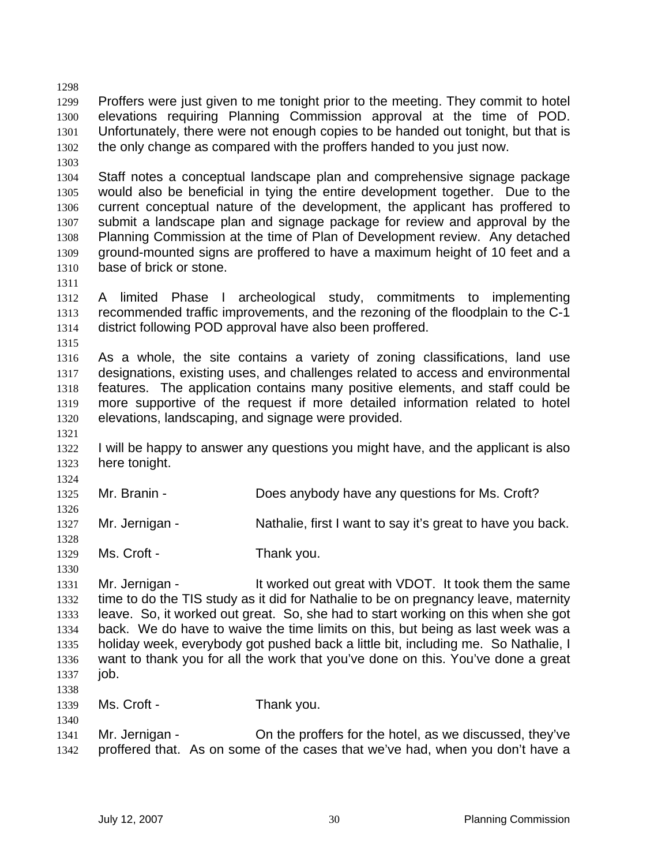Proffers were just given to me tonight prior to the meeting. They commit to hotel elevations requiring Planning Commission approval at the time of POD. Unfortunately, there were not enough copies to be handed out tonight, but that is the only change as compared with the proffers handed to you just now.

Staff notes a conceptual landscape plan and comprehensive signage package would also be beneficial in tying the entire development together. Due to the current conceptual nature of the development, the applicant has proffered to submit a landscape plan and signage package for review and approval by the Planning Commission at the time of Plan of Development review. Any detached ground-mounted signs are proffered to have a maximum height of 10 feet and a base of brick or stone.

A limited Phase I archeological study, commitments to implementing recommended traffic improvements, and the rezoning of the floodplain to the C-1 district following POD approval have also been proffered.

As a whole, the site contains a variety of zoning classifications, land use designations, existing uses, and challenges related to access and environmental features. The application contains many positive elements, and staff could be more supportive of the request if more detailed information related to hotel elevations, landscaping, and signage were provided.

I will be happy to answer any questions you might have, and the applicant is also here tonight.

Mr. Branin - Does anybody have any questions for Ms. Croft?

Mr. Jernigan - Nathalie, first I want to say it's great to have you back.

Ms. Croft - Thank you.

 1331 Mr. Jernigan - It worked out great with VDOT. It took them the same time to do the TIS study as it did for Nathalie to be on pregnancy leave, maternity leave. So, it worked out great. So, she had to start working on this when she got back. We do have to waive the time limits on this, but being as last week was a holiday week, everybody got pushed back a little bit, including me. So Nathalie, I want to thank you for all the work that you've done on this. You've done a great **job.** 

Ms. Croft - Thank you.

Mr. Jernigan - On the proffers for the hotel, as we discussed, they've proffered that. As on some of the cases that we've had, when you don't have a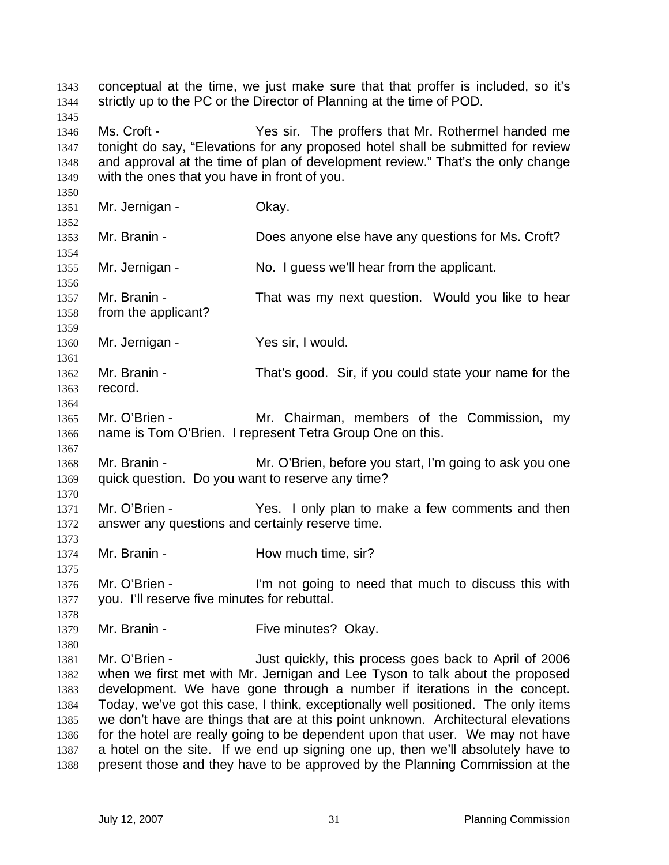conceptual at the time, we just make sure that that proffer is included, so it's 1344 strictly up to the PC or the Director of Planning at the time of POD. Ms. Croft - Yes sir. The proffers that Mr. Rothermel handed me tonight do say, "Elevations for any proposed hotel shall be submitted for review and approval at the time of plan of development review." That's the only change with the ones that you have in front of you. 1351 Mr. Jernigan - Okay. Mr. Branin - Does anyone else have any questions for Ms. Croft? Mr. Jernigan - No. I guess we'll hear from the applicant. 1357 Mr. Branin - That was my next question. Would you like to hear from the applicant? 1360 Mr. Jernigan - Yes sir, I would. Mr. Branin - That's good. Sir, if you could state your name for the record. Mr. O'Brien - Mr. Chairman, members of the Commission, my name is Tom O'Brien. I represent Tetra Group One on this. Mr. Branin - Mr. O'Brien, before you start, I'm going to ask you one quick question. Do you want to reserve any time? Mr. O'Brien - Yes. I only plan to make a few comments and then answer any questions and certainly reserve time. 1374 Mr. Branin - How much time, sir? 1376 Mr. O'Brien - I'm not going to need that much to discuss this with you. I'll reserve five minutes for rebuttal. 1379 Mr. Branin - Five minutes? Okay. Mr. O'Brien - Just quickly, this process goes back to April of 2006 when we first met with Mr. Jernigan and Lee Tyson to talk about the proposed development. We have gone through a number if iterations in the concept. Today, we've got this case, I think, exceptionally well positioned. The only items we don't have are things that are at this point unknown. Architectural elevations for the hotel are really going to be dependent upon that user. We may not have a hotel on the site. If we end up signing one up, then we'll absolutely have to present those and they have to be approved by the Planning Commission at the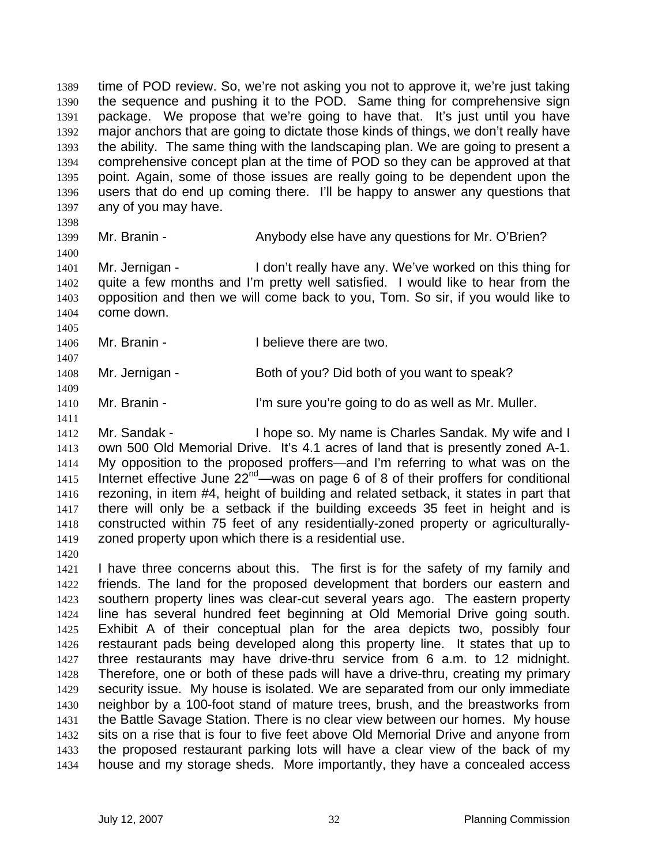time of POD review. So, we're not asking you not to approve it, we're just taking the sequence and pushing it to the POD. Same thing for comprehensive sign package. We propose that we're going to have that. It's just until you have major anchors that are going to dictate those kinds of things, we don't really have the ability. The same thing with the landscaping plan. We are going to present a comprehensive concept plan at the time of POD so they can be approved at that point. Again, some of those issues are really going to be dependent upon the users that do end up coming there. I'll be happy to answer any questions that any of you may have.

1399 Mr. Branin - Anybody else have any questions for Mr. O'Brien?

Mr. Jernigan - I don't really have any. We've worked on this thing for quite a few months and I'm pretty well satisfied. I would like to hear from the opposition and then we will come back to you, Tom. So sir, if you would like to come down.

1406 Mr. Branin - I believe there are two.

Mr. Jernigan - Both of you? Did both of you want to speak?

1410 Mr. Branin - I'm sure you're going to do as well as Mr. Muller.

1412 Mr. Sandak - I hope so. My name is Charles Sandak. My wife and I own 500 Old Memorial Drive. It's 4.1 acres of land that is presently zoned A-1. My opposition to the proposed proffers—and I'm referring to what was on the 1415 Internet effective June  $22^{nd}$ —was on page 6 of 8 of their proffers for conditional rezoning, in item #4, height of building and related setback, it states in part that there will only be a setback if the building exceeds 35 feet in height and is constructed within 75 feet of any residentially-zoned property or agriculturally-zoned property upon which there is a residential use.

I have three concerns about this. The first is for the safety of my family and friends. The land for the proposed development that borders our eastern and southern property lines was clear-cut several years ago. The eastern property line has several hundred feet beginning at Old Memorial Drive going south. Exhibit A of their conceptual plan for the area depicts two, possibly four restaurant pads being developed along this property line. It states that up to three restaurants may have drive-thru service from 6 a.m. to 12 midnight. Therefore, one or both of these pads will have a drive-thru, creating my primary security issue. My house is isolated. We are separated from our only immediate neighbor by a 100-foot stand of mature trees, brush, and the breastworks from the Battle Savage Station. There is no clear view between our homes. My house sits on a rise that is four to five feet above Old Memorial Drive and anyone from the proposed restaurant parking lots will have a clear view of the back of my house and my storage sheds. More importantly, they have a concealed access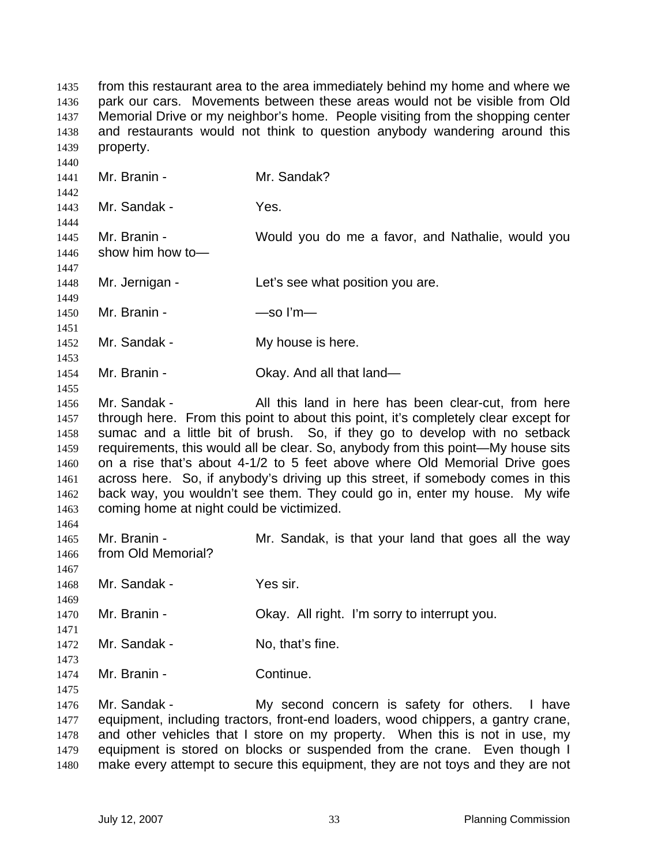from this restaurant area to the area immediately behind my home and where we park our cars. Movements between these areas would not be visible from Old Memorial Drive or my neighbor's home. People visiting from the shopping center and restaurants would not think to question anybody wandering around this property. Mr. Branin - Mr. Sandak? Mr. Sandak - Yes. Mr. Branin - Would you do me a favor, and Nathalie, would you show him how to— 1448 Mr. Jernigan - Let's see what position you are. 1450 Mr. Branin - — — — — — So I'm— 1452 Mr. Sandak - My house is here. 1454 Mr. Branin - Ckay. And all that land— 1456 Mr. Sandak - All this land in here has been clear-cut, from here through here. From this point to about this point, it's completely clear except for sumac and a little bit of brush. So, if they go to develop with no setback requirements, this would all be clear. So, anybody from this point—My house sits on a rise that's about 4-1/2 to 5 feet above where Old Memorial Drive goes across here. So, if anybody's driving up this street, if somebody comes in this back way, you wouldn't see them. They could go in, enter my house. My wife coming home at night could be victimized. 1465 Mr. Branin - Mr. Sandak, is that your land that goes all the way from Old Memorial? Mr. Sandak - Yes sir. Mr. Branin - Okay. All right. I'm sorry to interrupt you. 1472 Mr. Sandak - No, that's fine. Mr. Branin - Continue. Mr. Sandak - My second concern is safety for others. I have equipment, including tractors, front-end loaders, wood chippers, a gantry crane, 1478 and other vehicles that I store on my property. When this is not in use, my 1479 equipment is stored on blocks or suspended from the crane. Even though I make every attempt to secure this equipment, they are not toys and they are not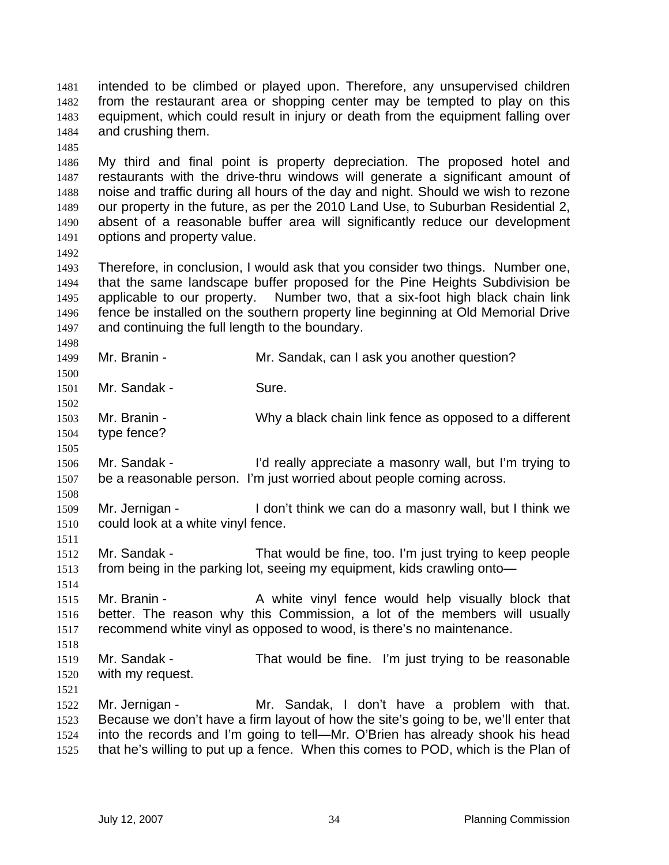intended to be climbed or played upon. Therefore, any unsupervised children from the restaurant area or shopping center may be tempted to play on this equipment, which could result in injury or death from the equipment falling over and crushing them.

My third and final point is property depreciation. The proposed hotel and restaurants with the drive-thru windows will generate a significant amount of noise and traffic during all hours of the day and night. Should we wish to rezone our property in the future, as per the 2010 Land Use, to Suburban Residential 2, absent of a reasonable buffer area will significantly reduce our development options and property value.

Therefore, in conclusion, I would ask that you consider two things. Number one, that the same landscape buffer proposed for the Pine Heights Subdivision be applicable to our property. Number two, that a six-foot high black chain link fence be installed on the southern property line beginning at Old Memorial Drive and continuing the full length to the boundary.

Mr. Branin - Mr. Sandak, can I ask you another question?

Mr. Sandak - Sure.

 Mr. Branin - Why a black chain link fence as opposed to a different type fence?

Mr. Sandak - I'd really appreciate a masonry wall, but I'm trying to be a reasonable person. I'm just worried about people coming across.

1509 Mr. Jernigan - I don't think we can do a masonry wall, but I think we could look at a white vinyl fence.

Mr. Sandak - That would be fine, too. I'm just trying to keep people from being in the parking lot, seeing my equipment, kids crawling onto—

Mr. Branin - A white vinyl fence would help visually block that better. The reason why this Commission, a lot of the members will usually recommend white vinyl as opposed to wood, is there's no maintenance.

Mr. Sandak - That would be fine. I'm just trying to be reasonable with my request.

Mr. Jernigan - Mr. Sandak, I don't have a problem with that. Because we don't have a firm layout of how the site's going to be, we'll enter that into the records and I'm going to tell—Mr. O'Brien has already shook his head that he's willing to put up a fence. When this comes to POD, which is the Plan of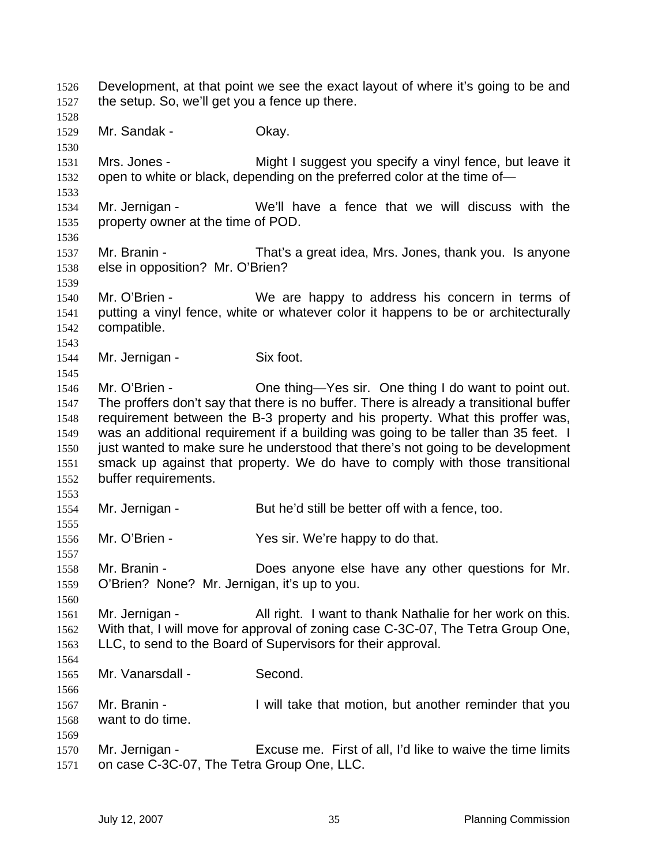Development, at that point we see the exact layout of where it's going to be and the setup. So, we'll get you a fence up there. Mr. Sandak - Okay. Mrs. Jones - Might I suggest you specify a vinyl fence, but leave it open to white or black, depending on the preferred color at the time of— Mr. Jernigan - We'll have a fence that we will discuss with the property owner at the time of POD. Mr. Branin - That's a great idea, Mrs. Jones, thank you. Is anyone else in opposition? Mr. O'Brien? Mr. O'Brien - We are happy to address his concern in terms of putting a vinyl fence, white or whatever color it happens to be or architecturally compatible. 1544 Mr. Jernigan - Six foot. Mr. O'Brien - One thing—Yes sir. One thing I do want to point out. The proffers don't say that there is no buffer. There is already a transitional buffer requirement between the B-3 property and his property. What this proffer was, was an additional requirement if a building was going to be taller than 35 feet. I just wanted to make sure he understood that there's not going to be development smack up against that property. We do have to comply with those transitional buffer requirements. Mr. Jernigan - But he'd still be better off with a fence, too. Mr. O'Brien - Yes sir. We're happy to do that. Mr. Branin - Does anyone else have any other questions for Mr. O'Brien? None? Mr. Jernigan, it's up to you. Mr. Jernigan - All right. I want to thank Nathalie for her work on this. With that, I will move for approval of zoning case C-3C-07, The Tetra Group One, LLC, to send to the Board of Supervisors for their approval. Mr. Vanarsdall - Second. Mr. Branin - I will take that motion, but another reminder that you want to do time. Mr. Jernigan - Excuse me. First of all, I'd like to waive the time limits on case C-3C-07, The Tetra Group One, LLC.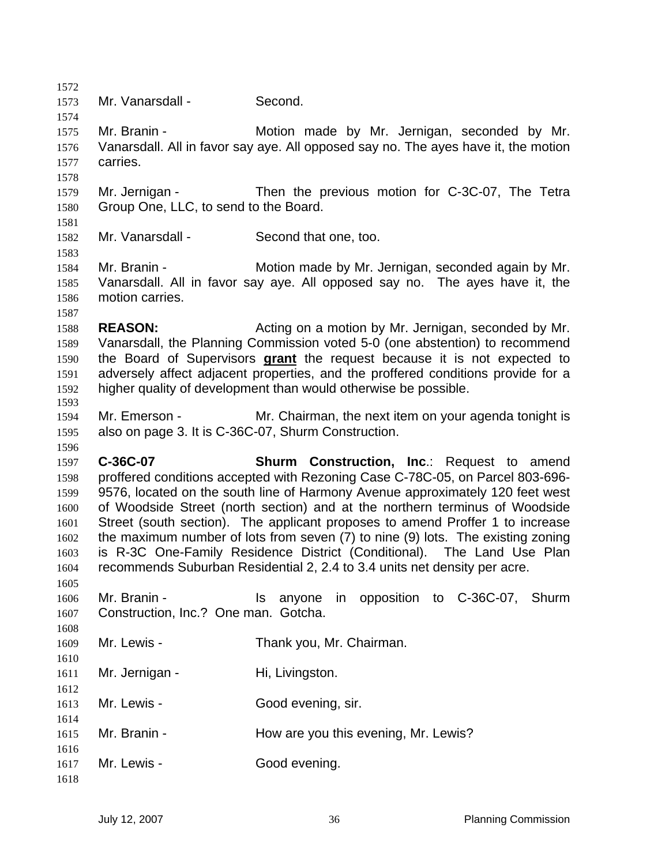Mr. Vanarsdall - Second. Mr. Branin - Motion made by Mr. Jernigan, seconded by Mr. Vanarsdall. All in favor say aye. All opposed say no. The ayes have it, the motion carries. Mr. Jernigan - Then the previous motion for C-3C-07, The Tetra Group One, LLC, to send to the Board. Mr. Vanarsdall - Second that one, too. Mr. Branin - Motion made by Mr. Jernigan, seconded again by Mr. Vanarsdall. All in favor say aye. All opposed say no. The ayes have it, the motion carries. **REASON:** Acting on a motion by Mr. Jernigan, seconded by Mr. Vanarsdall, the Planning Commission voted 5-0 (one abstention) to recommend the Board of Supervisors **grant** the request because it is not expected to adversely affect adjacent properties, and the proffered conditions provide for a higher quality of development than would otherwise be possible. Mr. Emerson - Mr. Chairman, the next item on your agenda tonight is also on page 3. It is C-36C-07, Shurm Construction. **C-36C-07 Shurm Construction, Inc**.: Request to amend proffered conditions accepted with Rezoning Case C-78C-05, on Parcel 803-696- 9576, located on the south line of Harmony Avenue approximately 120 feet west of Woodside Street (north section) and at the northern terminus of Woodside Street (south section). The applicant proposes to amend Proffer 1 to increase the maximum number of lots from seven (7) to nine (9) lots. The existing zoning is R-3C One-Family Residence District (Conditional). The Land Use Plan recommends Suburban Residential 2, 2.4 to 3.4 units net density per acre. Mr. Branin - Is anyone in opposition to C-36C-07, Shurm Construction, Inc.? One man. Gotcha. Mr. Lewis - Thank you, Mr. Chairman. 1611 Mr. Jernigan - Hi, Livingston. 1613 Mr. Lewis - Good evening, sir. 1615 Mr. Branin - How are you this evening, Mr. Lewis? 1617 Mr. Lewis - Good evening.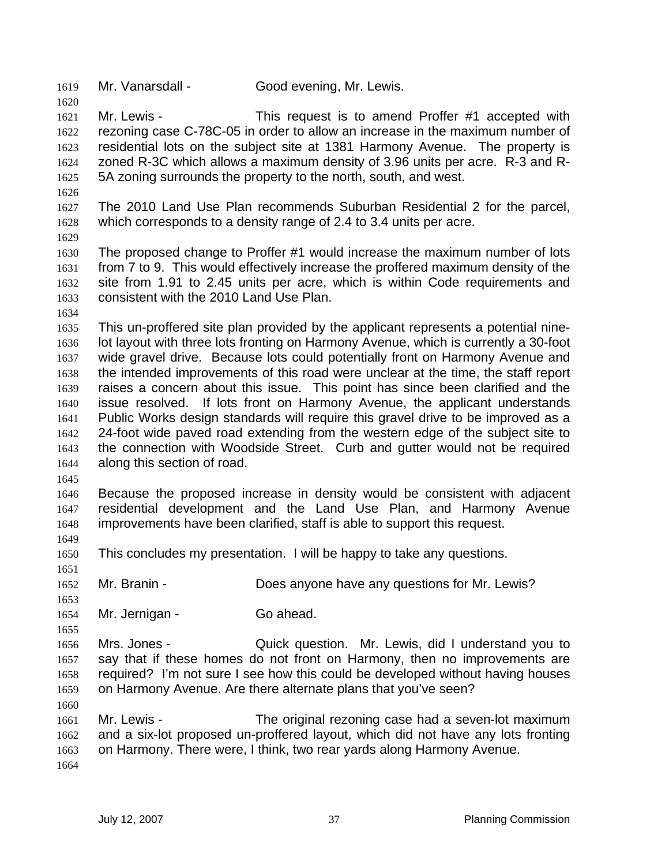Mr. Vanarsdall - Good evening, Mr. Lewis.

Mr. Lewis - This request is to amend Proffer #1 accepted with rezoning case C-78C-05 in order to allow an increase in the maximum number of residential lots on the subject site at 1381 Harmony Avenue. The property is zoned R-3C which allows a maximum density of 3.96 units per acre. R-3 and R-5A zoning surrounds the property to the north, south, and west.

- The 2010 Land Use Plan recommends Suburban Residential 2 for the parcel, which corresponds to a density range of 2.4 to 3.4 units per acre.
- 

The proposed change to Proffer #1 would increase the maximum number of lots from 7 to 9. This would effectively increase the proffered maximum density of the site from 1.91 to 2.45 units per acre, which is within Code requirements and consistent with the 2010 Land Use Plan.

This un-proffered site plan provided by the applicant represents a potential nine-lot layout with three lots fronting on Harmony Avenue, which is currently a 30-foot wide gravel drive. Because lots could potentially front on Harmony Avenue and the intended improvements of this road were unclear at the time, the staff report raises a concern about this issue. This point has since been clarified and the issue resolved. If lots front on Harmony Avenue, the applicant understands Public Works design standards will require this gravel drive to be improved as a 24-foot wide paved road extending from the western edge of the subject site to the connection with Woodside Street. Curb and gutter would not be required along this section of road.

Because the proposed increase in density would be consistent with adjacent residential development and the Land Use Plan, and Harmony Avenue improvements have been clarified, staff is able to support this request.

This concludes my presentation. I will be happy to take any questions.

Mr. Branin - Does anyone have any questions for Mr. Lewis?

1654 Mr. Jernigan - Go ahead.

Mrs. Jones - Quick question. Mr. Lewis, did I understand you to say that if these homes do not front on Harmony, then no improvements are required? I'm not sure I see how this could be developed without having houses on Harmony Avenue. Are there alternate plans that you've seen?

Mr. Lewis - The original rezoning case had a seven-lot maximum and a six-lot proposed un-proffered layout, which did not have any lots fronting on Harmony. There were, I think, two rear yards along Harmony Avenue.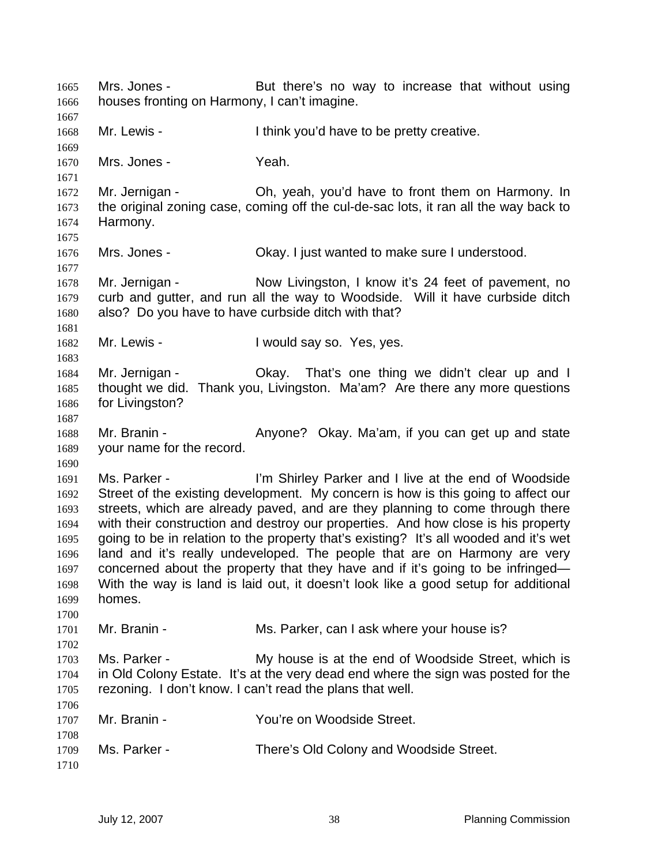Mrs. Jones - But there's no way to increase that without using houses fronting on Harmony, I can't imagine. 1668 Mr. Lewis - Ithink you'd have to be pretty creative. Mrs. Jones - Yeah. 1672 Mr. Jernigan - Oh, yeah, you'd have to front them on Harmony. In the original zoning case, coming off the cul-de-sac lots, it ran all the way back to Harmony. Mrs. Jones - Okay. I just wanted to make sure I understood. 1678 Mr. Jernigan - Now Livingston, I know it's 24 feet of pavement, no curb and gutter, and run all the way to Woodside. Will it have curbside ditch also? Do you have to have curbside ditch with that? 1682 Mr. Lewis - I would say so. Yes, yes. Mr. Jernigan - Okay. That's one thing we didn't clear up and I thought we did. Thank you, Livingston. Ma'am? Are there any more questions for Livingston? Mr. Branin - Anyone? Okay. Ma'am, if you can get up and state your name for the record. Ms. Parker - I'm Shirley Parker and I live at the end of Woodside Street of the existing development. My concern is how is this going to affect our streets, which are already paved, and are they planning to come through there with their construction and destroy our properties. And how close is his property going to be in relation to the property that's existing? It's all wooded and it's wet land and it's really undeveloped. The people that are on Harmony are very concerned about the property that they have and if it's going to be infringed— With the way is land is laid out, it doesn't look like a good setup for additional homes. Mr. Branin - Ms. Parker, can I ask where your house is? Ms. Parker - My house is at the end of Woodside Street, which is in Old Colony Estate. It's at the very dead end where the sign was posted for the rezoning. I don't know. I can't read the plans that well. Mr. Branin - You're on Woodside Street. Ms. Parker - There's Old Colony and Woodside Street.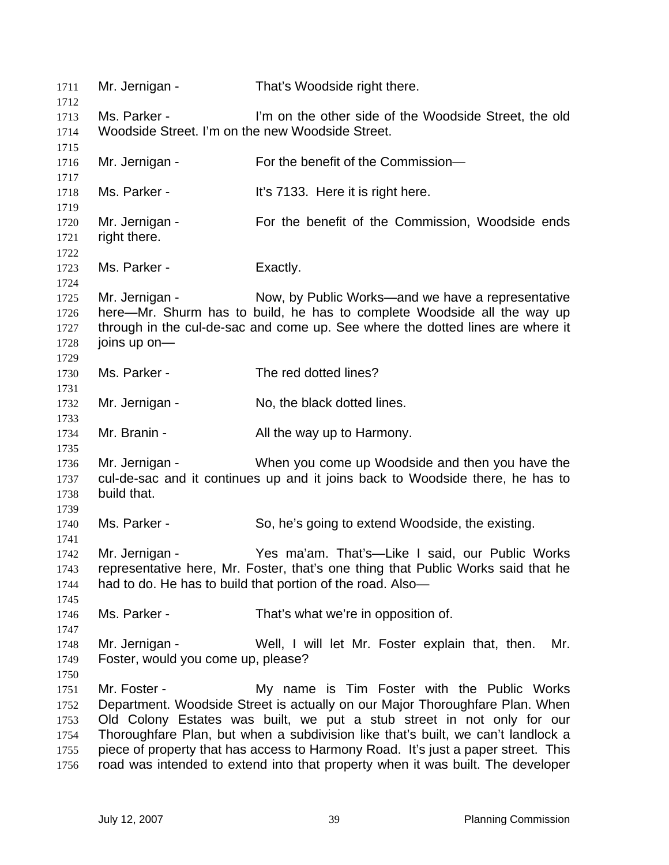| 1711<br>1712                                 | Mr. Jernigan -                                                                                                                                                                                                                                   | That's Woodside right there.                                                                                                                                                                                                                                                                                                                                                                                                                                      |  |
|----------------------------------------------|--------------------------------------------------------------------------------------------------------------------------------------------------------------------------------------------------------------------------------------------------|-------------------------------------------------------------------------------------------------------------------------------------------------------------------------------------------------------------------------------------------------------------------------------------------------------------------------------------------------------------------------------------------------------------------------------------------------------------------|--|
| 1713<br>1714                                 | Ms. Parker -<br>Woodside Street. I'm on the new Woodside Street.                                                                                                                                                                                 | I'm on the other side of the Woodside Street, the old                                                                                                                                                                                                                                                                                                                                                                                                             |  |
| 1715<br>1716                                 | Mr. Jernigan -                                                                                                                                                                                                                                   | For the benefit of the Commission-                                                                                                                                                                                                                                                                                                                                                                                                                                |  |
| 1717<br>1718<br>1719                         | Ms. Parker -                                                                                                                                                                                                                                     | It's 7133. Here it is right here.                                                                                                                                                                                                                                                                                                                                                                                                                                 |  |
| 1720<br>1721<br>1722                         | Mr. Jernigan -<br>right there.                                                                                                                                                                                                                   | For the benefit of the Commission, Woodside ends                                                                                                                                                                                                                                                                                                                                                                                                                  |  |
| 1723<br>1724                                 | Ms. Parker -                                                                                                                                                                                                                                     | Exactly.                                                                                                                                                                                                                                                                                                                                                                                                                                                          |  |
| 1725<br>1726<br>1727<br>1728<br>1729         | Mr. Jernigan -<br>Now, by Public Works—and we have a representative<br>here—Mr. Shurm has to build, he has to complete Woodside all the way up<br>through in the cul-de-sac and come up. See where the dotted lines are where it<br>joins up on- |                                                                                                                                                                                                                                                                                                                                                                                                                                                                   |  |
| 1730<br>1731                                 | Ms. Parker -                                                                                                                                                                                                                                     | The red dotted lines?                                                                                                                                                                                                                                                                                                                                                                                                                                             |  |
| 1732<br>1733                                 | Mr. Jernigan -                                                                                                                                                                                                                                   | No, the black dotted lines.                                                                                                                                                                                                                                                                                                                                                                                                                                       |  |
| 1734<br>1735                                 | Mr. Branin -                                                                                                                                                                                                                                     | All the way up to Harmony.                                                                                                                                                                                                                                                                                                                                                                                                                                        |  |
| 1736<br>1737<br>1738<br>1739                 | When you come up Woodside and then you have the<br>Mr. Jernigan -<br>cul-de-sac and it continues up and it joins back to Woodside there, he has to<br>build that.                                                                                |                                                                                                                                                                                                                                                                                                                                                                                                                                                                   |  |
| 1740<br>1741                                 | Ms. Parker -                                                                                                                                                                                                                                     | So, he's going to extend Woodside, the existing.                                                                                                                                                                                                                                                                                                                                                                                                                  |  |
| 1742<br>1743<br>1744<br>1745                 | Yes ma'am. That's-Like I said, our Public Works<br>Mr. Jernigan -<br>representative here, Mr. Foster, that's one thing that Public Works said that he<br>had to do. He has to build that portion of the road. Also-                              |                                                                                                                                                                                                                                                                                                                                                                                                                                                                   |  |
| 1746<br>1747                                 | Ms. Parker -                                                                                                                                                                                                                                     | That's what we're in opposition of.                                                                                                                                                                                                                                                                                                                                                                                                                               |  |
| 1748<br>1749<br>1750                         | Mr. Jernigan -<br>Foster, would you come up, please?                                                                                                                                                                                             | Well, I will let Mr. Foster explain that, then.<br>Mr.                                                                                                                                                                                                                                                                                                                                                                                                            |  |
| 1751<br>1752<br>1753<br>1754<br>1755<br>1756 | Mr. Foster -                                                                                                                                                                                                                                     | My name is Tim Foster with the Public Works<br>Department. Woodside Street is actually on our Major Thoroughfare Plan. When<br>Old Colony Estates was built, we put a stub street in not only for our<br>Thoroughfare Plan, but when a subdivision like that's built, we can't landlock a<br>piece of property that has access to Harmony Road. It's just a paper street. This<br>road was intended to extend into that property when it was built. The developer |  |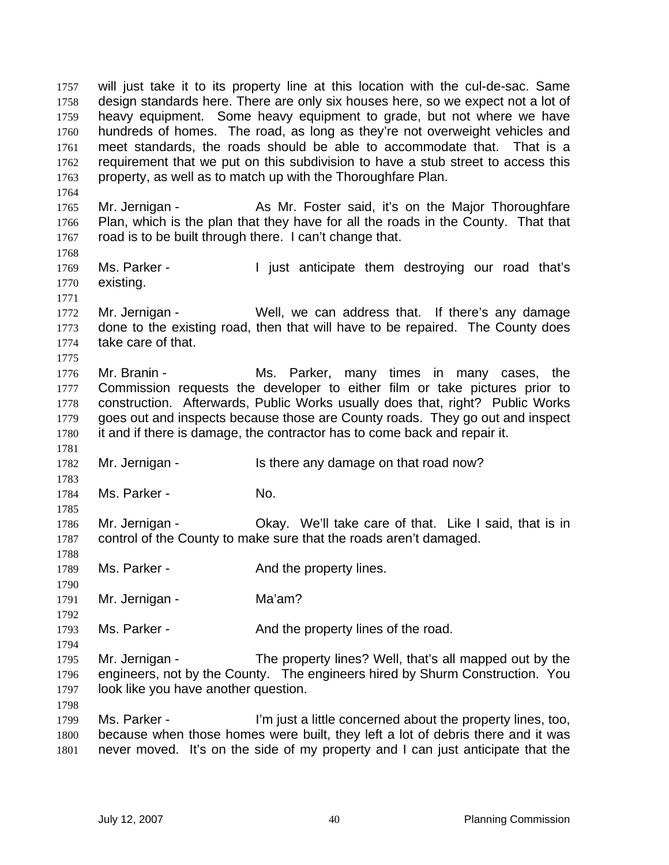will just take it to its property line at this location with the cul-de-sac. Same design standards here. There are only six houses here, so we expect not a lot of heavy equipment. Some heavy equipment to grade, but not where we have hundreds of homes. The road, as long as they're not overweight vehicles and meet standards, the roads should be able to accommodate that. That is a requirement that we put on this subdivision to have a stub street to access this property, as well as to match up with the Thoroughfare Plan. 1765 Mr. Jernigan - As Mr. Foster said, it's on the Major Thoroughfare Plan, which is the plan that they have for all the roads in the County. That that road is to be built through there. I can't change that. 1769 Ms. Parker - **I** just anticipate them destroying our road that's existing. Mr. Jernigan - Well, we can address that. If there's any damage done to the existing road, then that will have to be repaired. The County does take care of that. Mr. Branin - Ms. Parker, many times in many cases, the Commission requests the developer to either film or take pictures prior to construction. Afterwards, Public Works usually does that, right? Public Works goes out and inspects because those are County roads. They go out and inspect it and if there is damage, the contractor has to come back and repair it. Mr. Jernigan - Is there any damage on that road now? 

1784 Ms. Parker - No.

Mr. Jernigan - Okay. We'll take care of that. Like I said, that is in control of the County to make sure that the roads aren't damaged. 

1789 Ms. Parker - **And the property lines.** 

1791 Mr. Jernigan - Ma'am?

1793 Ms. Parker - And the property lines of the road.

Mr. Jernigan - The property lines? Well, that's all mapped out by the engineers, not by the County. The engineers hired by Shurm Construction. You look like you have another question.

Ms. Parker - I'm just a little concerned about the property lines, too, because when those homes were built, they left a lot of debris there and it was never moved. It's on the side of my property and I can just anticipate that the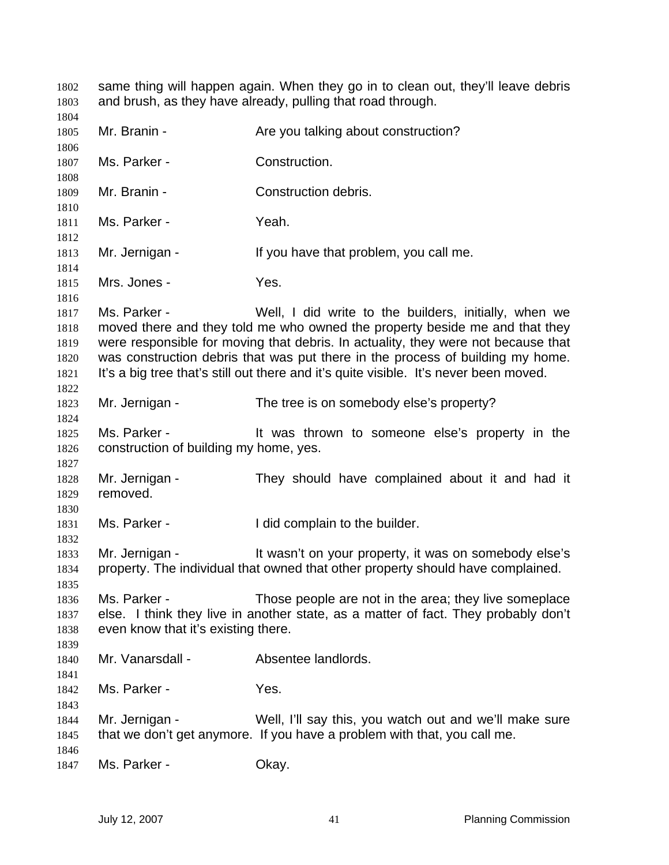same thing will happen again. When they go in to clean out, they'll leave debris and brush, as they have already, pulling that road through. 1805 Mr. Branin - Are you talking about construction? Ms. Parker - Construction. Mr. Branin - Construction debris. 1811 Ms. Parker - Yeah. 1813 Mr. Jernigan - If you have that problem, you call me. 1815 Mrs. Jones - Yes. Ms. Parker - Well, I did write to the builders, initially, when we moved there and they told me who owned the property beside me and that they were responsible for moving that debris. In actuality, they were not because that was construction debris that was put there in the process of building my home. 1821 It's a big tree that's still out there and it's quite visible. It's never been moved. Mr. Jernigan - The tree is on somebody else's property? Ms. Parker - It was thrown to someone else's property in the construction of building my home, yes. Mr. Jernigan - They should have complained about it and had it removed. 1831 Ms. Parker - The Hold complain to the builder. Mr. Jernigan - It wasn't on your property, it was on somebody else's property. The individual that owned that other property should have complained. Ms. Parker - Those people are not in the area; they live someplace else. I think they live in another state, as a matter of fact. They probably don't even know that it's existing there. Mr. Vanarsdall - Absentee landlords. Ms. Parker - Yes. Mr. Jernigan - Well, I'll say this, you watch out and we'll make sure that we don't get anymore. If you have a problem with that, you call me. 1847 Ms. Parker - Chay.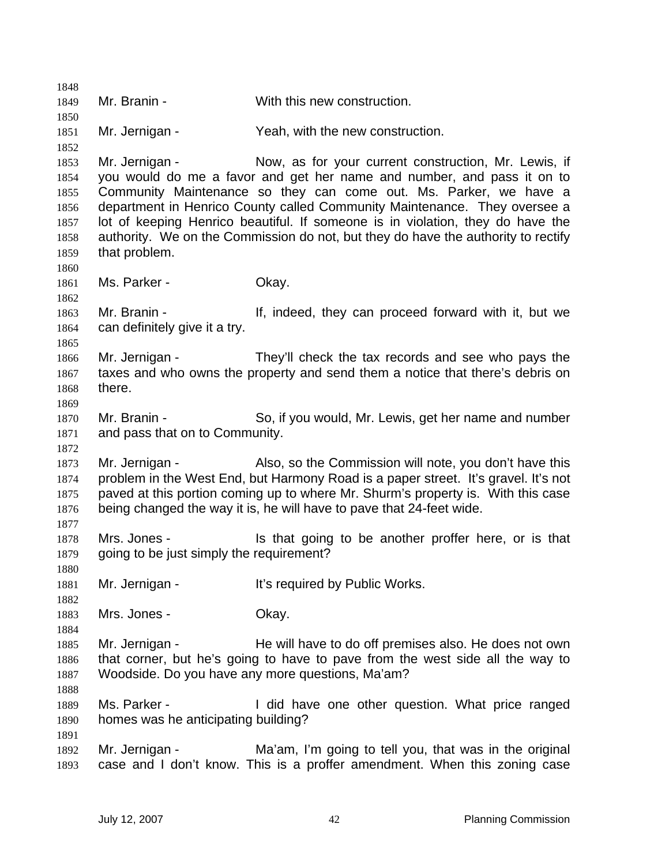Mr. Branin - With this new construction. Mr. Jernigan - Yeah, with the new construction. Mr. Jernigan - Now, as for your current construction, Mr. Lewis, if you would do me a favor and get her name and number, and pass it on to Community Maintenance so they can come out. Ms. Parker, we have a department in Henrico County called Community Maintenance. They oversee a lot of keeping Henrico beautiful. If someone is in violation, they do have the authority. We on the Commission do not, but they do have the authority to rectify that problem. 1861 Ms. Parker - Chay. Mr. Branin - If, indeed, they can proceed forward with it, but we can definitely give it a try. Mr. Jernigan - They'll check the tax records and see who pays the taxes and who owns the property and send them a notice that there's debris on there. Mr. Branin - So, if you would, Mr. Lewis, get her name and number and pass that on to Community. 1873 Mr. Jernigan - Also, so the Commission will note, you don't have this problem in the West End, but Harmony Road is a paper street. It's gravel. It's not paved at this portion coming up to where Mr. Shurm's property is. With this case being changed the way it is, he will have to pave that 24-feet wide. Mrs. Jones - Is that going to be another proffer here, or is that 1879 going to be just simply the requirement? 1881 Mr. Jernigan - It's required by Public Works. 1883 Mrs. Jones - Okay. 1885 Mr. Jernigan - He will have to do off premises also. He does not own that corner, but he's going to have to pave from the west side all the way to Woodside. Do you have any more questions, Ma'am? Ms. Parker - I did have one other question. What price ranged homes was he anticipating building? Mr. Jernigan - Ma'am, I'm going to tell you, that was in the original case and I don't know. This is a proffer amendment. When this zoning case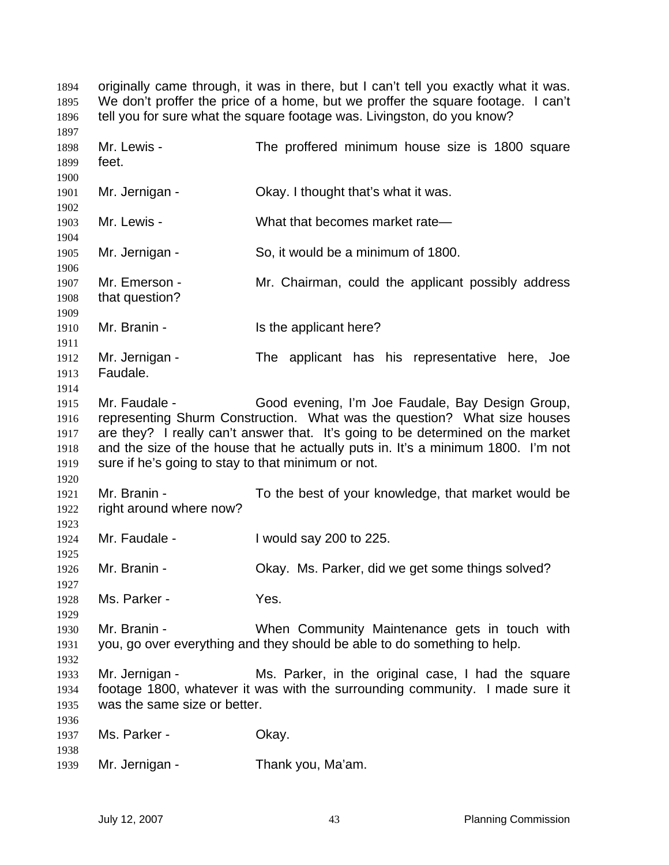originally came through, it was in there, but I can't tell you exactly what it was. We don't proffer the price of a home, but we proffer the square footage. I can't tell you for sure what the square footage was. Livingston, do you know? Mr. Lewis - The proffered minimum house size is 1800 square feet. Mr. Jernigan - Okay. I thought that's what it was. Mr. Lewis - What that becomes market rate— Mr. Jernigan - So, it would be a minimum of 1800. Mr. Emerson - Mr. Chairman, could the applicant possibly address that question? 1910 Mr. Branin - Is the applicant here? Mr. Jernigan - The applicant has his representative here, Joe Faudale. Mr. Faudale - Good evening, I'm Joe Faudale, Bay Design Group, representing Shurm Construction. What was the question? What size houses are they? I really can't answer that. It's going to be determined on the market and the size of the house that he actually puts in. It's a minimum 1800. I'm not sure if he's going to stay to that minimum or not. Mr. Branin - To the best of your knowledge, that market would be right around where now? Mr. Faudale - I would say 200 to 225. Mr. Branin - Okay. Ms. Parker, did we get some things solved? Ms. Parker - Yes. Mr. Branin - When Community Maintenance gets in touch with you, go over everything and they should be able to do something to help. Mr. Jernigan - Ms. Parker, in the original case, I had the square footage 1800, whatever it was with the surrounding community. I made sure it was the same size or better. 1937 Ms. Parker - Okay. Mr. Jernigan - Thank you, Ma'am.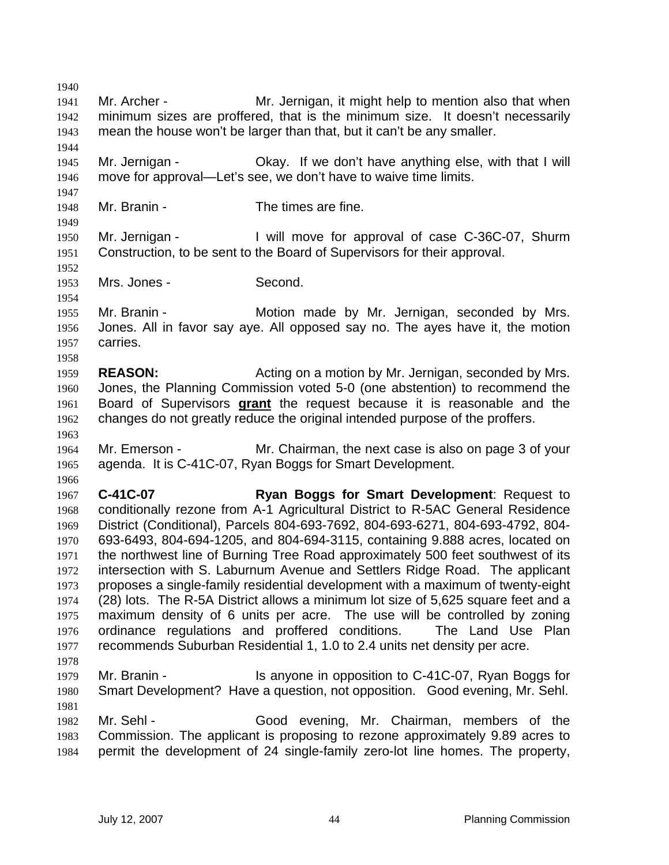Mr. Archer - Mr. Jernigan, it might help to mention also that when minimum sizes are proffered, that is the minimum size. It doesn't necessarily mean the house won't be larger than that, but it can't be any smaller. Mr. Jernigan - Okay. If we don't have anything else, with that I will move for approval—Let's see, we don't have to waive time limits. Mr. Branin - The times are fine. Mr. Jernigan - I will move for approval of case C-36C-07, Shurm Construction, to be sent to the Board of Supervisors for their approval. 1953 Mrs. Jones - Second. Mr. Branin - Motion made by Mr. Jernigan, seconded by Mrs. Jones. All in favor say aye. All opposed say no. The ayes have it, the motion carries. **REASON:** Acting on a motion by Mr. Jernigan, seconded by Mrs. Jones, the Planning Commission voted 5-0 (one abstention) to recommend the Board of Supervisors **grant** the request because it is reasonable and the changes do not greatly reduce the original intended purpose of the proffers. Mr. Emerson - Mr. Chairman, the next case is also on page 3 of your agenda. It is C-41C-07, Ryan Boggs for Smart Development. **C-41C-07 Ryan Boggs for Smart Development**: Request to conditionally rezone from A-1 Agricultural District to R-5AC General Residence District (Conditional), Parcels 804-693-7692, 804-693-6271, 804-693-4792, 804- 693-6493, 804-694-1205, and 804-694-3115, containing 9.888 acres, located on the northwest line of Burning Tree Road approximately 500 feet southwest of its intersection with S. Laburnum Avenue and Settlers Ridge Road. The applicant proposes a single-family residential development with a maximum of twenty-eight (28) lots. The R-5A District allows a minimum lot size of 5,625 square feet and a maximum density of 6 units per acre. The use will be controlled by zoning ordinance regulations and proffered conditions. The Land Use Plan recommends Suburban Residential 1, 1.0 to 2.4 units net density per acre. Mr. Branin - Is anyone in opposition to C-41C-07, Ryan Boggs for Smart Development? Have a question, not opposition. Good evening, Mr. Sehl. Mr. Sehl - Good evening, Mr. Chairman, members of the Commission. The applicant is proposing to rezone approximately 9.89 acres to permit the development of 24 single-family zero-lot line homes. The property,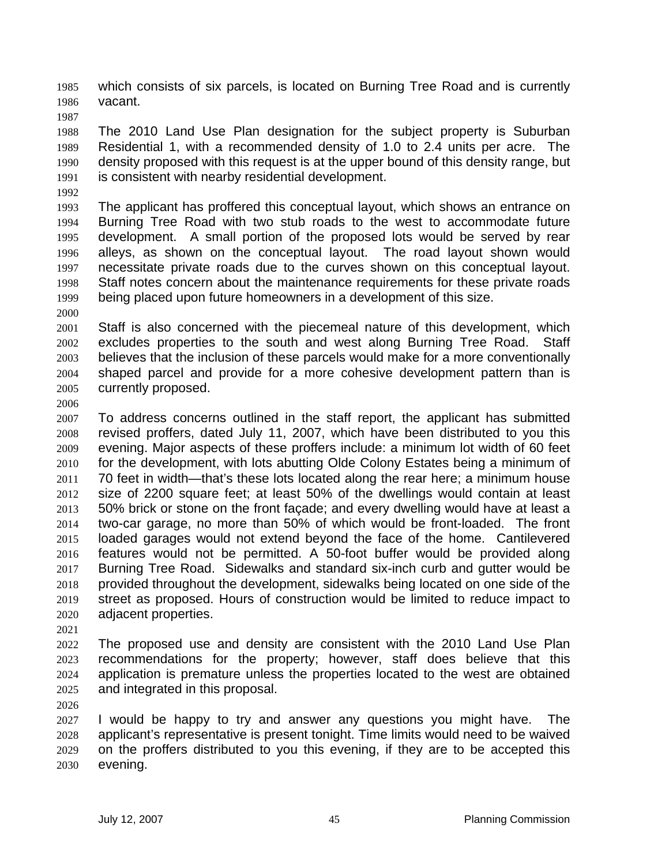which consists of six parcels, is located on Burning Tree Road and is currently vacant.

The 2010 Land Use Plan designation for the subject property is Suburban Residential 1, with a recommended density of 1.0 to 2.4 units per acre. The density proposed with this request is at the upper bound of this density range, but is consistent with nearby residential development.

The applicant has proffered this conceptual layout, which shows an entrance on Burning Tree Road with two stub roads to the west to accommodate future development. A small portion of the proposed lots would be served by rear alleys, as shown on the conceptual layout. The road layout shown would necessitate private roads due to the curves shown on this conceptual layout. Staff notes concern about the maintenance requirements for these private roads being placed upon future homeowners in a development of this size.

Staff is also concerned with the piecemeal nature of this development, which excludes properties to the south and west along Burning Tree Road. Staff believes that the inclusion of these parcels would make for a more conventionally shaped parcel and provide for a more cohesive development pattern than is currently proposed.

To address concerns outlined in the staff report, the applicant has submitted revised proffers, dated July 11, 2007, which have been distributed to you this evening. Major aspects of these proffers include: a minimum lot width of 60 feet for the development, with lots abutting Olde Colony Estates being a minimum of 70 feet in width—that's these lots located along the rear here; a minimum house size of 2200 square feet; at least 50% of the dwellings would contain at least 50% brick or stone on the front façade; and every dwelling would have at least a two-car garage, no more than 50% of which would be front-loaded. The front loaded garages would not extend beyond the face of the home. Cantilevered features would not be permitted. A 50-foot buffer would be provided along Burning Tree Road. Sidewalks and standard six-inch curb and gutter would be provided throughout the development, sidewalks being located on one side of the street as proposed. Hours of construction would be limited to reduce impact to adjacent properties.

The proposed use and density are consistent with the 2010 Land Use Plan recommendations for the property; however, staff does believe that this application is premature unless the properties located to the west are obtained and integrated in this proposal.

I would be happy to try and answer any questions you might have. The applicant's representative is present tonight. Time limits would need to be waived on the proffers distributed to you this evening, if they are to be accepted this evening.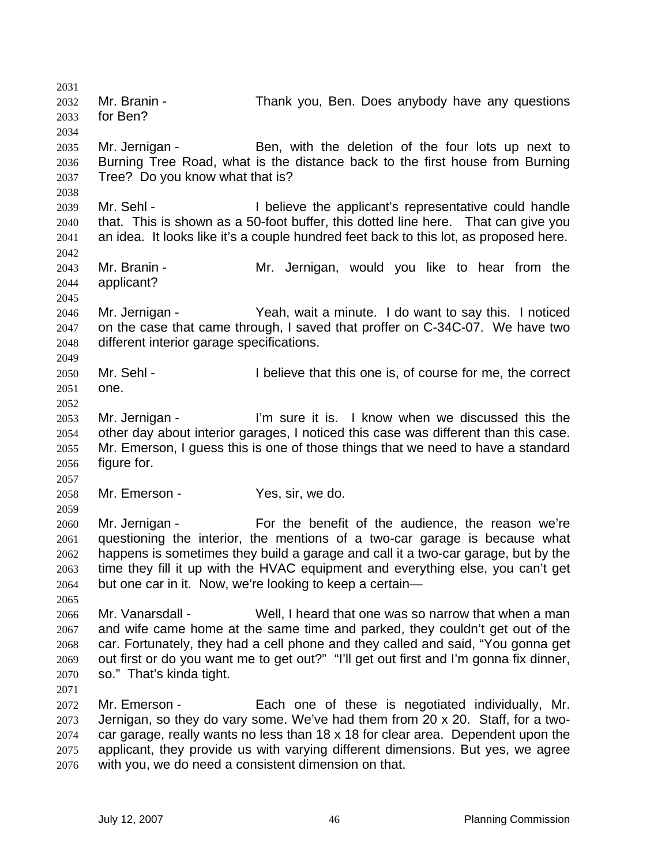Mr. Branin - Thank you, Ben. Does anybody have any questions for Ben? Mr. Jernigan - Ben, with the deletion of the four lots up next to Burning Tree Road, what is the distance back to the first house from Burning Tree? Do you know what that is? Mr. Sehl - I believe the applicant's representative could handle that. This is shown as a 50-foot buffer, this dotted line here. That can give you an idea. It looks like it's a couple hundred feet back to this lot, as proposed here. Mr. Branin - Mr. Jernigan, would you like to hear from the applicant? Mr. Jernigan - Yeah, wait a minute. I do want to say this. I noticed on the case that came through, I saved that proffer on C-34C-07. We have two different interior garage specifications. 2050 Mr. Sehl - I believe that this one is, of course for me, the correct one. Mr. Jernigan - I'm sure it is. I know when we discussed this the other day about interior garages, I noticed this case was different than this case. Mr. Emerson, I guess this is one of those things that we need to have a standard figure for. Mr. Emerson - Yes, sir, we do. Mr. Jernigan - For the benefit of the audience, the reason we're questioning the interior, the mentions of a two-car garage is because what happens is sometimes they build a garage and call it a two-car garage, but by the time they fill it up with the HVAC equipment and everything else, you can't get but one car in it. Now, we're looking to keep a certain— Mr. Vanarsdall - Well, I heard that one was so narrow that when a man and wife came home at the same time and parked, they couldn't get out of the car. Fortunately, they had a cell phone and they called and said, "You gonna get out first or do you want me to get out?" "I'll get out first and I'm gonna fix dinner, so." That's kinda tight. Mr. Emerson - Each one of these is negotiated individually, Mr. Jernigan, so they do vary some. We've had them from 20 x 20. Staff, for a two-car garage, really wants no less than 18 x 18 for clear area. Dependent upon the applicant, they provide us with varying different dimensions. But yes, we agree with you, we do need a consistent dimension on that.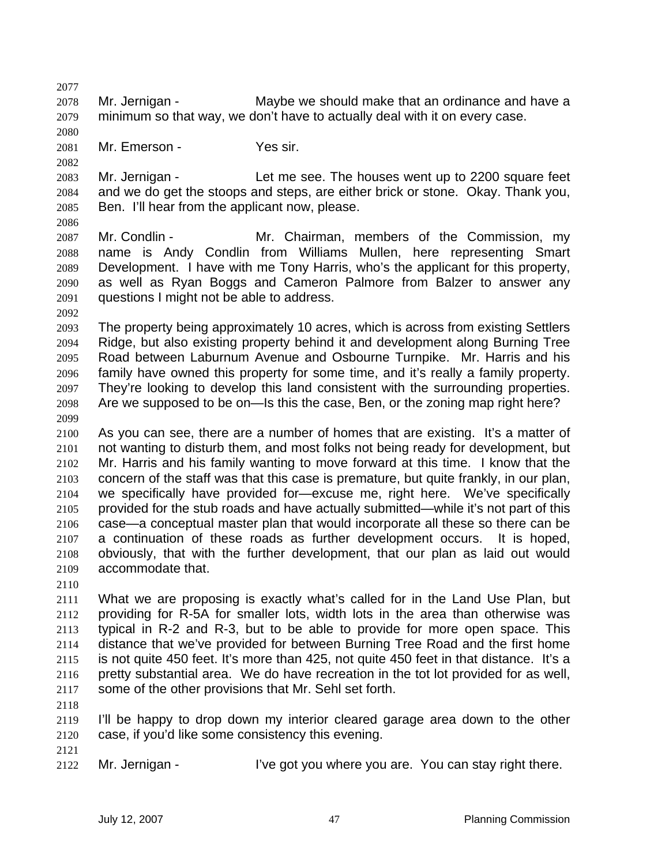Mr. Jernigan - Maybe we should make that an ordinance and have a minimum so that way, we don't have to actually deal with it on every case. Mr. Emerson - Yes sir. Mr. Jernigan - Let me see. The houses went up to 2200 square feet and we do get the stoops and steps, are either brick or stone. Okay. Thank you, Ben. I'll hear from the applicant now, please. Mr. Condlin - Mr. Chairman, members of the Commission, my name is Andy Condlin from Williams Mullen, here representing Smart Development. I have with me Tony Harris, who's the applicant for this property, as well as Ryan Boggs and Cameron Palmore from Balzer to answer any questions I might not be able to address. The property being approximately 10 acres, which is across from existing Settlers Ridge, but also existing property behind it and development along Burning Tree Road between Laburnum Avenue and Osbourne Turnpike. Mr. Harris and his family have owned this property for some time, and it's really a family property. They're looking to develop this land consistent with the surrounding properties. Are we supposed to be on—Is this the case, Ben, or the zoning map right here? As you can see, there are a number of homes that are existing. It's a matter of not wanting to disturb them, and most folks not being ready for development, but Mr. Harris and his family wanting to move forward at this time. I know that the concern of the staff was that this case is premature, but quite frankly, in our plan, we specifically have provided for—excuse me, right here. We've specifically provided for the stub roads and have actually submitted—while it's not part of this case—a conceptual master plan that would incorporate all these so there can be a continuation of these roads as further development occurs. It is hoped, obviously, that with the further development, that our plan as laid out would accommodate that. What we are proposing is exactly what's called for in the Land Use Plan, but providing for R-5A for smaller lots, width lots in the area than otherwise was typical in R-2 and R-3, but to be able to provide for more open space. This distance that we've provided for between Burning Tree Road and the first home is not quite 450 feet. It's more than 425, not quite 450 feet in that distance. It's a pretty substantial area. We do have recreation in the tot lot provided for as well, some of the other provisions that Mr. Sehl set forth. I'll be happy to drop down my interior cleared garage area down to the other case, if you'd like some consistency this evening. Mr. Jernigan - I've got you where you are. You can stay right there.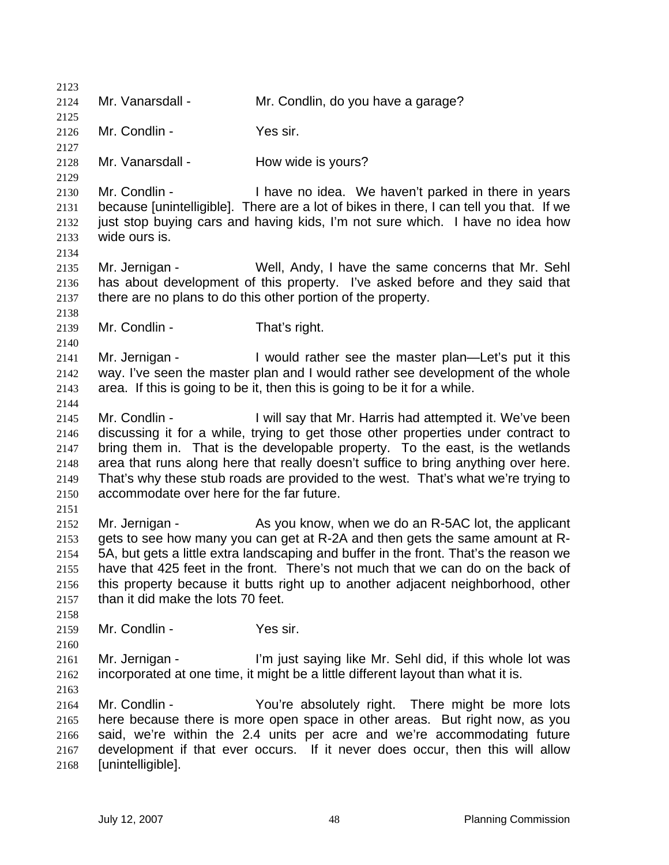Mr. Vanarsdall - Mr. Condlin, do you have a garage? Mr. Condlin - Yes sir. 2128 Mr. Vanarsdall - How wide is yours? Mr. Condlin - I have no idea. We haven't parked in there in years because [unintelligible]. There are a lot of bikes in there, I can tell you that. If we just stop buying cars and having kids, I'm not sure which. I have no idea how wide ours is. Mr. Jernigan - Well, Andy, I have the same concerns that Mr. Sehl has about development of this property. I've asked before and they said that there are no plans to do this other portion of the property. Mr. Condlin - That's right. 2141 Mr. Jernigan - I would rather see the master plan—Let's put it this way. I've seen the master plan and I would rather see development of the whole area. If this is going to be it, then this is going to be it for a while. Mr. Condlin - I will say that Mr. Harris had attempted it. We've been discussing it for a while, trying to get those other properties under contract to bring them in. That is the developable property. To the east, is the wetlands area that runs along here that really doesn't suffice to bring anything over here. That's why these stub roads are provided to the west. That's what we're trying to accommodate over here for the far future. Mr. Jernigan - As you know, when we do an R-5AC lot, the applicant gets to see how many you can get at R-2A and then gets the same amount at R-5A, but gets a little extra landscaping and buffer in the front. That's the reason we have that 425 feet in the front. There's not much that we can do on the back of this property because it butts right up to another adjacent neighborhood, other than it did make the lots 70 feet. Mr. Condlin - Yes sir. Mr. Jernigan - I'm just saying like Mr. Sehl did, if this whole lot was incorporated at one time, it might be a little different layout than what it is. Mr. Condlin - You're absolutely right. There might be more lots here because there is more open space in other areas. But right now, as you said, we're within the 2.4 units per acre and we're accommodating future development if that ever occurs. If it never does occur, then this will allow [unintelligible].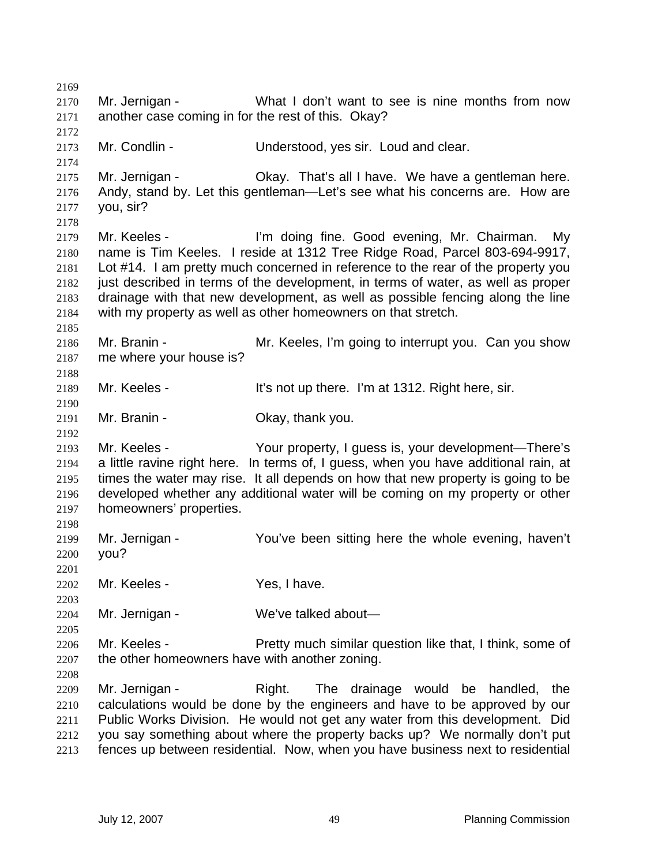Mr. Jernigan - What I don't want to see is nine months from now another case coming in for the rest of this. Okay? Mr. Condlin - Understood, yes sir. Loud and clear. Mr. Jernigan - Okay. That's all I have. We have a gentleman here. Andy, stand by. Let this gentleman—Let's see what his concerns are. How are you, sir? Mr. Keeles - I'm doing fine. Good evening, Mr. Chairman. My name is Tim Keeles. I reside at 1312 Tree Ridge Road, Parcel 803-694-9917, Lot #14. I am pretty much concerned in reference to the rear of the property you just described in terms of the development, in terms of water, as well as proper drainage with that new development, as well as possible fencing along the line with my property as well as other homeowners on that stretch. Mr. Branin - Mr. Keeles, I'm going to interrupt you. Can you show me where your house is? Mr. Keeles - It's not up there. I'm at 1312. Right here, sir. Mr. Branin - Okay, thank you. Mr. Keeles - Your property, I guess is, your development—There's a little ravine right here. In terms of, I guess, when you have additional rain, at times the water may rise. It all depends on how that new property is going to be developed whether any additional water will be coming on my property or other homeowners' properties. Mr. Jernigan - You've been sitting here the whole evening, haven't you? Mr. Keeles - Yes, I have. Mr. Jernigan - We've talked about— Mr. Keeles - Pretty much similar question like that, I think, some of the other homeowners have with another zoning. Mr. Jernigan - Right. The drainage would be handled, the calculations would be done by the engineers and have to be approved by our Public Works Division. He would not get any water from this development. Did you say something about where the property backs up? We normally don't put fences up between residential. Now, when you have business next to residential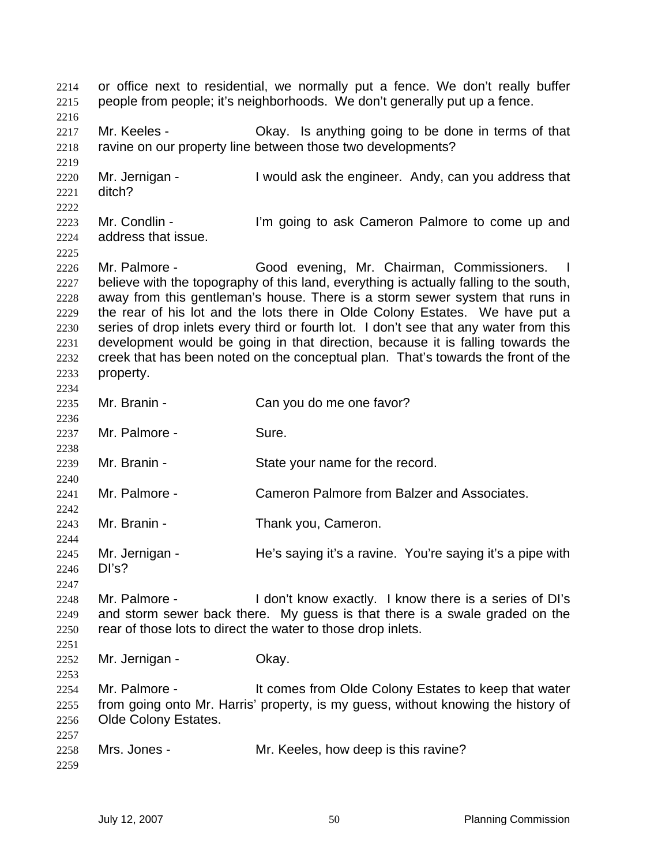or office next to residential, we normally put a fence. We don't really buffer people from people; it's neighborhoods. We don't generally put up a fence. 2217 Mr. Keeles - Ckay. Is anything going to be done in terms of that 2218 ravine on our property line between those two developments? 2220 Mr. Jernigan - I would ask the engineer. Andy, can you address that ditch? Mr. Condlin - I'm going to ask Cameron Palmore to come up and address that issue. Mr. Palmore - Good evening, Mr. Chairman, Commissioners. I believe with the topography of this land, everything is actually falling to the south, away from this gentleman's house. There is a storm sewer system that runs in the rear of his lot and the lots there in Olde Colony Estates. We have put a series of drop inlets every third or fourth lot. I don't see that any water from this development would be going in that direction, because it is falling towards the creek that has been noted on the conceptual plan. That's towards the front of the property. Mr. Branin - Can you do me one favor? Mr. Palmore - Sure. Mr. Branin - State your name for the record. Mr. Palmore - Cameron Palmore from Balzer and Associates. Mr. Branin - Thank you, Cameron. Mr. Jernigan - He's saying it's a ravine. You're saying it's a pipe with DI's? Mr. Palmore - I don't know exactly. I know there is a series of DI's and storm sewer back there. My guess is that there is a swale graded on the rear of those lots to direct the water to those drop inlets. Mr. Jernigan - Okay. Mr. Palmore - It comes from Olde Colony Estates to keep that water from going onto Mr. Harris' property, is my guess, without knowing the history of Olde Colony Estates. Mrs. Jones - Mr. Keeles, how deep is this ravine?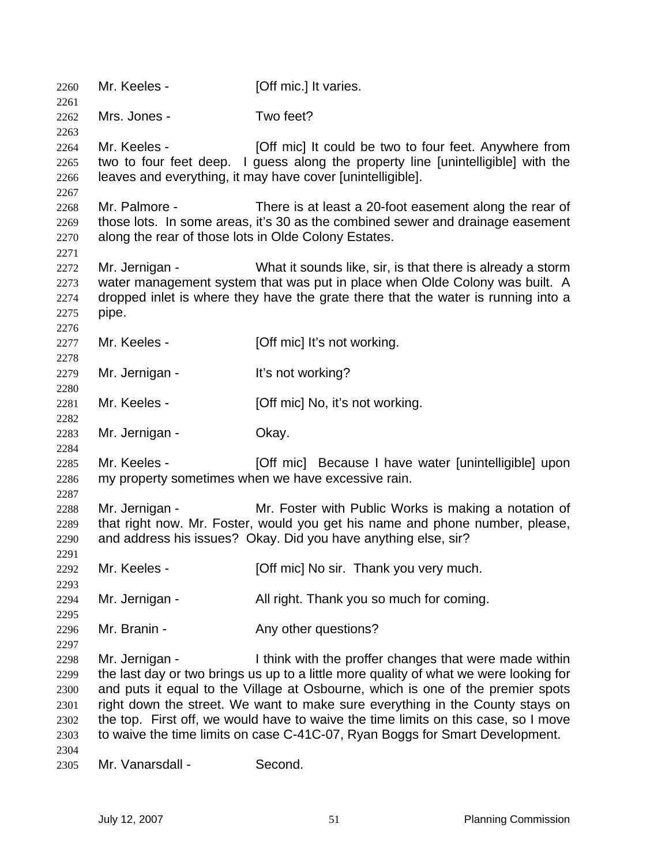2260 Mr. Keeles - [Off mic.] It varies. Mrs. Jones - Two feet? 2264 Mr. Keeles - [Off mic] It could be two to four feet. Anywhere from two to four feet deep. I guess along the property line [unintelligible] with the leaves and everything, it may have cover [unintelligible]. Mr. Palmore - There is at least a 20-foot easement along the rear of those lots. In some areas, it's 30 as the combined sewer and drainage easement along the rear of those lots in Olde Colony Estates. Mr. Jernigan - What it sounds like, sir, is that there is already a storm water management system that was put in place when Olde Colony was built. A dropped inlet is where they have the grate there that the water is running into a pipe. 2277 Mr. Keeles - [Off mic] It's not working. 2279 Mr. Jernigan - It's not working? 2281 Mr. Keeles - [Off mic] No, it's not working. Mr. Jernigan - Okay. 2285 Mr. Keeles - [Off mic] Because I have water [unintelligible] upon my property sometimes when we have excessive rain. Mr. Jernigan - Mr. Foster with Public Works is making a notation of that right now. Mr. Foster, would you get his name and phone number, please, and address his issues? Okay. Did you have anything else, sir? Mr. Keeles - [Off mic] No sir. Thank you very much. Mr. Jernigan - All right. Thank you so much for coming. 2296 Mr. Branin - Any other questions? Mr. Jernigan - I think with the proffer changes that were made within the last day or two brings us up to a little more quality of what we were looking for and puts it equal to the Village at Osbourne, which is one of the premier spots right down the street. We want to make sure everything in the County stays on the top. First off, we would have to waive the time limits on this case, so I move to waive the time limits on case C-41C-07, Ryan Boggs for Smart Development. Mr. Vanarsdall - Second.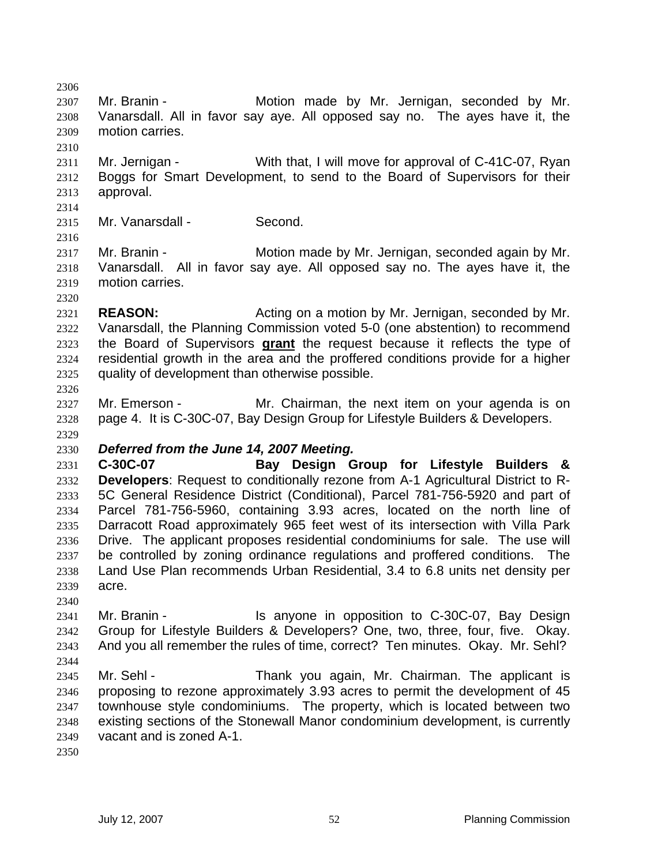Mr. Branin - Motion made by Mr. Jernigan, seconded by Mr. Vanarsdall. All in favor say aye. All opposed say no. The ayes have it, the motion carries. 2311 Mr. Jernigan - With that, I will move for approval of C-41C-07, Ryan Boggs for Smart Development, to send to the Board of Supervisors for their approval. 2315 Mr. Vanarsdall - Second. Mr. Branin - Motion made by Mr. Jernigan, seconded again by Mr. Vanarsdall. All in favor say aye. All opposed say no. The ayes have it, the motion carries. **REASON:** Acting on a motion by Mr. Jernigan, seconded by Mr. Vanarsdall, the Planning Commission voted 5-0 (one abstention) to recommend the Board of Supervisors **grant** the request because it reflects the type of residential growth in the area and the proffered conditions provide for a higher quality of development than otherwise possible. 2327 Mr. Emerson - Mr. Chairman, the next item on your agenda is on page 4. It is C-30C-07, Bay Design Group for Lifestyle Builders & Developers. *Deferred from the June 14, 2007 Meeting.*  **C-30C-07 Bay Design Group for Lifestyle Builders & Developers**: Request to conditionally rezone from A-1 Agricultural District to R-5C General Residence District (Conditional), Parcel 781-756-5920 and part of Parcel 781-756-5960, containing 3.93 acres, located on the north line of Darracott Road approximately 965 feet west of its intersection with Villa Park Drive. The applicant proposes residential condominiums for sale. The use will be controlled by zoning ordinance regulations and proffered conditions. The Land Use Plan recommends Urban Residential, 3.4 to 6.8 units net density per acre. Mr. Branin - Is anyone in opposition to C-30C-07, Bay Design Group for Lifestyle Builders & Developers? One, two, three, four, five. Okay. And you all remember the rules of time, correct? Ten minutes. Okay. Mr. Sehl? Mr. Sehl - Thank you again, Mr. Chairman. The applicant is proposing to rezone approximately 3.93 acres to permit the development of 45 townhouse style condominiums. The property, which is located between two existing sections of the Stonewall Manor condominium development, is currently vacant and is zoned A-1.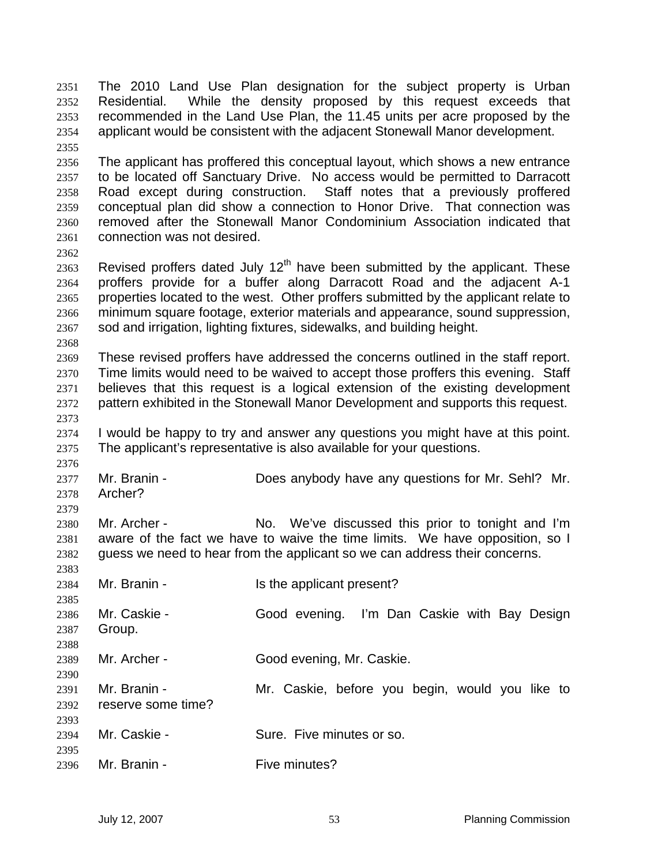The 2010 Land Use Plan designation for the subject property is Urban Residential. While the density proposed by this request exceeds that recommended in the Land Use Plan, the 11.45 units per acre proposed by the applicant would be consistent with the adjacent Stonewall Manor development. The applicant has proffered this conceptual layout, which shows a new entrance to be located off Sanctuary Drive. No access would be permitted to Darracott Road except during construction. Staff notes that a previously proffered conceptual plan did show a connection to Honor Drive. That connection was removed after the Stonewall Manor Condominium Association indicated that connection was not desired. 2363 Revised proffers dated July  $12<sup>th</sup>$  have been submitted by the applicant. These proffers provide for a buffer along Darracott Road and the adjacent A-1 properties located to the west. Other proffers submitted by the applicant relate to minimum square footage, exterior materials and appearance, sound suppression, sod and irrigation, lighting fixtures, sidewalks, and building height. These revised proffers have addressed the concerns outlined in the staff report. Time limits would need to be waived to accept those proffers this evening. Staff believes that this request is a logical extension of the existing development pattern exhibited in the Stonewall Manor Development and supports this request. I would be happy to try and answer any questions you might have at this point. The applicant's representative is also available for your questions. Mr. Branin - Does anybody have any questions for Mr. Sehl? Mr. Archer? Mr. Archer - No. We've discussed this prior to tonight and I'm aware of the fact we have to waive the time limits. We have opposition, so I guess we need to hear from the applicant so we can address their concerns. 2384 Mr. Branin - Is the applicant present? Mr. Caskie - Good evening. I'm Dan Caskie with Bay Design Group. Mr. Archer - Good evening, Mr. Caskie. Mr. Branin - Mr. Caskie, before you begin, would you like to reserve some time? 2394 Mr. Caskie - Sure. Five minutes or so. Mr. Branin - Five minutes?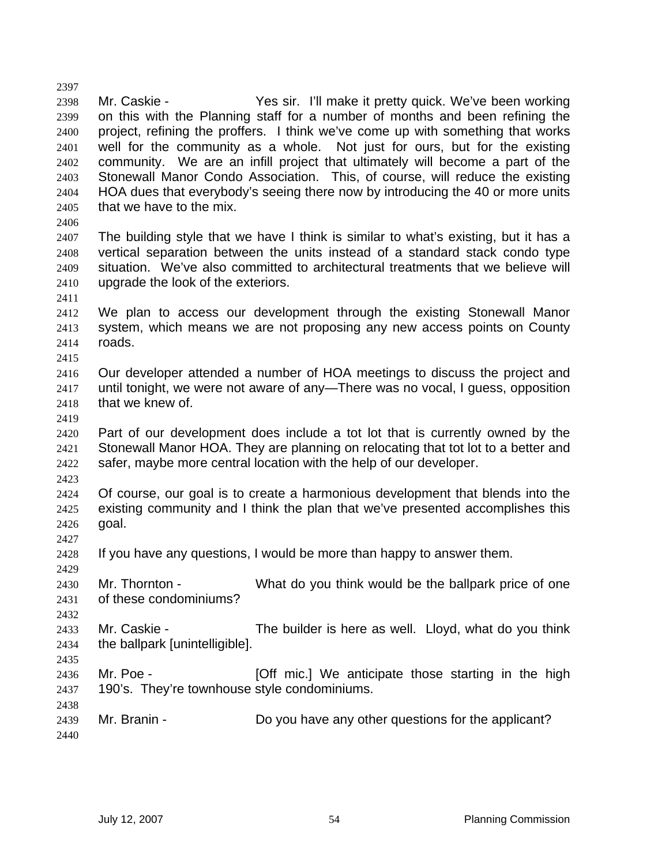Mr. Caskie - Yes sir. I'll make it pretty quick. We've been working on this with the Planning staff for a number of months and been refining the project, refining the proffers. I think we've come up with something that works well for the community as a whole. Not just for ours, but for the existing community. We are an infill project that ultimately will become a part of the Stonewall Manor Condo Association. This, of course, will reduce the existing HOA dues that everybody's seeing there now by introducing the 40 or more units that we have to the mix. The building style that we have I think is similar to what's existing, but it has a vertical separation between the units instead of a standard stack condo type situation. We've also committed to architectural treatments that we believe will upgrade the look of the exteriors. We plan to access our development through the existing Stonewall Manor system, which means we are not proposing any new access points on County roads. Our developer attended a number of HOA meetings to discuss the project and until tonight, we were not aware of any—There was no vocal, I guess, opposition that we knew of. Part of our development does include a tot lot that is currently owned by the Stonewall Manor HOA. They are planning on relocating that tot lot to a better and safer, maybe more central location with the help of our developer. Of course, our goal is to create a harmonious development that blends into the existing community and I think the plan that we've presented accomplishes this goal. If you have any questions, I would be more than happy to answer them. Mr. Thornton - What do you think would be the ballpark price of one of these condominiums? Mr. Caskie - The builder is here as well. Lloyd, what do you think the ballpark [unintelligible]. 2436 Mr. Poe - **[Off mic.]** We anticipate those starting in the high 190's. They're townhouse style condominiums. Mr. Branin - Do you have any other questions for the applicant?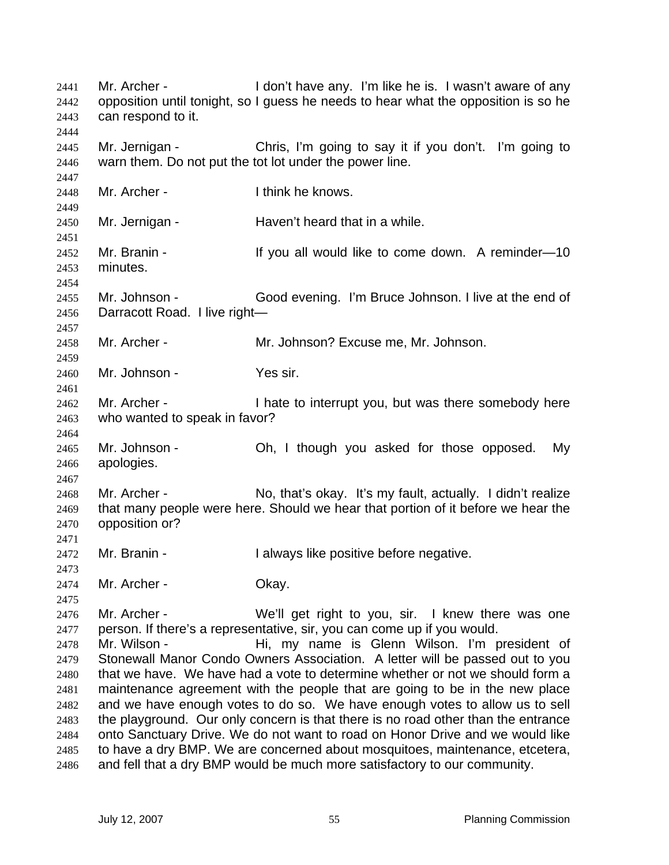Mr. Archer - I don't have any. I'm like he is. I wasn't aware of any opposition until tonight, so I guess he needs to hear what the opposition is so he can respond to it. Mr. Jernigan - Chris, I'm going to say it if you don't. I'm going to warn them. Do not put the tot lot under the power line. 2448 Mr. Archer - Ithink he knows. Mr. Jernigan - Haven't heard that in a while. 2452 Mr. Branin - If you all would like to come down. A reminder-10 minutes. Mr. Johnson - Good evening. I'm Bruce Johnson. I live at the end of Darracott Road. I live right— Mr. Archer - Mr. Johnson? Excuse me, Mr. Johnson. Mr. Johnson - Yes sir. 2462 Mr. Archer - I hate to interrupt you, but was there somebody here who wanted to speak in favor? Mr. Johnson - Oh, I though you asked for those opposed. My apologies. Mr. Archer - No, that's okay. It's my fault, actually. I didn't realize that many people were here. Should we hear that portion of it before we hear the opposition or? Mr. Branin - I always like positive before negative. 2474 Mr. Archer - Okay. Mr. Archer - We'll get right to you, sir. I knew there was one person. If there's a representative, sir, you can come up if you would. Mr. Wilson - Hi, my name is Glenn Wilson. I'm president of Stonewall Manor Condo Owners Association. A letter will be passed out to you that we have. We have had a vote to determine whether or not we should form a maintenance agreement with the people that are going to be in the new place and we have enough votes to do so. We have enough votes to allow us to sell the playground. Our only concern is that there is no road other than the entrance onto Sanctuary Drive. We do not want to road on Honor Drive and we would like to have a dry BMP. We are concerned about mosquitoes, maintenance, etcetera, and fell that a dry BMP would be much more satisfactory to our community.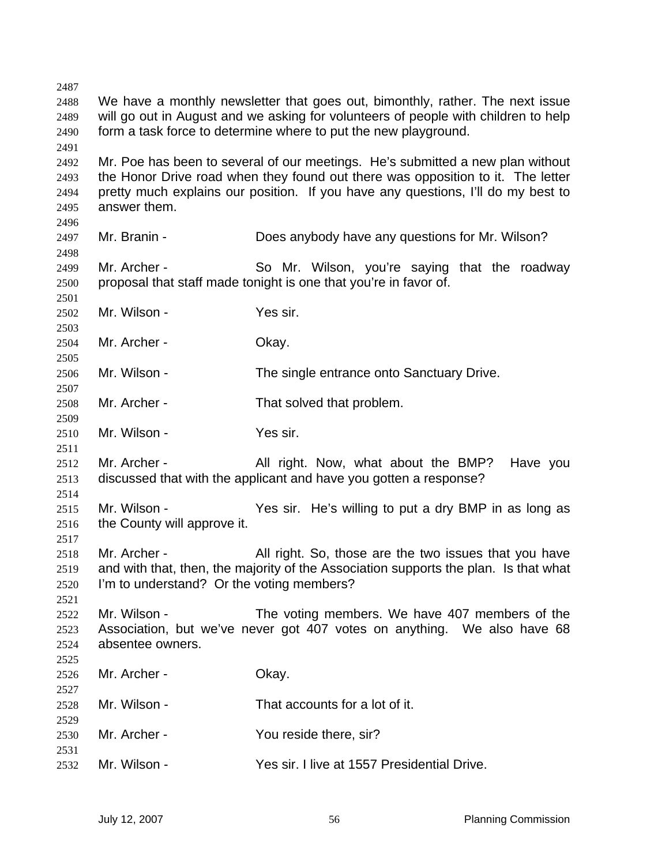We have a monthly newsletter that goes out, bimonthly, rather. The next issue will go out in August and we asking for volunteers of people with children to help form a task force to determine where to put the new playground. Mr. Poe has been to several of our meetings. He's submitted a new plan without the Honor Drive road when they found out there was opposition to it. The letter pretty much explains our position. If you have any questions, I'll do my best to answer them. Mr. Branin - Does anybody have any questions for Mr. Wilson? Mr. Archer - So Mr. Wilson, you're saying that the roadway proposal that staff made tonight is one that you're in favor of. Mr. Wilson - Yes sir. Mr. Archer - Okay. Mr. Wilson - The single entrance onto Sanctuary Drive. Mr. Archer - That solved that problem. Mr. Wilson - Yes sir. 2512 Mr. Archer - All right. Now, what about the BMP? Have you discussed that with the applicant and have you gotten a response? Mr. Wilson - Yes sir. He's willing to put a dry BMP in as long as the County will approve it. Mr. Archer - All right. So, those are the two issues that you have and with that, then, the majority of the Association supports the plan. Is that what I'm to understand? Or the voting members? Mr. Wilson - The voting members. We have 407 members of the Association, but we've never got 407 votes on anything. We also have 68 absentee owners. Mr. Archer - Okay. Mr. Wilson - That accounts for a lot of it. Mr. Archer - You reside there, sir? Mr. Wilson - Yes sir. I live at 1557 Presidential Drive.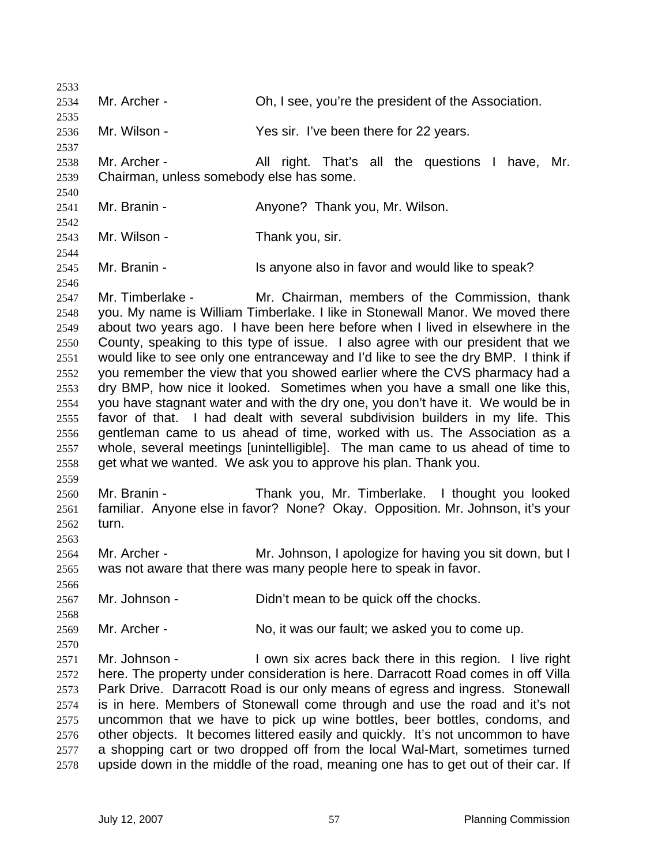Mr. Archer - Oh, I see, you're the president of the Association. Mr. Wilson - Yes sir. I've been there for 22 years. Mr. Archer - All right. That's all the questions I have, Mr. Chairman, unless somebody else has some. 2541 Mr. Branin - **Anyone?** Thank you, Mr. Wilson. Mr. Wilson - Thank you, sir. Mr. Branin - Is anyone also in favor and would like to speak? Mr. Timberlake - Mr. Chairman, members of the Commission, thank you. My name is William Timberlake. I like in Stonewall Manor. We moved there about two years ago. I have been here before when I lived in elsewhere in the County, speaking to this type of issue. I also agree with our president that we would like to see only one entranceway and I'd like to see the dry BMP. I think if you remember the view that you showed earlier where the CVS pharmacy had a dry BMP, how nice it looked. Sometimes when you have a small one like this, you have stagnant water and with the dry one, you don't have it. We would be in favor of that. I had dealt with several subdivision builders in my life. This gentleman came to us ahead of time, worked with us. The Association as a whole, several meetings [unintelligible]. The man came to us ahead of time to get what we wanted. We ask you to approve his plan. Thank you. Mr. Branin - Thank you, Mr. Timberlake. I thought you looked familiar. Anyone else in favor? None? Okay. Opposition. Mr. Johnson, it's your turn. 2564 Mr. Archer - Mr. Johnson, I apologize for having you sit down, but I was not aware that there was many people here to speak in favor. Mr. Johnson - Didn't mean to be quick off the chocks. Mr. Archer - No, it was our fault; we asked you to come up. Mr. Johnson - I own six acres back there in this region. I live right here. The property under consideration is here. Darracott Road comes in off Villa Park Drive. Darracott Road is our only means of egress and ingress. Stonewall is in here. Members of Stonewall come through and use the road and it's not uncommon that we have to pick up wine bottles, beer bottles, condoms, and other objects. It becomes littered easily and quickly. It's not uncommon to have a shopping cart or two dropped off from the local Wal-Mart, sometimes turned upside down in the middle of the road, meaning one has to get out of their car. If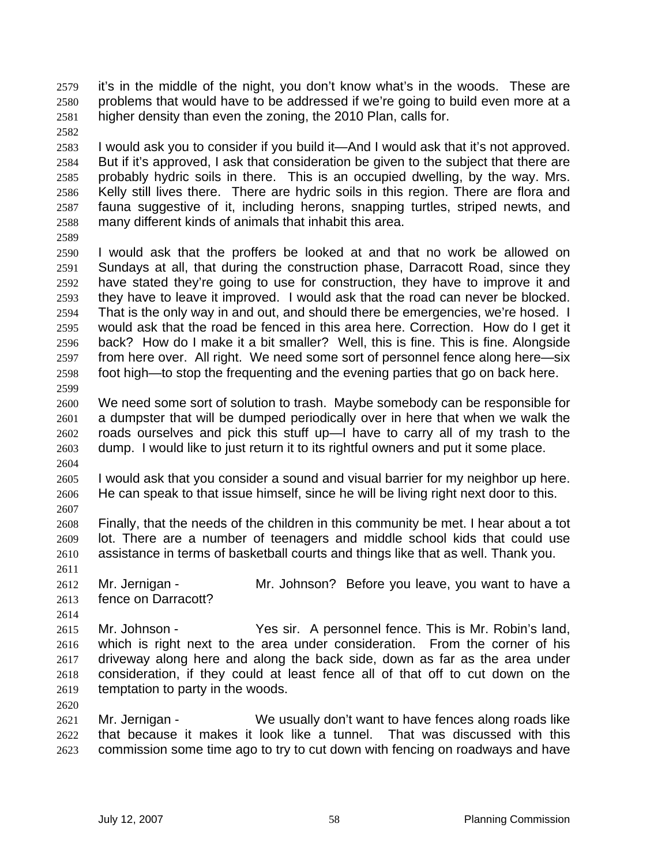- it's in the middle of the night, you don't know what's in the woods. These are problems that would have to be addressed if we're going to build even more at a higher density than even the zoning, the 2010 Plan, calls for.
- I would ask you to consider if you build it—And I would ask that it's not approved. But if it's approved, I ask that consideration be given to the subject that there are probably hydric soils in there. This is an occupied dwelling, by the way. Mrs. Kelly still lives there. There are hydric soils in this region. There are flora and fauna suggestive of it, including herons, snapping turtles, striped newts, and many different kinds of animals that inhabit this area.
- 

I would ask that the proffers be looked at and that no work be allowed on Sundays at all, that during the construction phase, Darracott Road, since they have stated they're going to use for construction, they have to improve it and they have to leave it improved. I would ask that the road can never be blocked. That is the only way in and out, and should there be emergencies, we're hosed. I would ask that the road be fenced in this area here. Correction. How do I get it back? How do I make it a bit smaller? Well, this is fine. This is fine. Alongside from here over. All right. We need some sort of personnel fence along here—six foot high—to stop the frequenting and the evening parties that go on back here. 

- We need some sort of solution to trash. Maybe somebody can be responsible for a dumpster that will be dumped periodically over in here that when we walk the roads ourselves and pick this stuff up—I have to carry all of my trash to the dump. I would like to just return it to its rightful owners and put it some place.
- I would ask that you consider a sound and visual barrier for my neighbor up here. He can speak to that issue himself, since he will be living right next door to this.
- Finally, that the needs of the children in this community be met. I hear about a tot lot. There are a number of teenagers and middle school kids that could use assistance in terms of basketball courts and things like that as well. Thank you.
- 
- 2612 Mr. Jernigan Mr. Johnson? Before you leave, you want to have a fence on Darracott?
- 
- Mr. Johnson Yes sir. A personnel fence. This is Mr. Robin's land, which is right next to the area under consideration. From the corner of his driveway along here and along the back side, down as far as the area under consideration, if they could at least fence all of that off to cut down on the temptation to party in the woods.
- 
- Mr. Jernigan We usually don't want to have fences along roads like that because it makes it look like a tunnel. That was discussed with this commission some time ago to try to cut down with fencing on roadways and have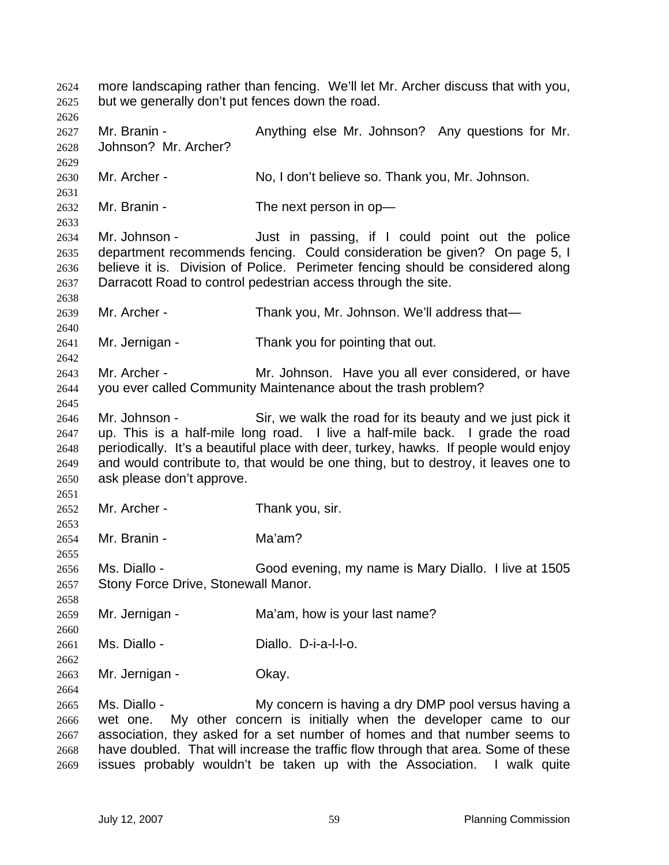more landscaping rather than fencing. We'll let Mr. Archer discuss that with you, but we generally don't put fences down the road. 2627 Mr. Branin - Anything else Mr. Johnson? Any questions for Mr. Johnson? Mr. Archer? Mr. Archer - No, I don't believe so. Thank you, Mr. Johnson. 2632 Mr. Branin - The next person in op- Mr. Johnson - Just in passing, if I could point out the police department recommends fencing. Could consideration be given? On page 5, I believe it is. Division of Police. Perimeter fencing should be considered along Darracott Road to control pedestrian access through the site. Mr. Archer - Thank you, Mr. Johnson. We'll address that— Mr. Jernigan - Thank you for pointing that out. Mr. Archer - Mr. Johnson. Have you all ever considered, or have you ever called Community Maintenance about the trash problem? Mr. Johnson - Sir, we walk the road for its beauty and we just pick it up. This is a half-mile long road. I live a half-mile back. I grade the road periodically. It's a beautiful place with deer, turkey, hawks. If people would enjoy and would contribute to, that would be one thing, but to destroy, it leaves one to ask please don't approve. Mr. Archer - Thank you, sir. Mr. Branin - Ma'am? Ms. Diallo - Good evening, my name is Mary Diallo. I live at 1505 Stony Force Drive, Stonewall Manor. Mr. Jernigan - Ma'am, how is your last name? Ms. Diallo - Diallo. D-i-a-l-l-o. Mr. Jernigan - Okay. Ms. Diallo - My concern is having a dry DMP pool versus having a wet one. My other concern is initially when the developer came to our association, they asked for a set number of homes and that number seems to have doubled. That will increase the traffic flow through that area. Some of these issues probably wouldn't be taken up with the Association. I walk quite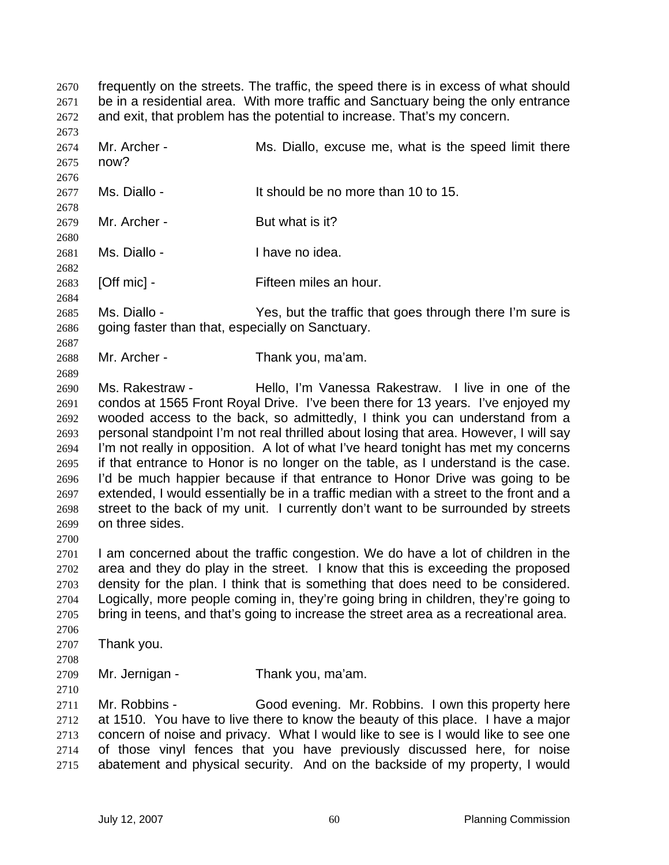frequently on the streets. The traffic, the speed there is in excess of what should be in a residential area. With more traffic and Sanctuary being the only entrance and exit, that problem has the potential to increase. That's my concern.

 2674 Mr. Archer - Ms. Diallo, excuse me, what is the speed limit there now? Ms. Diallo - It should be no more than 10 to 15. 

2679 Mr. Archer - But what is it? 

Ms. Diallo - I have no idea.

[Off mic] - Fifteen miles an hour.

Ms. Diallo - Yes, but the traffic that goes through there I'm sure is going faster than that, especially on Sanctuary.

Mr. Archer - Thank you, ma'am.

Ms. Rakestraw - Hello, I'm Vanessa Rakestraw. I live in one of the condos at 1565 Front Royal Drive. I've been there for 13 years. I've enjoyed my wooded access to the back, so admittedly, I think you can understand from a personal standpoint I'm not real thrilled about losing that area. However, I will say I'm not really in opposition. A lot of what I've heard tonight has met my concerns if that entrance to Honor is no longer on the table, as I understand is the case. I'd be much happier because if that entrance to Honor Drive was going to be extended, I would essentially be in a traffic median with a street to the front and a street to the back of my unit. I currently don't want to be surrounded by streets on three sides.

I am concerned about the traffic congestion. We do have a lot of children in the area and they do play in the street. I know that this is exceeding the proposed density for the plan. I think that is something that does need to be considered. Logically, more people coming in, they're going bring in children, they're going to bring in teens, and that's going to increase the street area as a recreational area. 

Thank you.

Mr. Jernigan - Thank you, ma'am.

Mr. Robbins - Good evening. Mr. Robbins. I own this property here at 1510. You have to live there to know the beauty of this place. I have a major concern of noise and privacy. What I would like to see is I would like to see one of those vinyl fences that you have previously discussed here, for noise abatement and physical security. And on the backside of my property, I would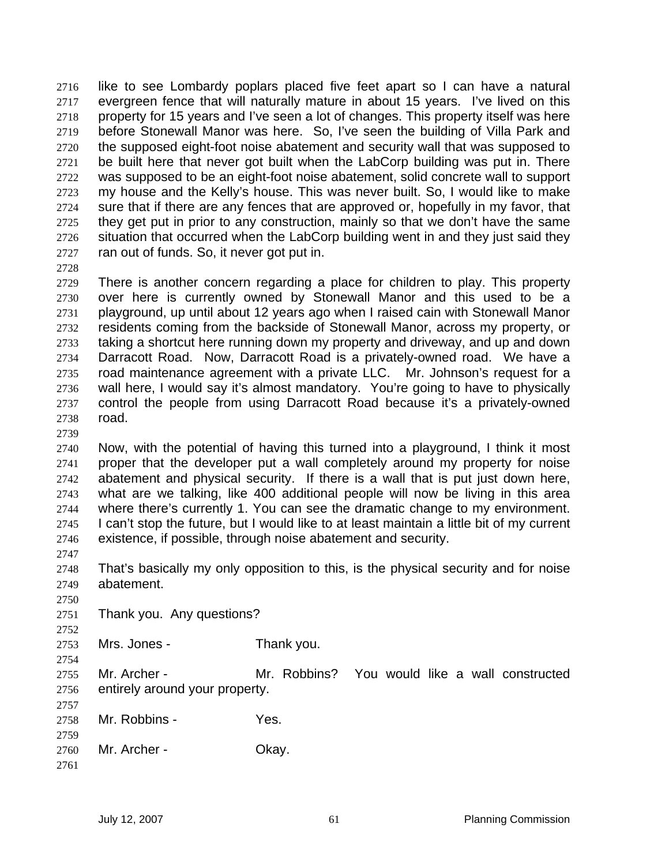like to see Lombardy poplars placed five feet apart so I can have a natural evergreen fence that will naturally mature in about 15 years. I've lived on this property for 15 years and I've seen a lot of changes. This property itself was here before Stonewall Manor was here. So, I've seen the building of Villa Park and the supposed eight-foot noise abatement and security wall that was supposed to be built here that never got built when the LabCorp building was put in. There was supposed to be an eight-foot noise abatement, solid concrete wall to support my house and the Kelly's house. This was never built. So, I would like to make sure that if there are any fences that are approved or, hopefully in my favor, that they get put in prior to any construction, mainly so that we don't have the same situation that occurred when the LabCorp building went in and they just said they ran out of funds. So, it never got put in.

There is another concern regarding a place for children to play. This property over here is currently owned by Stonewall Manor and this used to be a playground, up until about 12 years ago when I raised cain with Stonewall Manor residents coming from the backside of Stonewall Manor, across my property, or taking a shortcut here running down my property and driveway, and up and down Darracott Road. Now, Darracott Road is a privately-owned road. We have a road maintenance agreement with a private LLC. Mr. Johnson's request for a wall here, I would say it's almost mandatory. You're going to have to physically control the people from using Darracott Road because it's a privately-owned road.

Now, with the potential of having this turned into a playground, I think it most proper that the developer put a wall completely around my property for noise abatement and physical security. If there is a wall that is put just down here, what are we talking, like 400 additional people will now be living in this area where there's currently 1. You can see the dramatic change to my environment. 2745 I can't stop the future, but I would like to at least maintain a little bit of my current existence, if possible, through noise abatement and security.

That's basically my only opposition to this, is the physical security and for noise abatement.

Thank you. Any questions?

 Mrs. Jones - Thank you.

Mr. Archer - Mr. Robbins? You would like a wall constructed entirely around your property. 

Mr. Robbins - Yes.

Mr. Archer - Okay.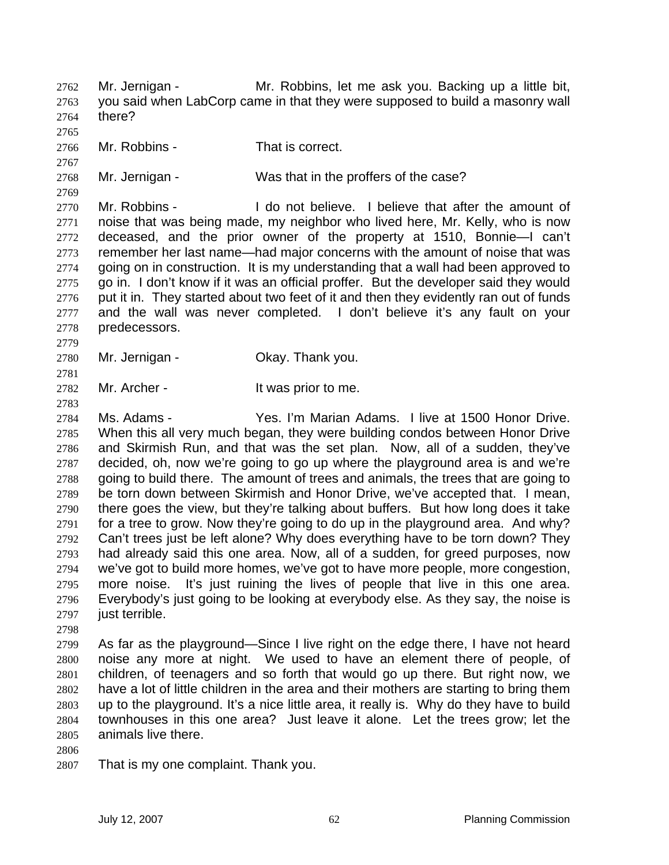Mr. Jernigan - Mr. Robbins, let me ask you. Backing up a little bit, you said when LabCorp came in that they were supposed to build a masonry wall there?

Mr. Robbins - That is correct.

Mr. Jernigan - Was that in the proffers of the case?

Mr. Robbins - I do not believe. I believe that after the amount of noise that was being made, my neighbor who lived here, Mr. Kelly, who is now deceased, and the prior owner of the property at 1510, Bonnie—I can't remember her last name—had major concerns with the amount of noise that was going on in construction. It is my understanding that a wall had been approved to go in. I don't know if it was an official proffer. But the developer said they would 2776 put it in. They started about two feet of it and then they evidently ran out of funds and the wall was never completed. I don't believe it's any fault on your predecessors.

Mr. Jernigan - Okay. Thank you.

Mr. Archer - It was prior to me.

Ms. Adams - Yes. I'm Marian Adams. I live at 1500 Honor Drive. When this all very much began, they were building condos between Honor Drive and Skirmish Run, and that was the set plan. Now, all of a sudden, they've decided, oh, now we're going to go up where the playground area is and we're going to build there. The amount of trees and animals, the trees that are going to be torn down between Skirmish and Honor Drive, we've accepted that. I mean, there goes the view, but they're talking about buffers. But how long does it take for a tree to grow. Now they're going to do up in the playground area. And why? Can't trees just be left alone? Why does everything have to be torn down? They had already said this one area. Now, all of a sudden, for greed purposes, now we've got to build more homes, we've got to have more people, more congestion, more noise. It's just ruining the lives of people that live in this one area. Everybody's just going to be looking at everybody else. As they say, the noise is 2797 just terrible.

As far as the playground—Since I live right on the edge there, I have not heard noise any more at night. We used to have an element there of people, of children, of teenagers and so forth that would go up there. But right now, we have a lot of little children in the area and their mothers are starting to bring them up to the playground. It's a nice little area, it really is. Why do they have to build townhouses in this one area? Just leave it alone. Let the trees grow; let the animals live there.

- 
- That is my one complaint. Thank you.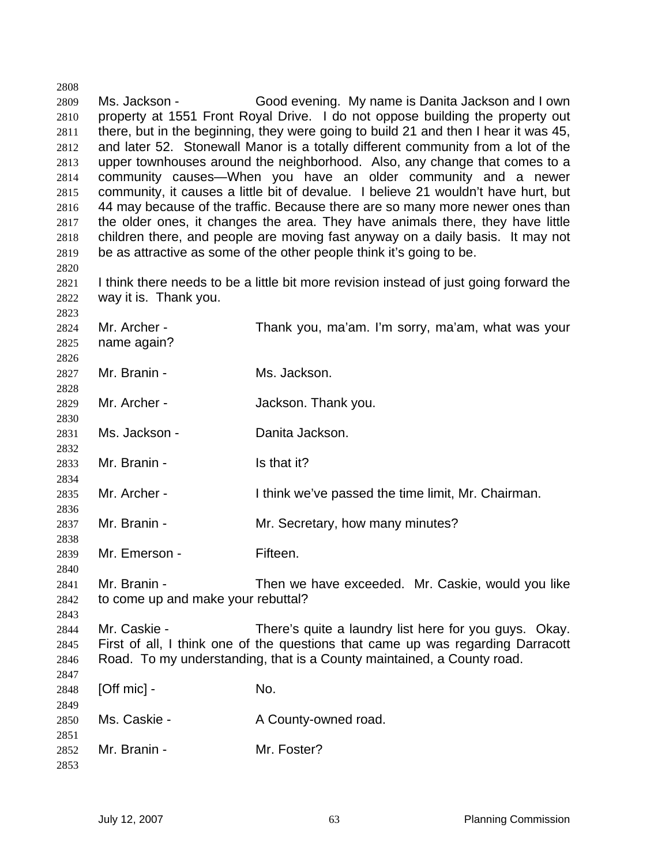Ms. Jackson - Good evening. My name is Danita Jackson and I own property at 1551 Front Royal Drive. I do not oppose building the property out there, but in the beginning, they were going to build 21 and then I hear it was 45, and later 52. Stonewall Manor is a totally different community from a lot of the upper townhouses around the neighborhood. Also, any change that comes to a community causes—When you have an older community and a newer community, it causes a little bit of devalue. I believe 21 wouldn't have hurt, but 44 may because of the traffic. Because there are so many more newer ones than the older ones, it changes the area. They have animals there, they have little children there, and people are moving fast anyway on a daily basis. It may not be as attractive as some of the other people think it's going to be. 

2821 I think there needs to be a little bit more revision instead of just going forward the way it is. Thank you.

| 2824<br>2825 | Mr. Archer -<br>name again?        | Thank you, ma'am. I'm sorry, ma'am, what was your                               |
|--------------|------------------------------------|---------------------------------------------------------------------------------|
| 2826<br>2827 | Mr. Branin -                       | Ms. Jackson.                                                                    |
| 2828         |                                    |                                                                                 |
| 2829         | Mr. Archer -                       | Jackson. Thank you.                                                             |
| 2830         |                                    |                                                                                 |
| 2831         | Ms. Jackson -                      | Danita Jackson.                                                                 |
| 2832         |                                    |                                                                                 |
| 2833         | Mr. Branin -                       | Is that it?                                                                     |
| 2834         |                                    |                                                                                 |
| 2835         | Mr. Archer -                       | I think we've passed the time limit, Mr. Chairman.                              |
| 2836         |                                    |                                                                                 |
| 2837         | Mr. Branin -                       | Mr. Secretary, how many minutes?                                                |
| 2838         |                                    |                                                                                 |
| 2839         | Mr. Emerson -                      | Fifteen.                                                                        |
| 2840         | Mr. Branin -                       | Then we have exceeded. Mr. Caskie, would you like                               |
| 2841<br>2842 | to come up and make your rebuttal? |                                                                                 |
| 2843         |                                    |                                                                                 |
| 2844         | Mr. Caskie -                       | There's quite a laundry list here for you guys. Okay.                           |
| 2845         |                                    | First of all, I think one of the questions that came up was regarding Darracott |
| 2846         |                                    | Road. To my understanding, that is a County maintained, a County road.          |
| 2847         |                                    |                                                                                 |
| 2848         | $[Off$ mic $]$ -                   | No.                                                                             |
| 2849         |                                    |                                                                                 |
| 2850         | Ms. Caskie -                       | A County-owned road.                                                            |
| 2851         |                                    |                                                                                 |
| 2852         | Mr. Branin -                       | Mr. Foster?                                                                     |
| 2853         |                                    |                                                                                 |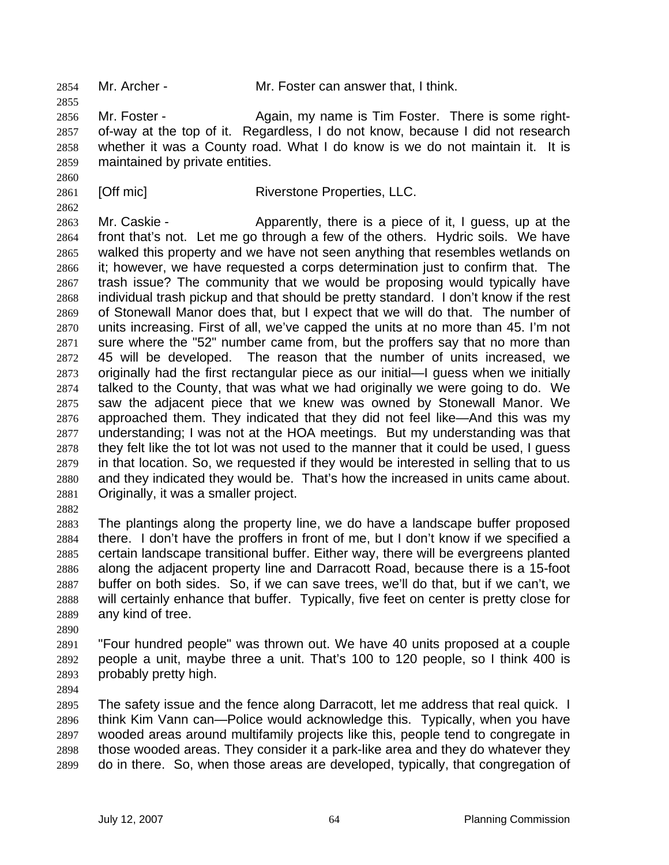Mr. Archer - Mr. Foster can answer that, I think.

2856 Mr. Foster - Again, my name is Tim Foster. There is some right-of-way at the top of it. Regardless, I do not know, because I did not research whether it was a County road. What I do know is we do not maintain it. It is maintained by private entities.

2861 [Off mic] Riverstone Properties, LLC.

 Mr. Caskie - Apparently, there is a piece of it, I guess, up at the front that's not. Let me go through a few of the others. Hydric soils. We have walked this property and we have not seen anything that resembles wetlands on it; however, we have requested a corps determination just to confirm that. The trash issue? The community that we would be proposing would typically have individual trash pickup and that should be pretty standard. I don't know if the rest of Stonewall Manor does that, but I expect that we will do that. The number of units increasing. First of all, we've capped the units at no more than 45. I'm not sure where the "52" number came from, but the proffers say that no more than 45 will be developed. The reason that the number of units increased, we originally had the first rectangular piece as our initial—I guess when we initially talked to the County, that was what we had originally we were going to do. We saw the adjacent piece that we knew was owned by Stonewall Manor. We approached them. They indicated that they did not feel like—And this was my understanding; I was not at the HOA meetings. But my understanding was that they felt like the tot lot was not used to the manner that it could be used, I guess in that location. So, we requested if they would be interested in selling that to us and they indicated they would be. That's how the increased in units came about. Originally, it was a smaller project.

The plantings along the property line, we do have a landscape buffer proposed there. I don't have the proffers in front of me, but I don't know if we specified a certain landscape transitional buffer. Either way, there will be evergreens planted along the adjacent property line and Darracott Road, because there is a 15-foot buffer on both sides. So, if we can save trees, we'll do that, but if we can't, we will certainly enhance that buffer. Typically, five feet on center is pretty close for any kind of tree.

"Four hundred people" was thrown out. We have 40 units proposed at a couple people a unit, maybe three a unit. That's 100 to 120 people, so I think 400 is probably pretty high.

The safety issue and the fence along Darracott, let me address that real quick. I think Kim Vann can—Police would acknowledge this. Typically, when you have wooded areas around multifamily projects like this, people tend to congregate in those wooded areas. They consider it a park-like area and they do whatever they do in there. So, when those areas are developed, typically, that congregation of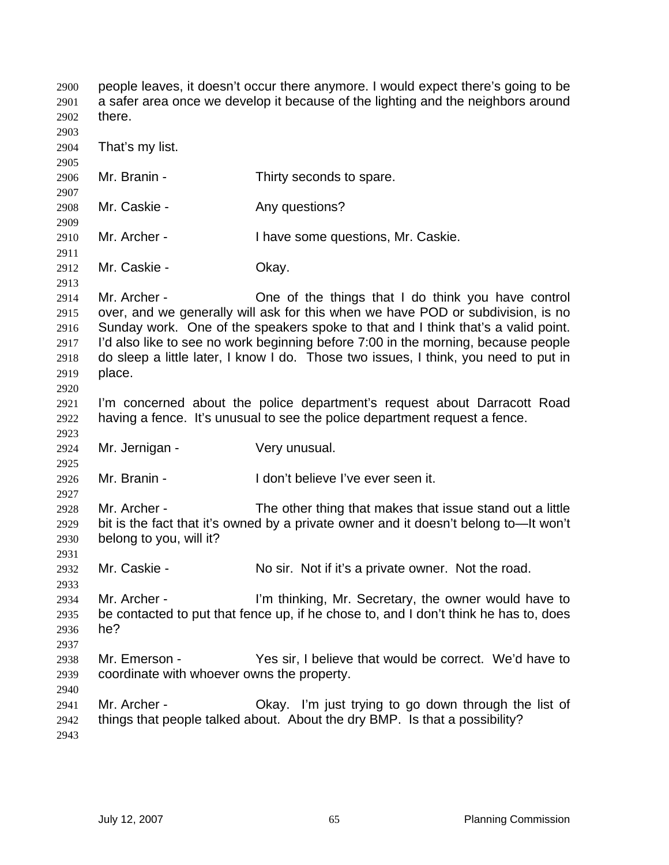people leaves, it doesn't occur there anymore. I would expect there's going to be a safer area once we develop it because of the lighting and the neighbors around there. That's my list. Mr. Branin - Thirty seconds to spare. 2908 Mr. Caskie - Any questions? Mr. Archer - I have some questions, Mr. Caskie. Mr. Caskie - Okay. Mr. Archer - One of the things that I do think you have control over, and we generally will ask for this when we have POD or subdivision, is no Sunday work. One of the speakers spoke to that and I think that's a valid point. I'd also like to see no work beginning before 7:00 in the morning, because people do sleep a little later, I know I do. Those two issues, I think, you need to put in place. I'm concerned about the police department's request about Darracott Road having a fence. It's unusual to see the police department request a fence. Mr. Jernigan - Very unusual. Mr. Branin - I don't believe I've ever seen it. Mr. Archer - The other thing that makes that issue stand out a little bit is the fact that it's owned by a private owner and it doesn't belong to—It won't belong to you, will it? 2932 Mr. Caskie - No sir. Not if it's a private owner. Not the road. Mr. Archer - I'm thinking, Mr. Secretary, the owner would have to be contacted to put that fence up, if he chose to, and I don't think he has to, does he? Mr. Emerson - Yes sir, I believe that would be correct. We'd have to coordinate with whoever owns the property. Mr. Archer - Okay. I'm just trying to go down through the list of things that people talked about. About the dry BMP. Is that a possibility?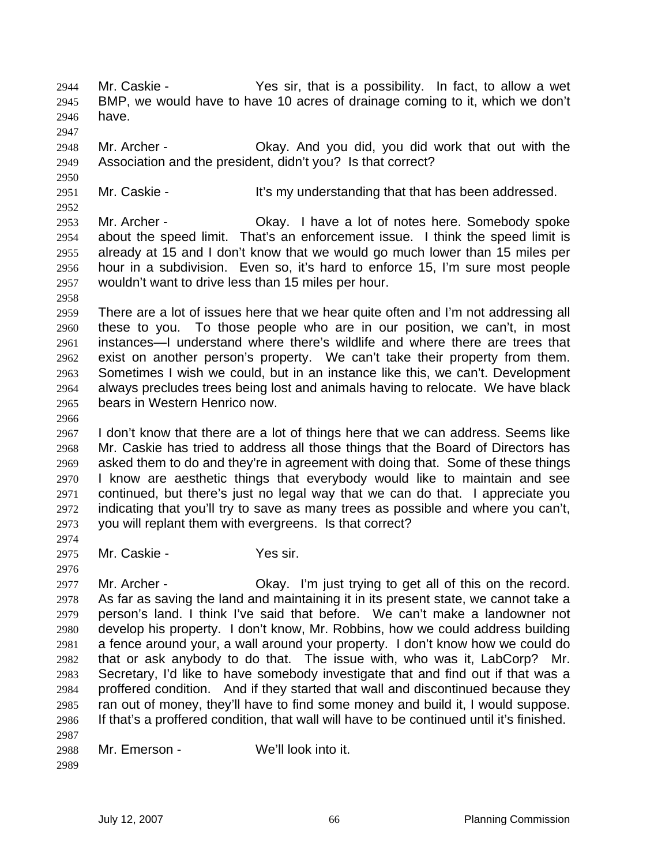Mr. Caskie - Yes sir, that is a possibility. In fact, to allow a wet BMP, we would have to have 10 acres of drainage coming to it, which we don't have. 

Mr. Archer - Okay. And you did, you did work that out with the Association and the president, didn't you? Is that correct?

2951 Mr. Caskie - It's my understanding that that has been addressed.

Mr. Archer - Okay. I have a lot of notes here. Somebody spoke about the speed limit. That's an enforcement issue. I think the speed limit is already at 15 and I don't know that we would go much lower than 15 miles per hour in a subdivision. Even so, it's hard to enforce 15, I'm sure most people wouldn't want to drive less than 15 miles per hour.

There are a lot of issues here that we hear quite often and I'm not addressing all these to you. To those people who are in our position, we can't, in most instances—I understand where there's wildlife and where there are trees that exist on another person's property. We can't take their property from them. Sometimes I wish we could, but in an instance like this, we can't. Development always precludes trees being lost and animals having to relocate. We have black bears in Western Henrico now.

I don't know that there are a lot of things here that we can address. Seems like Mr. Caskie has tried to address all those things that the Board of Directors has asked them to do and they're in agreement with doing that. Some of these things I know are aesthetic things that everybody would like to maintain and see continued, but there's just no legal way that we can do that. I appreciate you indicating that you'll try to save as many trees as possible and where you can't, you will replant them with evergreens. Is that correct?

Mr. Caskie - Yes sir.

 Mr. Archer - Okay. I'm just trying to get all of this on the record. As far as saving the land and maintaining it in its present state, we cannot take a person's land. I think I've said that before. We can't make a landowner not develop his property. I don't know, Mr. Robbins, how we could address building a fence around your, a wall around your property. I don't know how we could do that or ask anybody to do that. The issue with, who was it, LabCorp? Mr. Secretary, I'd like to have somebody investigate that and find out if that was a proffered condition. And if they started that wall and discontinued because they ran out of money, they'll have to find some money and build it, I would suppose. If that's a proffered condition, that wall will have to be continued until it's finished. 

Mr. Emerson - We'll look into it.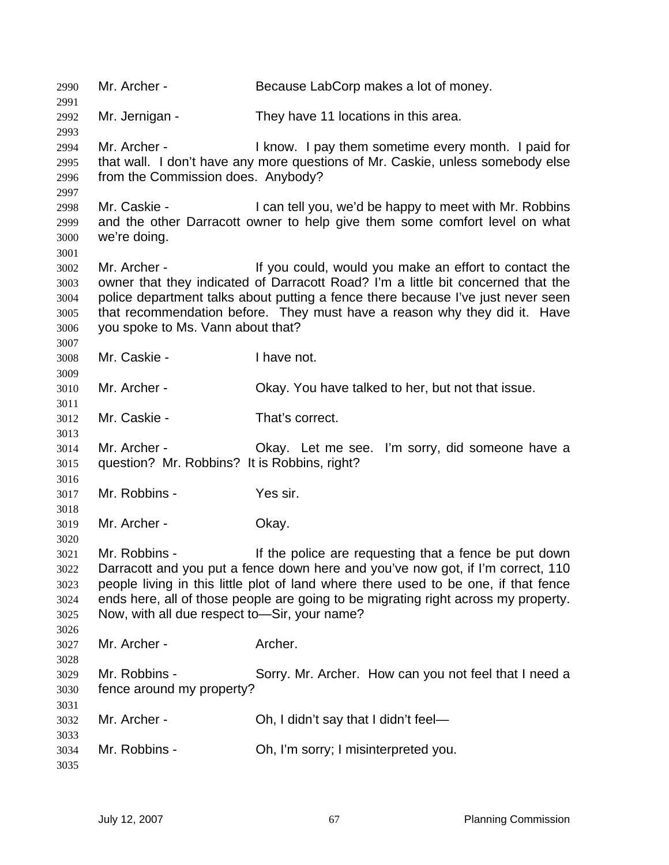Mr. Archer - Because LabCorp makes a lot of money. Mr. Jernigan - They have 11 locations in this area. Mr. Archer - I know. I pay them sometime every month. I paid for that wall. I don't have any more questions of Mr. Caskie, unless somebody else from the Commission does. Anybody? Mr. Caskie - I can tell you, we'd be happy to meet with Mr. Robbins and the other Darracott owner to help give them some comfort level on what we're doing. Mr. Archer - If you could, would you make an effort to contact the owner that they indicated of Darracott Road? I'm a little bit concerned that the police department talks about putting a fence there because I've just never seen that recommendation before. They must have a reason why they did it. Have you spoke to Ms. Vann about that? Mr. Caskie - I have not. Mr. Archer - Okay. You have talked to her, but not that issue. Mr. Caskie - That's correct. Mr. Archer - Okay. Let me see. I'm sorry, did someone have a question? Mr. Robbins? It is Robbins, right? Mr. Robbins - Yes sir. Mr. Archer - Okay. Mr. Robbins - If the police are requesting that a fence be put down Darracott and you put a fence down here and you've now got, if I'm correct, 110 people living in this little plot of land where there used to be one, if that fence ends here, all of those people are going to be migrating right across my property. Now, with all due respect to—Sir, your name? 3027 Mr. Archer - Archer. Mr. Robbins - Sorry. Mr. Archer. How can you not feel that I need a fence around my property? Mr. Archer - Oh, I didn't say that I didn't feel— Mr. Robbins - Oh, I'm sorry; I misinterpreted you.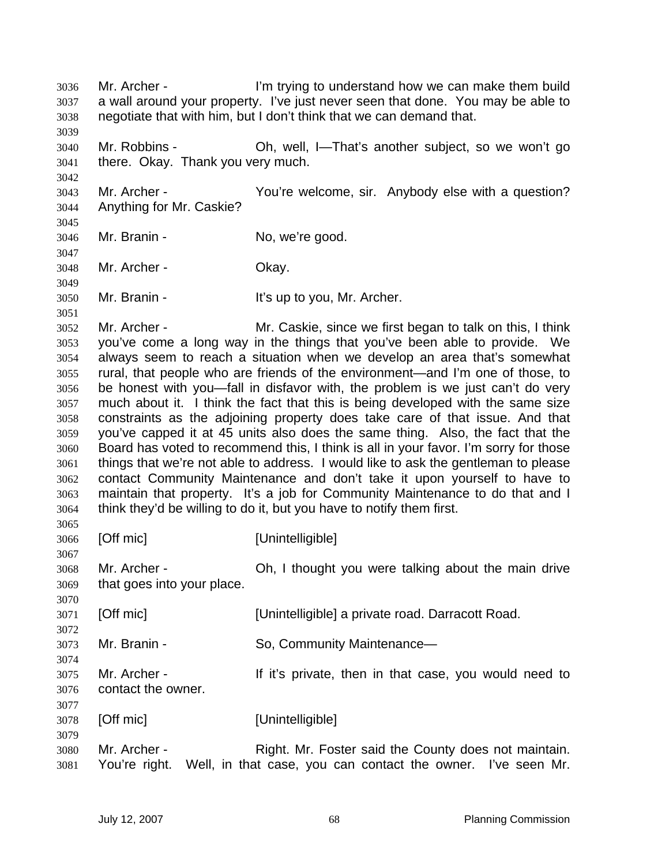Mr. Archer - I'm trying to understand how we can make them build a wall around your property. I've just never seen that done. You may be able to negotiate that with him, but I don't think that we can demand that. Mr. Robbins - Oh, well, I—That's another subject, so we won't go there. Okay. Thank you very much. Mr. Archer - You're welcome, sir. Anybody else with a question? Anything for Mr. Caskie? Mr. Branin - No, we're good. Mr. Archer - Okay. Mr. Branin - It's up to you, Mr. Archer. Mr. Archer - Mr. Caskie, since we first began to talk on this, I think you've come a long way in the things that you've been able to provide. We always seem to reach a situation when we develop an area that's somewhat rural, that people who are friends of the environment—and I'm one of those, to be honest with you—fall in disfavor with, the problem is we just can't do very much about it. I think the fact that this is being developed with the same size constraints as the adjoining property does take care of that issue. And that you've capped it at 45 units also does the same thing. Also, the fact that the Board has voted to recommend this, I think is all in your favor. I'm sorry for those things that we're not able to address. I would like to ask the gentleman to please contact Community Maintenance and don't take it upon yourself to have to maintain that property. It's a job for Community Maintenance to do that and I think they'd be willing to do it, but you have to notify them first. [Off mic] [Unintelligible] Mr. Archer - Oh, I thought you were talking about the main drive that goes into your place. [Off mic] [Unintelligible] a private road. Darracott Road. Mr. Branin - So, Community Maintenance— Mr. Archer - If it's private, then in that case, you would need to contact the owner. [Off mic] [Unintelligible] Mr. Archer - Right. Mr. Foster said the County does not maintain. You're right. Well, in that case, you can contact the owner. I've seen Mr.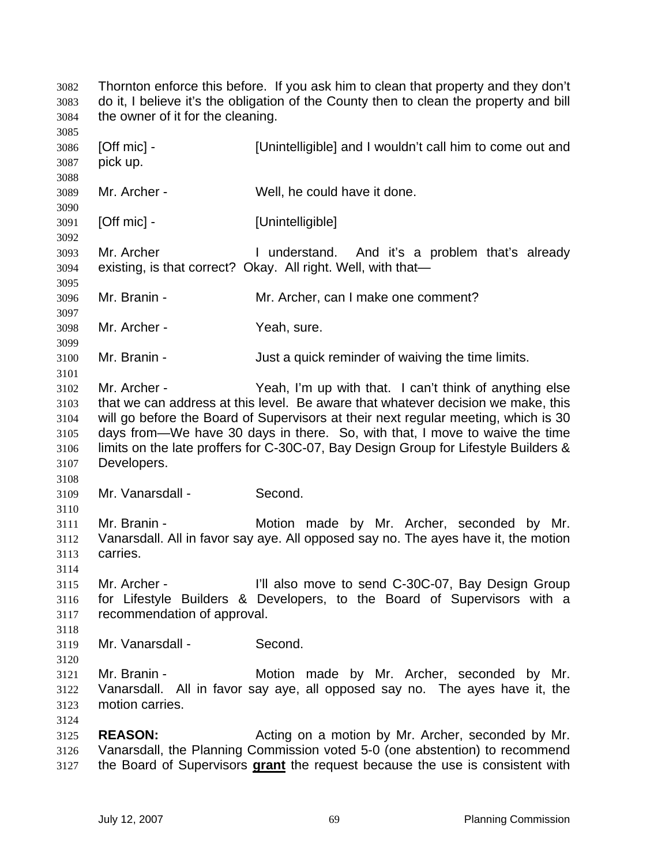Thornton enforce this before. If you ask him to clean that property and they don't do it, I believe it's the obligation of the County then to clean the property and bill the owner of it for the cleaning. [Off mic] - [Unintelligible] and I wouldn't call him to come out and pick up. Mr. Archer - Well, he could have it done. [Off mic] - [Unintelligible] Mr. Archer I understand. And it's a problem that's already existing, is that correct? Okay. All right. Well, with that— Mr. Branin - Mr. Archer, can I make one comment? Mr. Archer - Yeah, sure. Mr. Branin - Just a quick reminder of waiving the time limits. Mr. Archer - Yeah, I'm up with that. I can't think of anything else that we can address at this level. Be aware that whatever decision we make, this will go before the Board of Supervisors at their next regular meeting, which is 30 days from—We have 30 days in there. So, with that, I move to waive the time limits on the late proffers for C-30C-07, Bay Design Group for Lifestyle Builders & Developers. Mr. Vanarsdall - Second. Mr. Branin - Motion made by Mr. Archer, seconded by Mr. Vanarsdall. All in favor say aye. All opposed say no. The ayes have it, the motion carries. Mr. Archer - I'll also move to send C-30C-07, Bay Design Group for Lifestyle Builders & Developers, to the Board of Supervisors with a recommendation of approval. Mr. Vanarsdall - Second. Mr. Branin - Motion made by Mr. Archer, seconded by Mr. Vanarsdall. All in favor say aye, all opposed say no. The ayes have it, the motion carries. **REASON:** Acting on a motion by Mr. Archer, seconded by Mr. Vanarsdall, the Planning Commission voted 5-0 (one abstention) to recommend the Board of Supervisors **grant** the request because the use is consistent with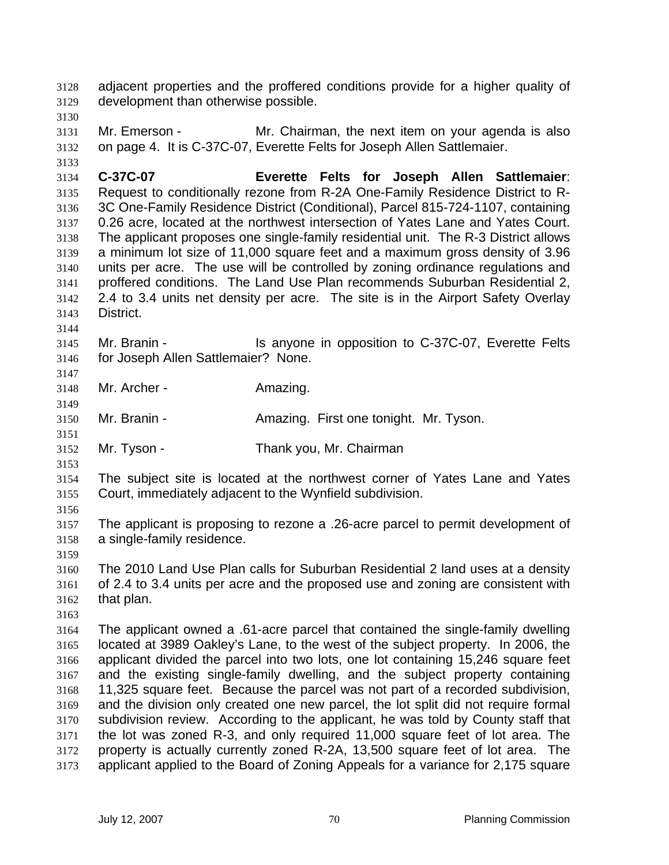adjacent properties and the proffered conditions provide for a higher quality of development than otherwise possible. 

Mr. Emerson - Mr. Chairman, the next item on your agenda is also on page 4. It is C-37C-07, Everette Felts for Joseph Allen Sattlemaier.

**C-37C-07 Everette Felts for Joseph Allen Sattlemaier**: Request to conditionally rezone from R-2A One-Family Residence District to R-3C One-Family Residence District (Conditional), Parcel 815-724-1107, containing 0.26 acre, located at the northwest intersection of Yates Lane and Yates Court. The applicant proposes one single-family residential unit. The R-3 District allows a minimum lot size of 11,000 square feet and a maximum gross density of 3.96 units per acre. The use will be controlled by zoning ordinance regulations and proffered conditions. The Land Use Plan recommends Suburban Residential 2, 2.4 to 3.4 units net density per acre. The site is in the Airport Safety Overlay District.

Mr. Branin - Is anyone in opposition to C-37C-07, Everette Felts for Joseph Allen Sattlemaier? None.

 Mr. Archer - Amazing.

Mr. Branin - Amazing. First one tonight. Mr. Tyson.

Mr. Tyson - Thank you, Mr. Chairman

The subject site is located at the northwest corner of Yates Lane and Yates Court, immediately adjacent to the Wynfield subdivision.

The applicant is proposing to rezone a .26-acre parcel to permit development of a single-family residence.

The 2010 Land Use Plan calls for Suburban Residential 2 land uses at a density of 2.4 to 3.4 units per acre and the proposed use and zoning are consistent with that plan.

The applicant owned a .61-acre parcel that contained the single-family dwelling located at 3989 Oakley's Lane, to the west of the subject property. In 2006, the applicant divided the parcel into two lots, one lot containing 15,246 square feet and the existing single-family dwelling, and the subject property containing 11,325 square feet. Because the parcel was not part of a recorded subdivision, and the division only created one new parcel, the lot split did not require formal subdivision review. According to the applicant, he was told by County staff that the lot was zoned R-3, and only required 11,000 square feet of lot area. The property is actually currently zoned R-2A, 13,500 square feet of lot area. The applicant applied to the Board of Zoning Appeals for a variance for 2,175 square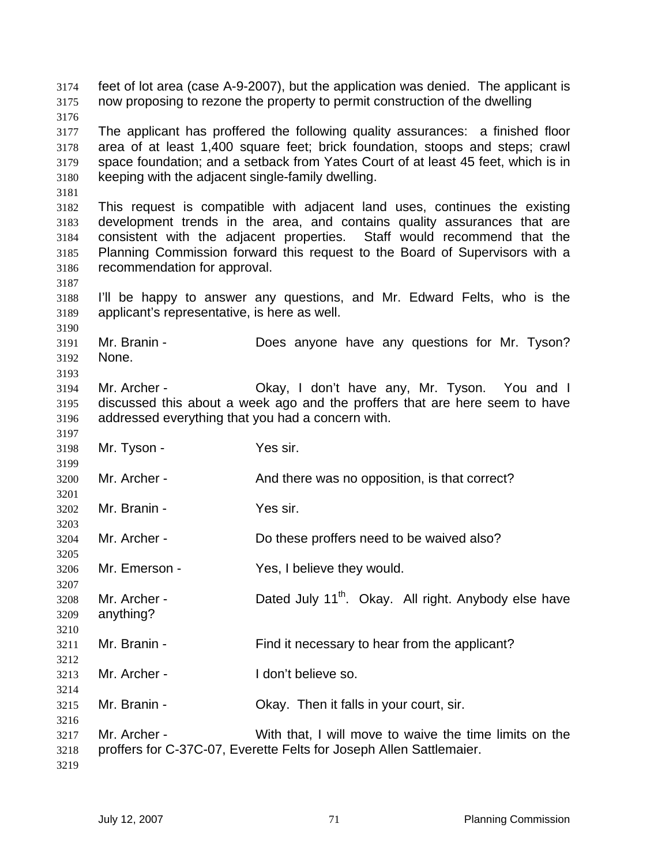feet of lot area (case A-9-2007), but the application was denied. The applicant is now proposing to rezone the property to permit construction of the dwelling The applicant has proffered the following quality assurances: a finished floor area of at least 1,400 square feet; brick foundation, stoops and steps; crawl space foundation; and a setback from Yates Court of at least 45 feet, which is in keeping with the adjacent single-family dwelling. This request is compatible with adjacent land uses, continues the existing development trends in the area, and contains quality assurances that are consistent with the adjacent properties. Staff would recommend that the Planning Commission forward this request to the Board of Supervisors with a recommendation for approval. I'll be happy to answer any questions, and Mr. Edward Felts, who is the applicant's representative, is here as well. Mr. Branin - Does anyone have any questions for Mr. Tyson? None. Mr. Archer - Okay, I don't have any, Mr. Tyson. You and I discussed this about a week ago and the proffers that are here seem to have addressed everything that you had a concern with. Mr. Tyson - Yes sir. Mr. Archer - And there was no opposition, is that correct? Mr. Branin - Yes sir. Mr. Archer - Do these proffers need to be waived also? Mr. Emerson - Yes, I believe they would. Mr. Archer - Dated July 11<sup>th</sup>. Okay. All right. Anybody else have anything? Mr. Branin - Find it necessary to hear from the applicant? Mr. Archer - I don't believe so. Mr. Branin - Okay. Then it falls in your court, sir. Mr. Archer - With that, I will move to waive the time limits on the proffers for C-37C-07, Everette Felts for Joseph Allen Sattlemaier.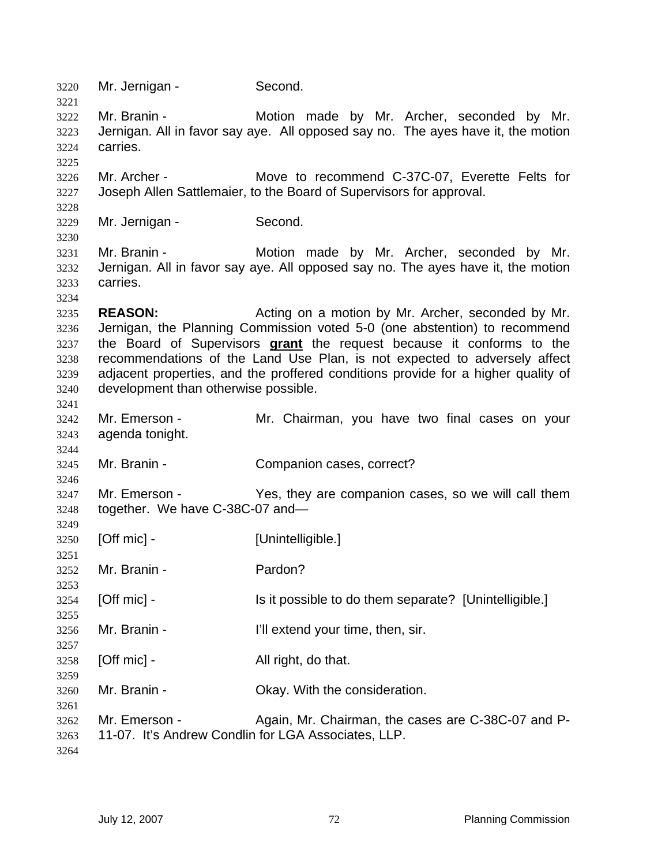| 3220<br>3221                                         | Mr. Jernigan -                                                                                                                                                                                                                                                                                                                                                                                                                      | Second.                                                                                                                        |  |
|------------------------------------------------------|-------------------------------------------------------------------------------------------------------------------------------------------------------------------------------------------------------------------------------------------------------------------------------------------------------------------------------------------------------------------------------------------------------------------------------------|--------------------------------------------------------------------------------------------------------------------------------|--|
| 3222<br>3223<br>3224<br>3225                         | Mr. Branin -<br>carries.                                                                                                                                                                                                                                                                                                                                                                                                            | Motion made by Mr. Archer, seconded by Mr.<br>Jernigan. All in favor say aye. All opposed say no. The ayes have it, the motion |  |
| 3226<br>3227<br>3228                                 | Mr. Archer -                                                                                                                                                                                                                                                                                                                                                                                                                        | Move to recommend C-37C-07, Everette Felts for<br>Joseph Allen Sattlemaier, to the Board of Supervisors for approval.          |  |
| 3229<br>3230                                         | Mr. Jernigan -                                                                                                                                                                                                                                                                                                                                                                                                                      | Second.                                                                                                                        |  |
| 3231<br>3232<br>3233<br>3234                         | Mr. Branin -<br>carries.                                                                                                                                                                                                                                                                                                                                                                                                            | Motion made by Mr. Archer, seconded by Mr.<br>Jernigan. All in favor say aye. All opposed say no. The ayes have it, the motion |  |
| 3235<br>3236<br>3237<br>3238<br>3239<br>3240<br>3241 | <b>REASON:</b><br>Acting on a motion by Mr. Archer, seconded by Mr.<br>Jernigan, the Planning Commission voted 5-0 (one abstention) to recommend<br>the Board of Supervisors grant the request because it conforms to the<br>recommendations of the Land Use Plan, is not expected to adversely affect<br>adjacent properties, and the proffered conditions provide for a higher quality of<br>development than otherwise possible. |                                                                                                                                |  |
| 3242<br>3243<br>3244                                 | Mr. Emerson -<br>agenda tonight.                                                                                                                                                                                                                                                                                                                                                                                                    | Mr. Chairman, you have two final cases on your                                                                                 |  |
| 3245<br>3246                                         | Mr. Branin -                                                                                                                                                                                                                                                                                                                                                                                                                        | Companion cases, correct?                                                                                                      |  |
| 3247<br>3248                                         | Mr. Emerson -<br>together. We have C-38C-07 and-                                                                                                                                                                                                                                                                                                                                                                                    | Yes, they are companion cases, so we will call them                                                                            |  |
| 3249<br>3250<br>3251                                 | $[Off$ mic $]$ -                                                                                                                                                                                                                                                                                                                                                                                                                    | [Unintelligible.]                                                                                                              |  |
| 3252<br>3253                                         | Mr. Branin -                                                                                                                                                                                                                                                                                                                                                                                                                        | Pardon?                                                                                                                        |  |
| 3254<br>3255                                         | [Off mic] -                                                                                                                                                                                                                                                                                                                                                                                                                         | Is it possible to do them separate? [Unintelligible.]                                                                          |  |
| 3256<br>3257                                         | Mr. Branin -                                                                                                                                                                                                                                                                                                                                                                                                                        | I'll extend your time, then, sir.                                                                                              |  |
| 3258<br>3259                                         | $[Off$ mic $]$ -                                                                                                                                                                                                                                                                                                                                                                                                                    | All right, do that.                                                                                                            |  |
| 3260<br>3261                                         | Mr. Branin -                                                                                                                                                                                                                                                                                                                                                                                                                        | Okay. With the consideration.                                                                                                  |  |
| 3262<br>3263<br>3264                                 | Mr. Emerson -                                                                                                                                                                                                                                                                                                                                                                                                                       | Again, Mr. Chairman, the cases are C-38C-07 and P-<br>11-07. It's Andrew Condlin for LGA Associates, LLP.                      |  |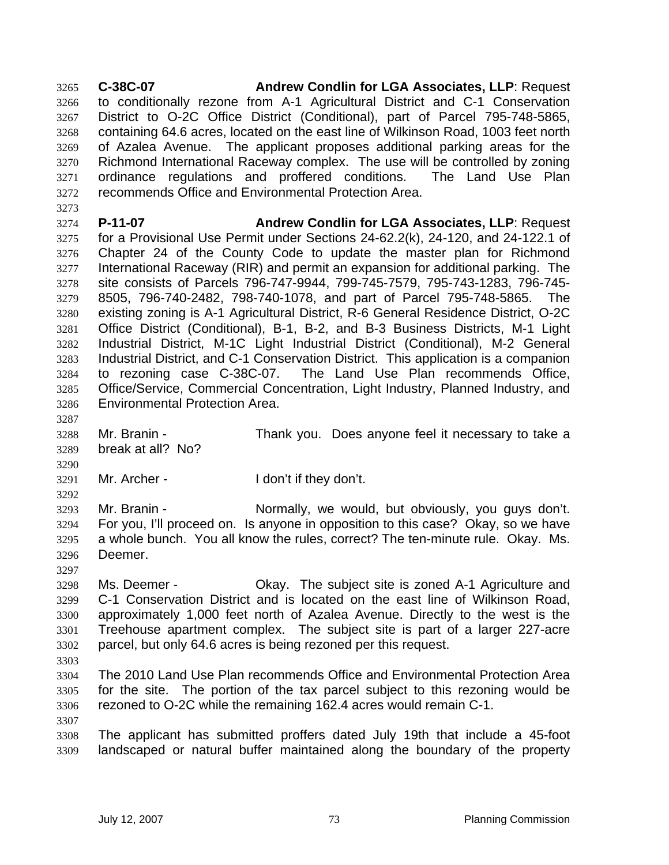**C-38C-07 Andrew Condlin for LGA Associates, LLP**: Request to conditionally rezone from A-1 Agricultural District and C-1 Conservation District to O-2C Office District (Conditional), part of Parcel 795-748-5865, containing 64.6 acres, located on the east line of Wilkinson Road, 1003 feet north of Azalea Avenue. The applicant proposes additional parking areas for the Richmond International Raceway complex. The use will be controlled by zoning ordinance regulations and proffered conditions. The Land Use Plan recommends Office and Environmental Protection Area.

**P-11-07 Andrew Condlin for LGA Associates, LLP**: Request for a Provisional Use Permit under Sections 24-62.2(k), 24-120, and 24-122.1 of Chapter 24 of the County Code to update the master plan for Richmond International Raceway (RIR) and permit an expansion for additional parking. The site consists of Parcels 796-747-9944, 799-745-7579, 795-743-1283, 796-745- 8505, 796-740-2482, 798-740-1078, and part of Parcel 795-748-5865. The existing zoning is A-1 Agricultural District, R-6 General Residence District, O-2C Office District (Conditional), B-1, B-2, and B-3 Business Districts, M-1 Light Industrial District, M-1C Light Industrial District (Conditional), M-2 General Industrial District, and C-1 Conservation District. This application is a companion to rezoning case C-38C-07. The Land Use Plan recommends Office, Office/Service, Commercial Concentration, Light Industry, Planned Industry, and Environmental Protection Area.

Mr. Branin - Thank you. Does anyone feel it necessary to take a break at all? No?

Mr. Archer - I don't if they don't.

 Mr. Branin - Normally, we would, but obviously, you guys don't. For you, I'll proceed on. Is anyone in opposition to this case? Okay, so we have a whole bunch. You all know the rules, correct? The ten-minute rule. Okay. Ms. Deemer.

Ms. Deemer - Okay. The subject site is zoned A-1 Agriculture and C-1 Conservation District and is located on the east line of Wilkinson Road, approximately 1,000 feet north of Azalea Avenue. Directly to the west is the Treehouse apartment complex. The subject site is part of a larger 227-acre parcel, but only 64.6 acres is being rezoned per this request.

The 2010 Land Use Plan recommends Office and Environmental Protection Area for the site. The portion of the tax parcel subject to this rezoning would be rezoned to O-2C while the remaining 162.4 acres would remain C-1.

The applicant has submitted proffers dated July 19th that include a 45-foot landscaped or natural buffer maintained along the boundary of the property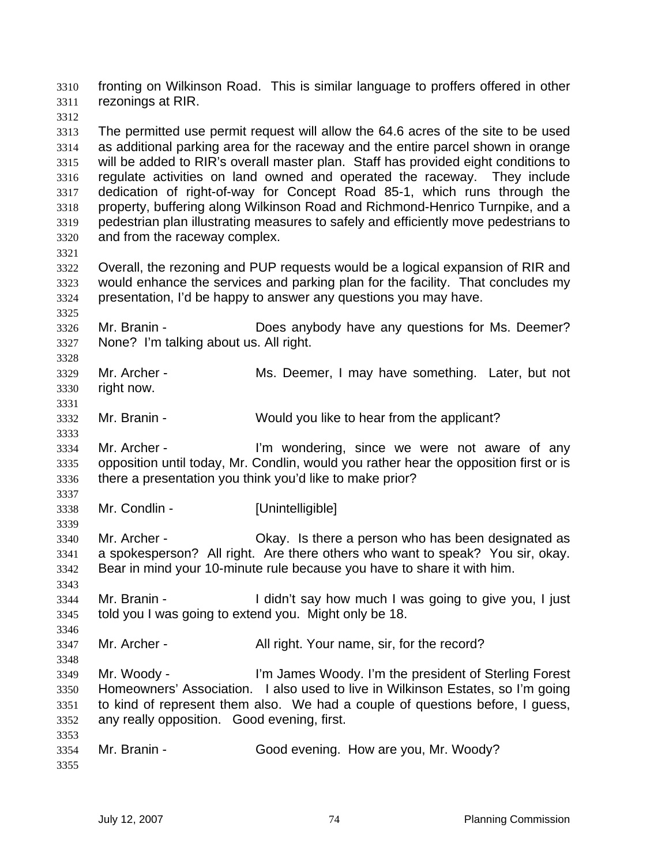fronting on Wilkinson Road. This is similar language to proffers offered in other rezonings at RIR.

The permitted use permit request will allow the 64.6 acres of the site to be used as additional parking area for the raceway and the entire parcel shown in orange will be added to RIR's overall master plan. Staff has provided eight conditions to regulate activities on land owned and operated the raceway. They include dedication of right-of-way for Concept Road 85-1, which runs through the property, buffering along Wilkinson Road and Richmond-Henrico Turnpike, and a pedestrian plan illustrating measures to safely and efficiently move pedestrians to and from the raceway complex.

Overall, the rezoning and PUP requests would be a logical expansion of RIR and would enhance the services and parking plan for the facility. That concludes my presentation, I'd be happy to answer any questions you may have.

Mr. Branin - Does anybody have any questions for Ms. Deemer? None? I'm talking about us. All right.

Mr. Archer - Ms. Deemer, I may have something. Later, but not right now. 

Mr. Branin - Would you like to hear from the applicant?

Mr. Archer - I'm wondering, since we were not aware of any opposition until today, Mr. Condlin, would you rather hear the opposition first or is there a presentation you think you'd like to make prior?

Mr. Condlin - [Unintelligible]

Mr. Archer - Okay. Is there a person who has been designated as a spokesperson? All right. Are there others who want to speak? You sir, okay. Bear in mind your 10-minute rule because you have to share it with him.

Mr. Branin - I didn't say how much I was going to give you, I just told you I was going to extend you. Might only be 18.

3347 Mr. Archer - All right. Your name, sir, for the record?

Mr. Woody - I'm James Woody. I'm the president of Sterling Forest Homeowners' Association. I also used to live in Wilkinson Estates, so I'm going to kind of represent them also. We had a couple of questions before, I guess, any really opposition. Good evening, first.

|      | 3354 Mr. Branin - | Good evening. How are you, Mr. Woody? |
|------|-------------------|---------------------------------------|
| 3355 |                   |                                       |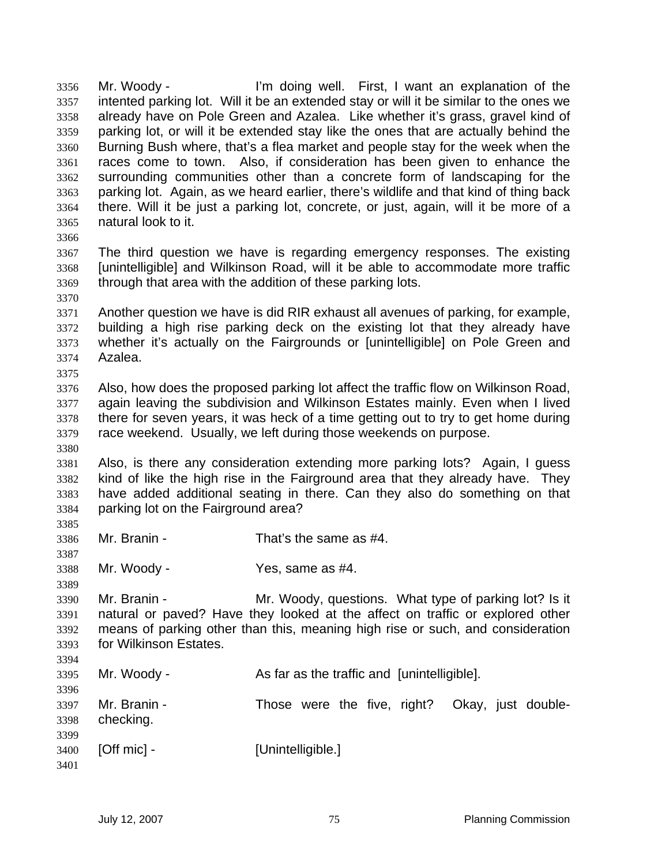Mr. Woody - I'm doing well. First, I want an explanation of the intented parking lot. Will it be an extended stay or will it be similar to the ones we already have on Pole Green and Azalea. Like whether it's grass, gravel kind of parking lot, or will it be extended stay like the ones that are actually behind the Burning Bush where, that's a flea market and people stay for the week when the races come to town. Also, if consideration has been given to enhance the surrounding communities other than a concrete form of landscaping for the parking lot. Again, as we heard earlier, there's wildlife and that kind of thing back there. Will it be just a parking lot, concrete, or just, again, will it be more of a natural look to it.

The third question we have is regarding emergency responses. The existing [unintelligible] and Wilkinson Road, will it be able to accommodate more traffic through that area with the addition of these parking lots.

Another question we have is did RIR exhaust all avenues of parking, for example, building a high rise parking deck on the existing lot that they already have whether it's actually on the Fairgrounds or [unintelligible] on Pole Green and Azalea.

Also, how does the proposed parking lot affect the traffic flow on Wilkinson Road, again leaving the subdivision and Wilkinson Estates mainly. Even when I lived there for seven years, it was heck of a time getting out to try to get home during race weekend. Usually, we left during those weekends on purpose.

Also, is there any consideration extending more parking lots? Again, I guess kind of like the high rise in the Fairground area that they already have. They have added additional seating in there. Can they also do something on that parking lot on the Fairground area?

Mr. Branin - That's the same as #4.

Mr. Woody - Yes, same as #4.

 Mr. Branin - Mr. Woody, questions. What type of parking lot? Is it natural or paved? Have they looked at the affect on traffic or explored other means of parking other than this, meaning high rise or such, and consideration for Wilkinson Estates. 

Mr. Woody - As far as the traffic and [unintelligible].

Mr. Branin - Those were the five, right? Okay, just double-checking. **[Off mic] -** [Unintelligible.]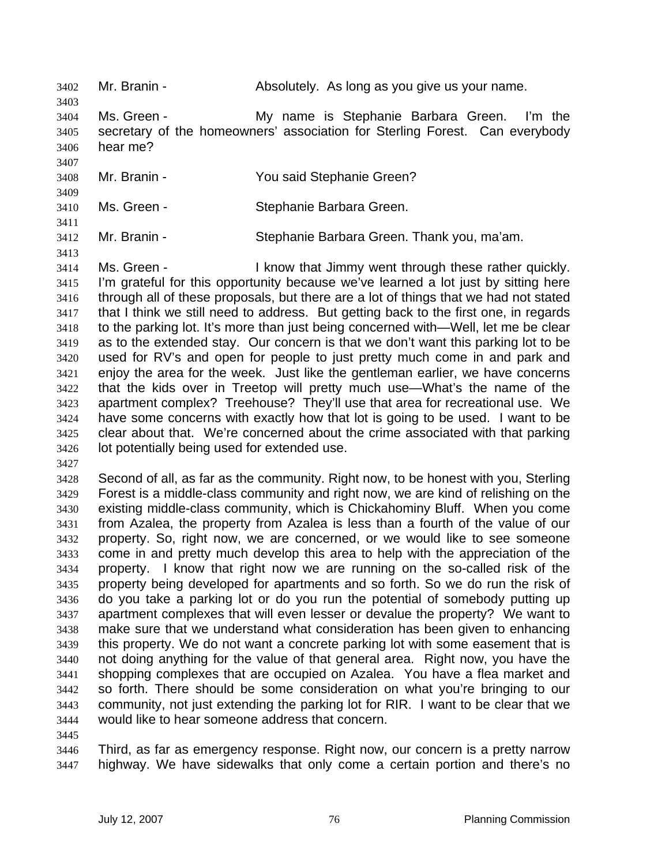Mr. Branin - Absolutely. As long as you give us your name. Ms. Green - My name is Stephanie Barbara Green. I'm the secretary of the homeowners' association for Sterling Forest. Can everybody hear me? Mr. Branin - You said Stephanie Green? Ms. Green - Stephanie Barbara Green. Mr. Branin - Stephanie Barbara Green. Thank you, ma'am. Ms. Green - I know that Jimmy went through these rather quickly. I'm grateful for this opportunity because we've learned a lot just by sitting here through all of these proposals, but there are a lot of things that we had not stated that I think we still need to address. But getting back to the first one, in regards to the parking lot. It's more than just being concerned with—Well, let me be clear as to the extended stay. Our concern is that we don't want this parking lot to be used for RV's and open for people to just pretty much come in and park and enjoy the area for the week. Just like the gentleman earlier, we have concerns that the kids over in Treetop will pretty much use—What's the name of the apartment complex? Treehouse? They'll use that area for recreational use. We have some concerns with exactly how that lot is going to be used. I want to be clear about that. We're concerned about the crime associated with that parking lot potentially being used for extended use.

Second of all, as far as the community. Right now, to be honest with you, Sterling Forest is a middle-class community and right now, we are kind of relishing on the existing middle-class community, which is Chickahominy Bluff. When you come from Azalea, the property from Azalea is less than a fourth of the value of our property. So, right now, we are concerned, or we would like to see someone come in and pretty much develop this area to help with the appreciation of the property. I know that right now we are running on the so-called risk of the property being developed for apartments and so forth. So we do run the risk of do you take a parking lot or do you run the potential of somebody putting up apartment complexes that will even lesser or devalue the property? We want to make sure that we understand what consideration has been given to enhancing this property. We do not want a concrete parking lot with some easement that is not doing anything for the value of that general area. Right now, you have the shopping complexes that are occupied on Azalea. You have a flea market and so forth. There should be some consideration on what you're bringing to our community, not just extending the parking lot for RIR. I want to be clear that we would like to hear someone address that concern.

Third, as far as emergency response. Right now, our concern is a pretty narrow highway. We have sidewalks that only come a certain portion and there's no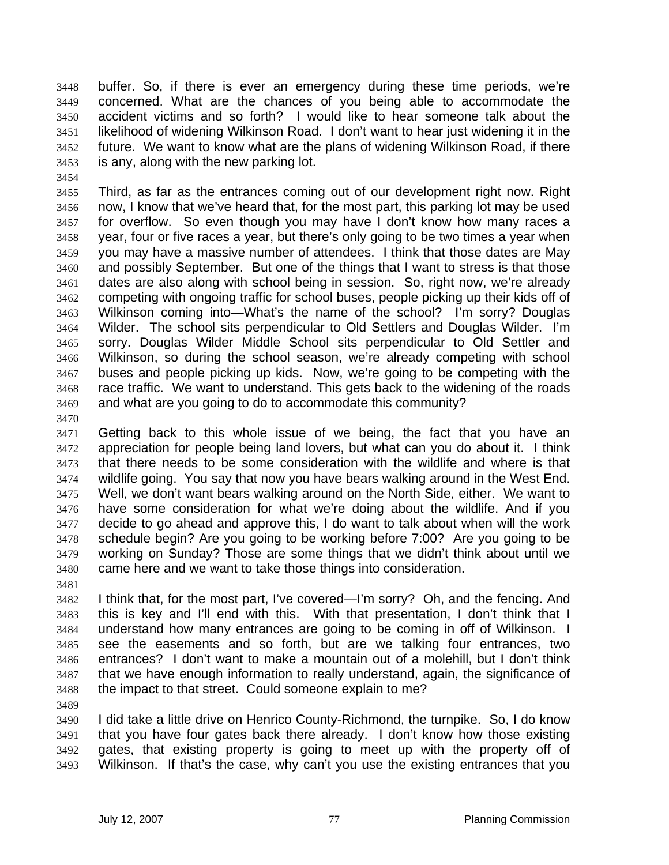buffer. So, if there is ever an emergency during these time periods, we're concerned. What are the chances of you being able to accommodate the accident victims and so forth? I would like to hear someone talk about the likelihood of widening Wilkinson Road. I don't want to hear just widening it in the future. We want to know what are the plans of widening Wilkinson Road, if there is any, along with the new parking lot.

Third, as far as the entrances coming out of our development right now. Right now, I know that we've heard that, for the most part, this parking lot may be used for overflow. So even though you may have I don't know how many races a year, four or five races a year, but there's only going to be two times a year when you may have a massive number of attendees. I think that those dates are May and possibly September. But one of the things that I want to stress is that those dates are also along with school being in session. So, right now, we're already competing with ongoing traffic for school buses, people picking up their kids off of Wilkinson coming into—What's the name of the school? I'm sorry? Douglas Wilder. The school sits perpendicular to Old Settlers and Douglas Wilder. I'm sorry. Douglas Wilder Middle School sits perpendicular to Old Settler and Wilkinson, so during the school season, we're already competing with school buses and people picking up kids. Now, we're going to be competing with the race traffic. We want to understand. This gets back to the widening of the roads and what are you going to do to accommodate this community?

Getting back to this whole issue of we being, the fact that you have an appreciation for people being land lovers, but what can you do about it. I think that there needs to be some consideration with the wildlife and where is that wildlife going. You say that now you have bears walking around in the West End. Well, we don't want bears walking around on the North Side, either. We want to have some consideration for what we're doing about the wildlife. And if you decide to go ahead and approve this, I do want to talk about when will the work schedule begin? Are you going to be working before 7:00? Are you going to be working on Sunday? Those are some things that we didn't think about until we came here and we want to take those things into consideration.

I think that, for the most part, I've covered—I'm sorry? Oh, and the fencing. And this is key and I'll end with this. With that presentation, I don't think that I understand how many entrances are going to be coming in off of Wilkinson. I see the easements and so forth, but are we talking four entrances, two entrances? I don't want to make a mountain out of a molehill, but I don't think that we have enough information to really understand, again, the significance of the impact to that street. Could someone explain to me?

I did take a little drive on Henrico County-Richmond, the turnpike. So, I do know that you have four gates back there already. I don't know how those existing gates, that existing property is going to meet up with the property off of Wilkinson. If that's the case, why can't you use the existing entrances that you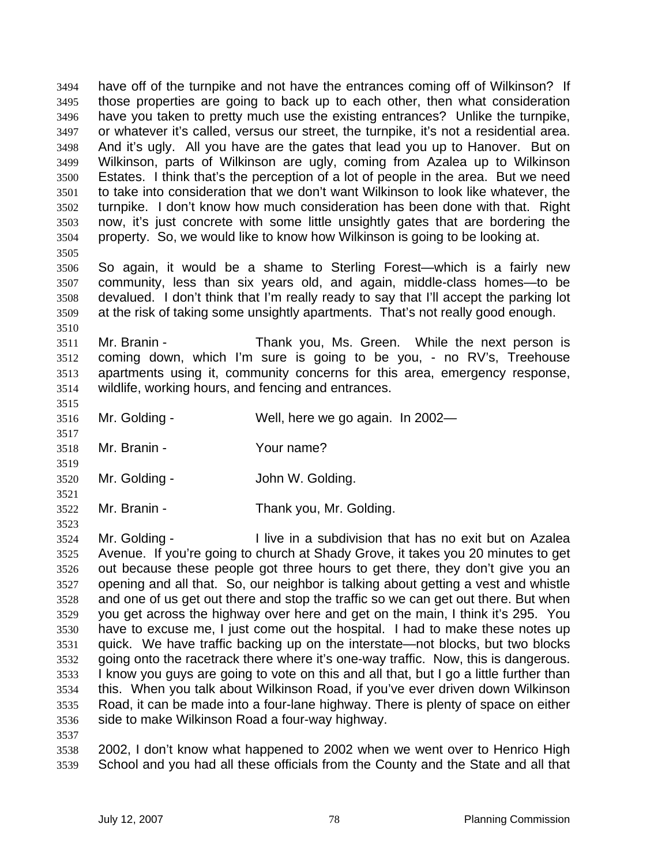have off of the turnpike and not have the entrances coming off of Wilkinson? If those properties are going to back up to each other, then what consideration have you taken to pretty much use the existing entrances? Unlike the turnpike, or whatever it's called, versus our street, the turnpike, it's not a residential area. And it's ugly. All you have are the gates that lead you up to Hanover. But on Wilkinson, parts of Wilkinson are ugly, coming from Azalea up to Wilkinson Estates. I think that's the perception of a lot of people in the area. But we need to take into consideration that we don't want Wilkinson to look like whatever, the turnpike. I don't know how much consideration has been done with that. Right now, it's just concrete with some little unsightly gates that are bordering the property. So, we would like to know how Wilkinson is going to be looking at. 

So again, it would be a shame to Sterling Forest—which is a fairly new community, less than six years old, and again, middle-class homes—to be devalued. I don't think that I'm really ready to say that I'll accept the parking lot at the risk of taking some unsightly apartments. That's not really good enough.

Mr. Branin - Thank you, Ms. Green. While the next person is coming down, which I'm sure is going to be you, - no RV's, Treehouse apartments using it, community concerns for this area, emergency response, wildlife, working hours, and fencing and entrances.

Mr. Golding - Well, here we go again. In 2002—

- Mr. Branin Your name?
- Mr. Golding John W. Golding.
- Mr. Branin Thank you, Mr. Golding.
- 

Mr. Golding - I live in a subdivision that has no exit but on Azalea Avenue. If you're going to church at Shady Grove, it takes you 20 minutes to get out because these people got three hours to get there, they don't give you an opening and all that. So, our neighbor is talking about getting a vest and whistle and one of us get out there and stop the traffic so we can get out there. But when you get across the highway over here and get on the main, I think it's 295. You have to excuse me, I just come out the hospital. I had to make these notes up quick. We have traffic backing up on the interstate—not blocks, but two blocks going onto the racetrack there where it's one-way traffic. Now, this is dangerous. I know you guys are going to vote on this and all that, but I go a little further than this. When you talk about Wilkinson Road, if you've ever driven down Wilkinson Road, it can be made into a four-lane highway. There is plenty of space on either side to make Wilkinson Road a four-way highway. 

2002, I don't know what happened to 2002 when we went over to Henrico High School and you had all these officials from the County and the State and all that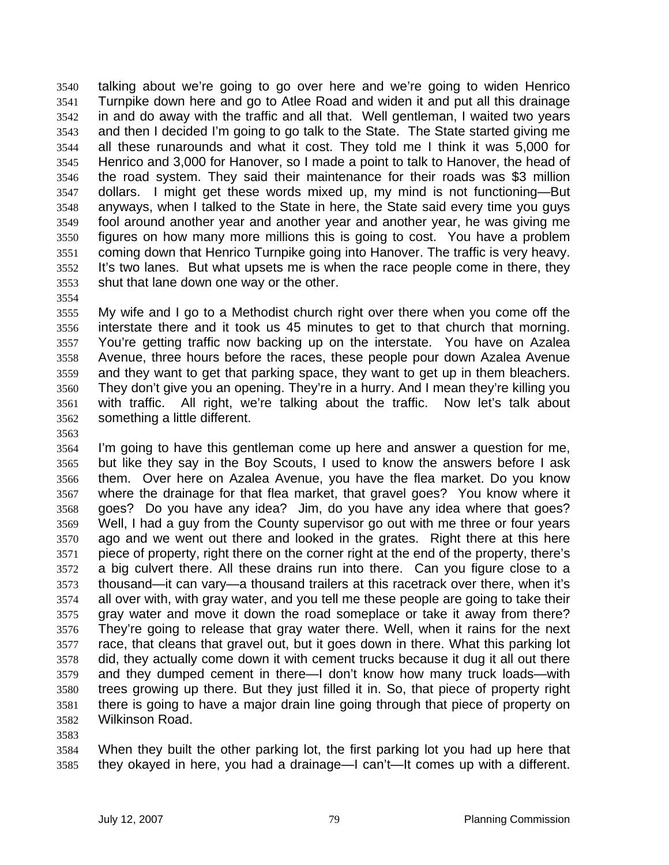talking about we're going to go over here and we're going to widen Henrico Turnpike down here and go to Atlee Road and widen it and put all this drainage in and do away with the traffic and all that. Well gentleman, I waited two years and then I decided I'm going to go talk to the State. The State started giving me all these runarounds and what it cost. They told me I think it was 5,000 for Henrico and 3,000 for Hanover, so I made a point to talk to Hanover, the head of the road system. They said their maintenance for their roads was \$3 million dollars. I might get these words mixed up, my mind is not functioning—But anyways, when I talked to the State in here, the State said every time you guys fool around another year and another year and another year, he was giving me figures on how many more millions this is going to cost. You have a problem coming down that Henrico Turnpike going into Hanover. The traffic is very heavy. It's two lanes. But what upsets me is when the race people come in there, they shut that lane down one way or the other.

My wife and I go to a Methodist church right over there when you come off the interstate there and it took us 45 minutes to get to that church that morning. You're getting traffic now backing up on the interstate. You have on Azalea Avenue, three hours before the races, these people pour down Azalea Avenue and they want to get that parking space, they want to get up in them bleachers. They don't give you an opening. They're in a hurry. And I mean they're killing you with traffic. All right, we're talking about the traffic. Now let's talk about something a little different.

I'm going to have this gentleman come up here and answer a question for me, but like they say in the Boy Scouts, I used to know the answers before I ask them. Over here on Azalea Avenue, you have the flea market. Do you know where the drainage for that flea market, that gravel goes? You know where it goes? Do you have any idea? Jim, do you have any idea where that goes? Well, I had a guy from the County supervisor go out with me three or four years ago and we went out there and looked in the grates. Right there at this here piece of property, right there on the corner right at the end of the property, there's a big culvert there. All these drains run into there. Can you figure close to a thousand—it can vary—a thousand trailers at this racetrack over there, when it's all over with, with gray water, and you tell me these people are going to take their gray water and move it down the road someplace or take it away from there? They're going to release that gray water there. Well, when it rains for the next race, that cleans that gravel out, but it goes down in there. What this parking lot did, they actually come down it with cement trucks because it dug it all out there and they dumped cement in there—I don't know how many truck loads—with trees growing up there. But they just filled it in. So, that piece of property right there is going to have a major drain line going through that piece of property on Wilkinson Road.

When they built the other parking lot, the first parking lot you had up here that they okayed in here, you had a drainage—I can't—It comes up with a different.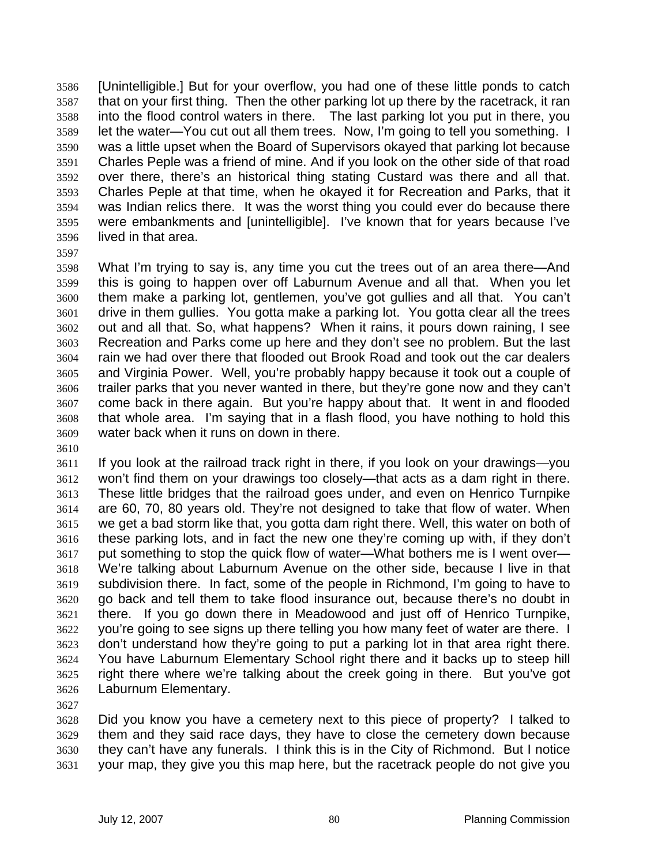[Unintelligible.] But for your overflow, you had one of these little ponds to catch that on your first thing. Then the other parking lot up there by the racetrack, it ran into the flood control waters in there. The last parking lot you put in there, you let the water—You cut out all them trees. Now, I'm going to tell you something. I was a little upset when the Board of Supervisors okayed that parking lot because Charles Peple was a friend of mine. And if you look on the other side of that road over there, there's an historical thing stating Custard was there and all that. Charles Peple at that time, when he okayed it for Recreation and Parks, that it was Indian relics there. It was the worst thing you could ever do because there were embankments and [unintelligible]. I've known that for years because I've lived in that area.

What I'm trying to say is, any time you cut the trees out of an area there—And this is going to happen over off Laburnum Avenue and all that. When you let them make a parking lot, gentlemen, you've got gullies and all that. You can't drive in them gullies. You gotta make a parking lot. You gotta clear all the trees out and all that. So, what happens? When it rains, it pours down raining, I see Recreation and Parks come up here and they don't see no problem. But the last rain we had over there that flooded out Brook Road and took out the car dealers and Virginia Power. Well, you're probably happy because it took out a couple of trailer parks that you never wanted in there, but they're gone now and they can't come back in there again. But you're happy about that. It went in and flooded that whole area. I'm saying that in a flash flood, you have nothing to hold this water back when it runs on down in there.

If you look at the railroad track right in there, if you look on your drawings—you won't find them on your drawings too closely—that acts as a dam right in there. These little bridges that the railroad goes under, and even on Henrico Turnpike are 60, 70, 80 years old. They're not designed to take that flow of water. When we get a bad storm like that, you gotta dam right there. Well, this water on both of these parking lots, and in fact the new one they're coming up with, if they don't put something to stop the quick flow of water—What bothers me is I went over— We're talking about Laburnum Avenue on the other side, because I live in that subdivision there. In fact, some of the people in Richmond, I'm going to have to go back and tell them to take flood insurance out, because there's no doubt in there. If you go down there in Meadowood and just off of Henrico Turnpike, you're going to see signs up there telling you how many feet of water are there. I don't understand how they're going to put a parking lot in that area right there. You have Laburnum Elementary School right there and it backs up to steep hill right there where we're talking about the creek going in there. But you've got Laburnum Elementary.

Did you know you have a cemetery next to this piece of property? I talked to them and they said race days, they have to close the cemetery down because they can't have any funerals. I think this is in the City of Richmond. But I notice your map, they give you this map here, but the racetrack people do not give you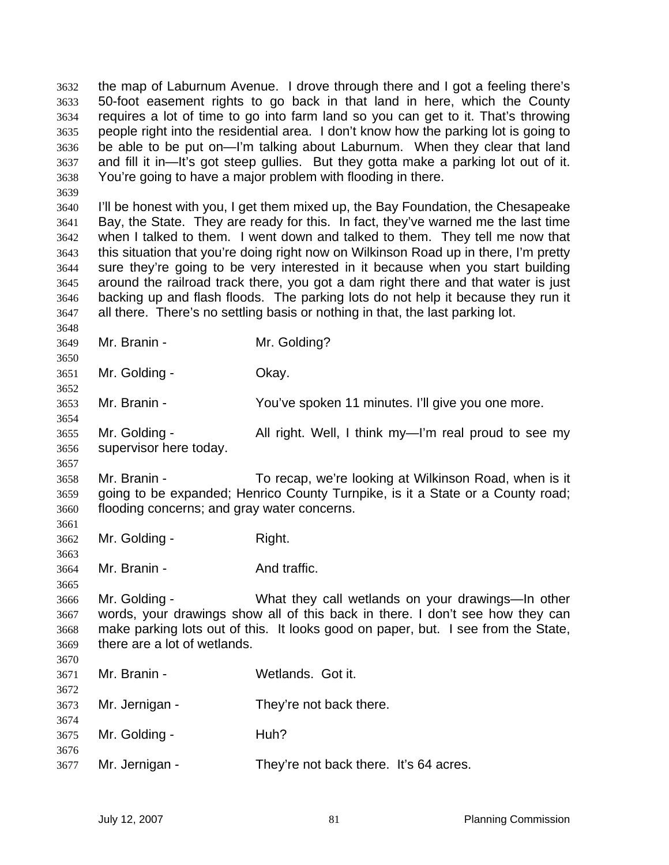the map of Laburnum Avenue. I drove through there and I got a feeling there's 50-foot easement rights to go back in that land in here, which the County requires a lot of time to go into farm land so you can get to it. That's throwing people right into the residential area. I don't know how the parking lot is going to be able to be put on—I'm talking about Laburnum. When they clear that land and fill it in—It's got steep gullies. But they gotta make a parking lot out of it. You're going to have a major problem with flooding in there.

I'll be honest with you, I get them mixed up, the Bay Foundation, the Chesapeake Bay, the State. They are ready for this. In fact, they've warned me the last time when I talked to them. I went down and talked to them. They tell me now that this situation that you're doing right now on Wilkinson Road up in there, I'm pretty sure they're going to be very interested in it because when you start building around the railroad track there, you got a dam right there and that water is just backing up and flash floods. The parking lots do not help it because they run it all there. There's no settling basis or nothing in that, the last parking lot.

Mr. Branin - Mr. Golding? 

Mr. Golding - Okay.

 Mr. Branin - You've spoken 11 minutes. I'll give you one more.

Mr. Golding - All right. Well, I think my—I'm real proud to see my supervisor here today.

Mr. Branin - To recap, we're looking at Wilkinson Road, when is it going to be expanded; Henrico County Turnpike, is it a State or a County road; flooding concerns; and gray water concerns.

Mr. Golding - Right. 

3664 Mr. Branin - And traffic.

Mr. Golding - What they call wetlands on your drawings—In other words, your drawings show all of this back in there. I don't see how they can make parking lots out of this. It looks good on paper, but. I see from the State, there are a lot of wetlands. 

| 3671 | Mr. Branin -        | Wetlands. Got it.                      |
|------|---------------------|----------------------------------------|
| 3672 | 3673 Mr. Jernigan - | They're not back there.                |
| 3674 | 3675 Mr. Golding -  | Huh?                                   |
| 3676 | 3677 Mr. Jernigan - | They're not back there. It's 64 acres. |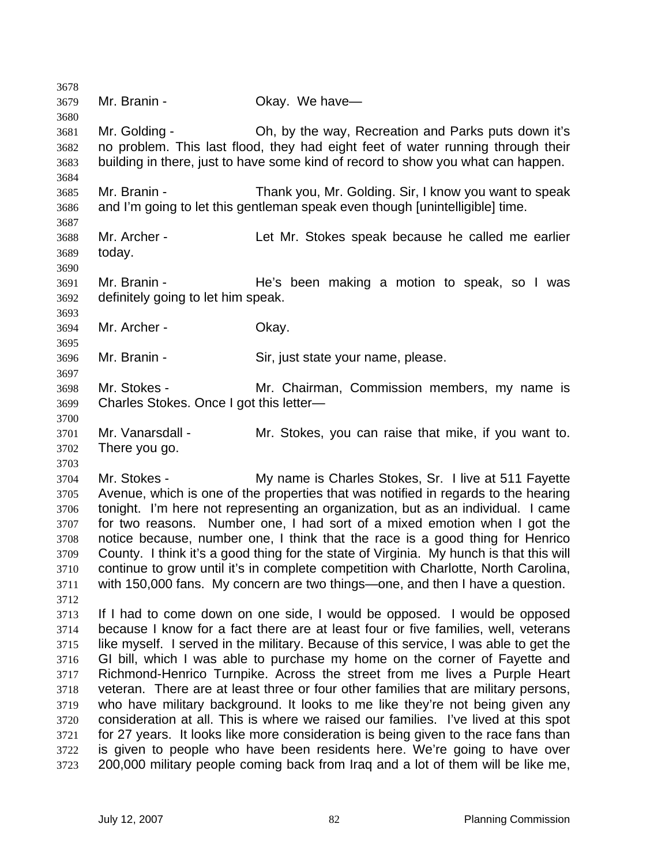Mr. Branin - Okay. We have— Mr. Golding - Oh, by the way, Recreation and Parks puts down it's no problem. This last flood, they had eight feet of water running through their building in there, just to have some kind of record to show you what can happen. Mr. Branin - Thank you, Mr. Golding. Sir, I know you want to speak and I'm going to let this gentleman speak even though [unintelligible] time. Mr. Archer - Let Mr. Stokes speak because he called me earlier today. Mr. Branin - He's been making a motion to speak, so I was definitely going to let him speak. Mr. Archer - Okay. Mr. Branin - Sir, just state your name, please. Mr. Stokes - Mr. Chairman, Commission members, my name is Charles Stokes. Once I got this letter— Mr. Vanarsdall - Mr. Stokes, you can raise that mike, if you want to. There you go. Mr. Stokes - My name is Charles Stokes, Sr. I live at 511 Fayette Avenue, which is one of the properties that was notified in regards to the hearing tonight. I'm here not representing an organization, but as an individual. I came for two reasons. Number one, I had sort of a mixed emotion when I got the notice because, number one, I think that the race is a good thing for Henrico County. I think it's a good thing for the state of Virginia. My hunch is that this will continue to grow until it's in complete competition with Charlotte, North Carolina, with 150,000 fans. My concern are two things—one, and then I have a question. If I had to come down on one side, I would be opposed. I would be opposed because I know for a fact there are at least four or five families, well, veterans like myself. I served in the military. Because of this service, I was able to get the GI bill, which I was able to purchase my home on the corner of Fayette and Richmond-Henrico Turnpike. Across the street from me lives a Purple Heart veteran. There are at least three or four other families that are military persons, who have military background. It looks to me like they're not being given any consideration at all. This is where we raised our families. I've lived at this spot for 27 years. It looks like more consideration is being given to the race fans than is given to people who have been residents here. We're going to have over 200,000 military people coming back from Iraq and a lot of them will be like me,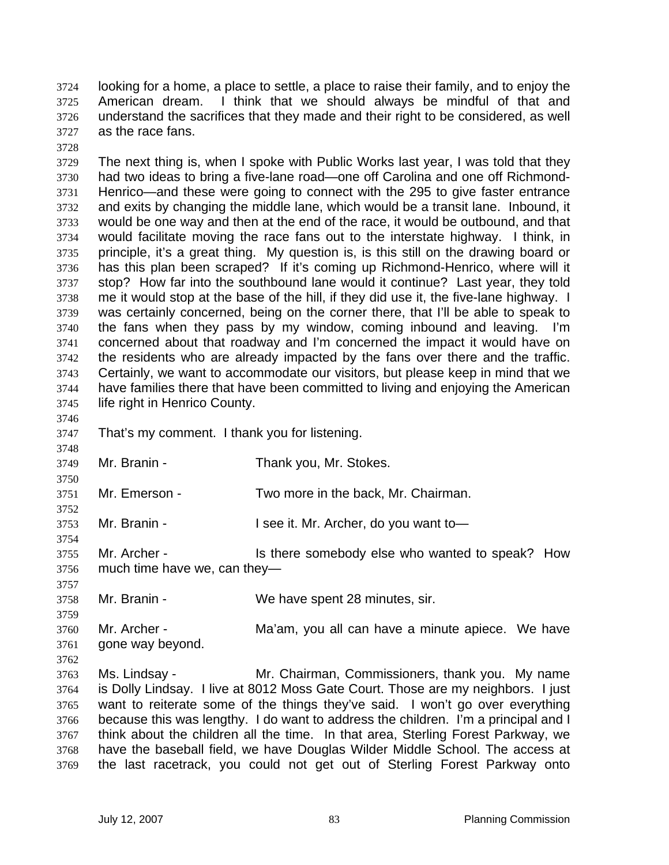looking for a home, a place to settle, a place to raise their family, and to enjoy the American dream. I think that we should always be mindful of that and understand the sacrifices that they made and their right to be considered, as well as the race fans.

The next thing is, when I spoke with Public Works last year, I was told that they had two ideas to bring a five-lane road—one off Carolina and one off Richmond-Henrico—and these were going to connect with the 295 to give faster entrance and exits by changing the middle lane, which would be a transit lane. Inbound, it would be one way and then at the end of the race, it would be outbound, and that would facilitate moving the race fans out to the interstate highway. I think, in principle, it's a great thing. My question is, is this still on the drawing board or has this plan been scraped? If it's coming up Richmond-Henrico, where will it stop? How far into the southbound lane would it continue? Last year, they told me it would stop at the base of the hill, if they did use it, the five-lane highway. I was certainly concerned, being on the corner there, that I'll be able to speak to the fans when they pass by my window, coming inbound and leaving. I'm concerned about that roadway and I'm concerned the impact it would have on the residents who are already impacted by the fans over there and the traffic. Certainly, we want to accommodate our visitors, but please keep in mind that we have families there that have been committed to living and enjoying the American life right in Henrico County.

That's my comment. I thank you for listening.

Mr. Branin - Thank you, Mr. Stokes.

Mr. Emerson - Two more in the back, Mr. Chairman.

Mr. Branin - I see it. Mr. Archer, do you want to—

Mr. Archer - Is there somebody else who wanted to speak? How much time have we, can they—

Mr. Branin - We have spent 28 minutes, sir.

 Mr. Archer - Ma'am, you all can have a minute apiece. We have gone way beyond.

Ms. Lindsay - Mr. Chairman, Commissioners, thank you. My name is Dolly Lindsay. I live at 8012 Moss Gate Court. Those are my neighbors. I just want to reiterate some of the things they've said. I won't go over everything because this was lengthy. I do want to address the children. I'm a principal and I think about the children all the time. In that area, Sterling Forest Parkway, we have the baseball field, we have Douglas Wilder Middle School. The access at the last racetrack, you could not get out of Sterling Forest Parkway onto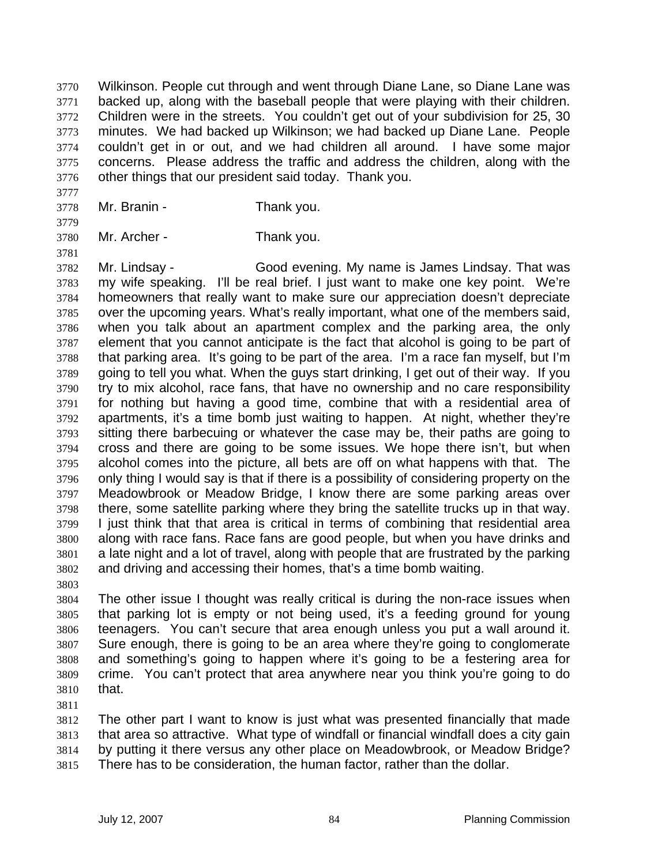Wilkinson. People cut through and went through Diane Lane, so Diane Lane was backed up, along with the baseball people that were playing with their children. Children were in the streets. You couldn't get out of your subdivision for 25, 30 minutes. We had backed up Wilkinson; we had backed up Diane Lane. People couldn't get in or out, and we had children all around. I have some major concerns. Please address the traffic and address the children, along with the other things that our president said today. Thank you.

- Mr. Branin Thank you.
- 

Mr. Archer - Thank you.

Mr. Lindsay - Good evening. My name is James Lindsay. That was my wife speaking. I'll be real brief. I just want to make one key point. We're homeowners that really want to make sure our appreciation doesn't depreciate over the upcoming years. What's really important, what one of the members said, when you talk about an apartment complex and the parking area, the only element that you cannot anticipate is the fact that alcohol is going to be part of that parking area. It's going to be part of the area. I'm a race fan myself, but I'm going to tell you what. When the guys start drinking, I get out of their way. If you try to mix alcohol, race fans, that have no ownership and no care responsibility for nothing but having a good time, combine that with a residential area of apartments, it's a time bomb just waiting to happen. At night, whether they're sitting there barbecuing or whatever the case may be, their paths are going to cross and there are going to be some issues. We hope there isn't, but when alcohol comes into the picture, all bets are off on what happens with that. The only thing I would say is that if there is a possibility of considering property on the Meadowbrook or Meadow Bridge, I know there are some parking areas over there, some satellite parking where they bring the satellite trucks up in that way. I just think that that area is critical in terms of combining that residential area along with race fans. Race fans are good people, but when you have drinks and a late night and a lot of travel, along with people that are frustrated by the parking and driving and accessing their homes, that's a time bomb waiting.

The other issue I thought was really critical is during the non-race issues when that parking lot is empty or not being used, it's a feeding ground for young teenagers. You can't secure that area enough unless you put a wall around it. Sure enough, there is going to be an area where they're going to conglomerate and something's going to happen where it's going to be a festering area for crime. You can't protect that area anywhere near you think you're going to do that.

The other part I want to know is just what was presented financially that made that area so attractive. What type of windfall or financial windfall does a city gain by putting it there versus any other place on Meadowbrook, or Meadow Bridge? There has to be consideration, the human factor, rather than the dollar.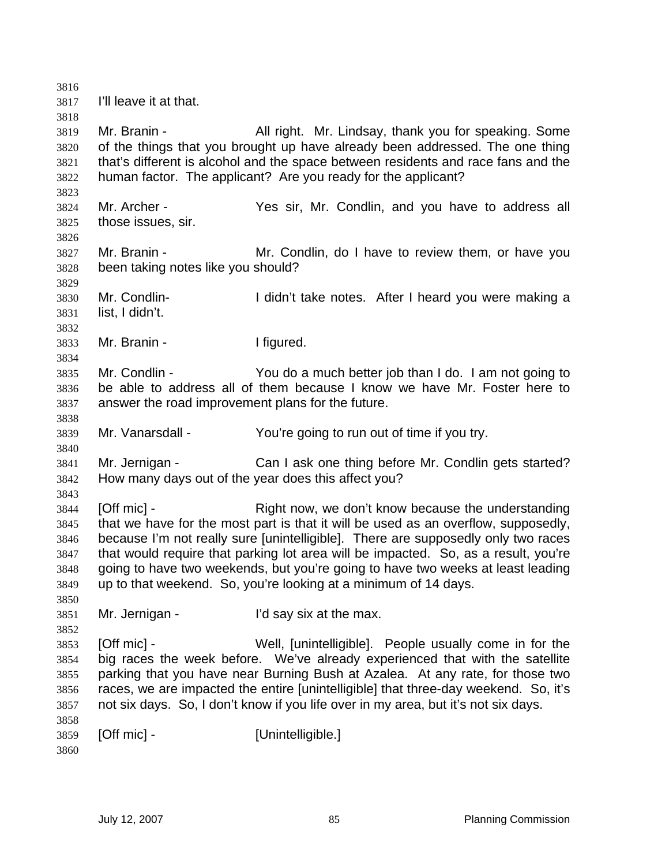I'll leave it at that. Mr. Branin - All right. Mr. Lindsay, thank you for speaking. Some of the things that you brought up have already been addressed. The one thing that's different is alcohol and the space between residents and race fans and the human factor. The applicant? Are you ready for the applicant? Mr. Archer - Yes sir, Mr. Condlin, and you have to address all those issues, sir. Mr. Branin - Mr. Condlin, do I have to review them, or have you been taking notes like you should? Mr. Condlin- I didn't take notes. After I heard you were making a list, I didn't. Mr. Branin - I figured. Mr. Condlin - You do a much better job than I do. I am not going to be able to address all of them because I know we have Mr. Foster here to answer the road improvement plans for the future. Mr. Vanarsdall - You're going to run out of time if you try. Mr. Jernigan - Can I ask one thing before Mr. Condlin gets started? How many days out of the year does this affect you? [Off mic] - Right now, we don't know because the understanding that we have for the most part is that it will be used as an overflow, supposedly, because I'm not really sure [unintelligible]. There are supposedly only two races that would require that parking lot area will be impacted. So, as a result, you're going to have two weekends, but you're going to have two weeks at least leading up to that weekend. So, you're looking at a minimum of 14 days. Mr. Jernigan - I'd say six at the max. [Off mic] - Well, [unintelligible]. People usually come in for the big races the week before. We've already experienced that with the satellite parking that you have near Burning Bush at Azalea. At any rate, for those two races, we are impacted the entire [unintelligible] that three-day weekend. So, it's not six days. So, I don't know if you life over in my area, but it's not six days. **[Off mic] - [Unintelligible.]**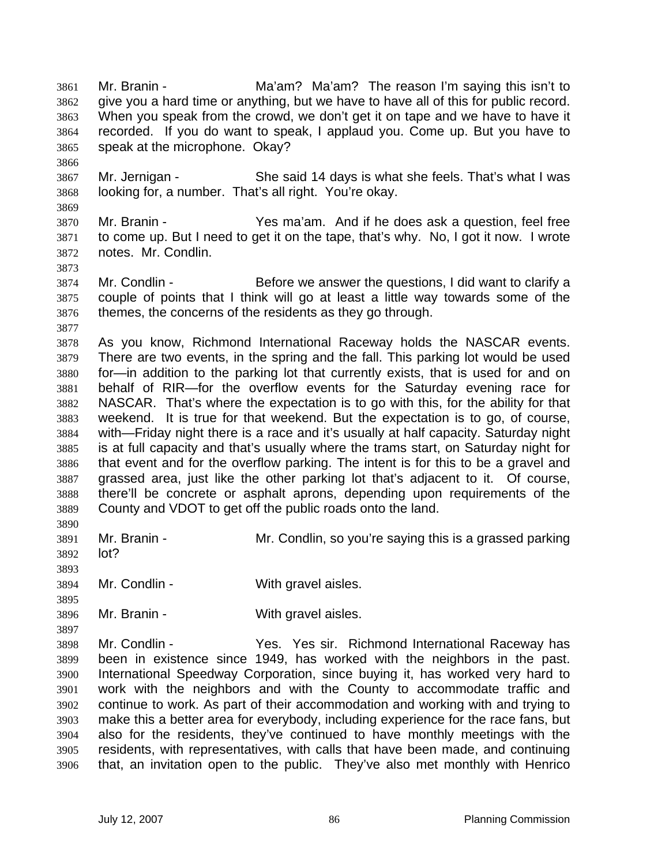Mr. Branin - Ma'am? Ma'am? The reason I'm saying this isn't to give you a hard time or anything, but we have to have all of this for public record. When you speak from the crowd, we don't get it on tape and we have to have it recorded. If you do want to speak, I applaud you. Come up. But you have to speak at the microphone. Okay?

Mr. Jernigan - She said 14 days is what she feels. That's what I was looking for, a number. That's all right. You're okay.

Mr. Branin - Yes ma'am. And if he does ask a question, feel free to come up. But I need to get it on the tape, that's why. No, I got it now. I wrote notes. Mr. Condlin.

Mr. Condlin - Before we answer the questions, I did want to clarify a couple of points that I think will go at least a little way towards some of the themes, the concerns of the residents as they go through.

As you know, Richmond International Raceway holds the NASCAR events. There are two events, in the spring and the fall. This parking lot would be used for—in addition to the parking lot that currently exists, that is used for and on behalf of RIR—for the overflow events for the Saturday evening race for NASCAR. That's where the expectation is to go with this, for the ability for that weekend. It is true for that weekend. But the expectation is to go, of course, with—Friday night there is a race and it's usually at half capacity. Saturday night is at full capacity and that's usually where the trams start, on Saturday night for that event and for the overflow parking. The intent is for this to be a gravel and grassed area, just like the other parking lot that's adjacent to it. Of course, there'll be concrete or asphalt aprons, depending upon requirements of the County and VDOT to get off the public roads onto the land. 

Mr. Branin - Mr. Condlin, so you're saying this is a grassed parking lot?

Mr. Condlin - With gravel aisles.

Mr. Branin - With gravel aisles.

Mr. Condlin - Yes. Yes sir. Richmond International Raceway has been in existence since 1949, has worked with the neighbors in the past. International Speedway Corporation, since buying it, has worked very hard to work with the neighbors and with the County to accommodate traffic and continue to work. As part of their accommodation and working with and trying to make this a better area for everybody, including experience for the race fans, but also for the residents, they've continued to have monthly meetings with the residents, with representatives, with calls that have been made, and continuing that, an invitation open to the public. They've also met monthly with Henrico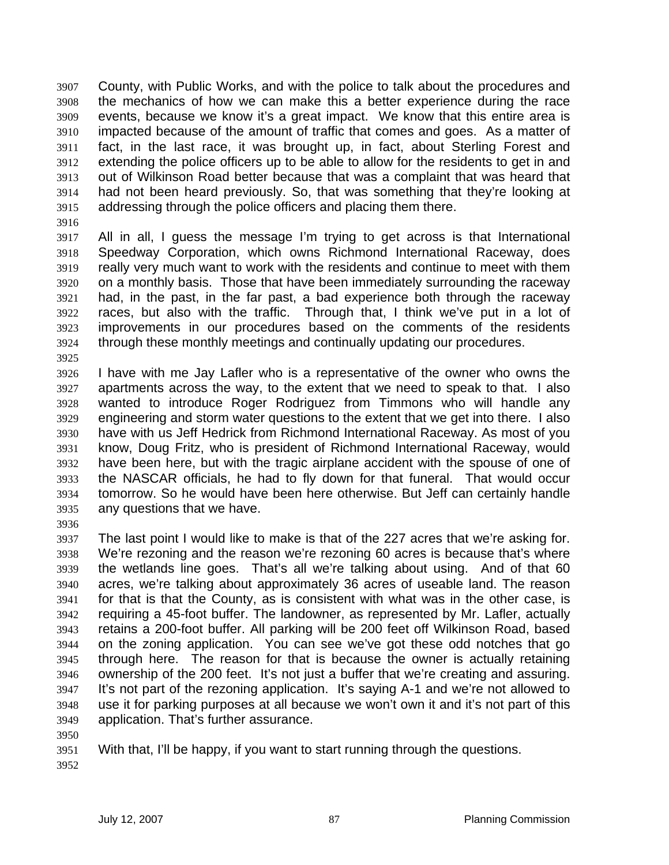County, with Public Works, and with the police to talk about the procedures and the mechanics of how we can make this a better experience during the race events, because we know it's a great impact. We know that this entire area is impacted because of the amount of traffic that comes and goes. As a matter of fact, in the last race, it was brought up, in fact, about Sterling Forest and extending the police officers up to be able to allow for the residents to get in and out of Wilkinson Road better because that was a complaint that was heard that had not been heard previously. So, that was something that they're looking at addressing through the police officers and placing them there.

All in all, I guess the message I'm trying to get across is that International Speedway Corporation, which owns Richmond International Raceway, does really very much want to work with the residents and continue to meet with them on a monthly basis. Those that have been immediately surrounding the raceway had, in the past, in the far past, a bad experience both through the raceway races, but also with the traffic. Through that, I think we've put in a lot of improvements in our procedures based on the comments of the residents through these monthly meetings and continually updating our procedures.

- I have with me Jay Lafler who is a representative of the owner who owns the apartments across the way, to the extent that we need to speak to that. I also wanted to introduce Roger Rodriguez from Timmons who will handle any engineering and storm water questions to the extent that we get into there. I also have with us Jeff Hedrick from Richmond International Raceway. As most of you know, Doug Fritz, who is president of Richmond International Raceway, would have been here, but with the tragic airplane accident with the spouse of one of the NASCAR officials, he had to fly down for that funeral. That would occur tomorrow. So he would have been here otherwise. But Jeff can certainly handle any questions that we have.
- 
- The last point I would like to make is that of the 227 acres that we're asking for. We're rezoning and the reason we're rezoning 60 acres is because that's where the wetlands line goes. That's all we're talking about using. And of that 60 acres, we're talking about approximately 36 acres of useable land. The reason for that is that the County, as is consistent with what was in the other case, is requiring a 45-foot buffer. The landowner, as represented by Mr. Lafler, actually retains a 200-foot buffer. All parking will be 200 feet off Wilkinson Road, based on the zoning application. You can see we've got these odd notches that go through here. The reason for that is because the owner is actually retaining ownership of the 200 feet. It's not just a buffer that we're creating and assuring. It's not part of the rezoning application. It's saying A-1 and we're not allowed to use it for parking purposes at all because we won't own it and it's not part of this application. That's further assurance.
- 
- With that, I'll be happy, if you want to start running through the questions.
-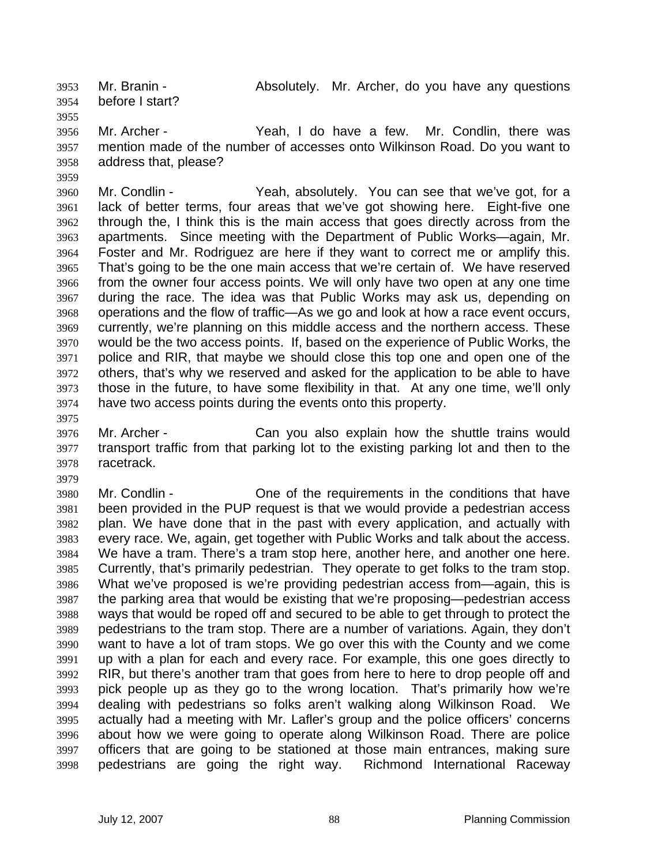Mr. Branin - Absolutely. Mr. Archer, do you have any questions before I start?

Mr. Archer - Yeah, I do have a few. Mr. Condlin, there was mention made of the number of accesses onto Wilkinson Road. Do you want to address that, please?

Mr. Condlin - Yeah, absolutely. You can see that we've got, for a lack of better terms, four areas that we've got showing here. Eight-five one through the, I think this is the main access that goes directly across from the apartments. Since meeting with the Department of Public Works—again, Mr. Foster and Mr. Rodriguez are here if they want to correct me or amplify this. That's going to be the one main access that we're certain of. We have reserved from the owner four access points. We will only have two open at any one time during the race. The idea was that Public Works may ask us, depending on operations and the flow of traffic—As we go and look at how a race event occurs, currently, we're planning on this middle access and the northern access. These would be the two access points. If, based on the experience of Public Works, the police and RIR, that maybe we should close this top one and open one of the others, that's why we reserved and asked for the application to be able to have those in the future, to have some flexibility in that. At any one time, we'll only have two access points during the events onto this property.

Mr. Archer - Can you also explain how the shuttle trains would transport traffic from that parking lot to the existing parking lot and then to the racetrack.

Mr. Condlin - One of the requirements in the conditions that have been provided in the PUP request is that we would provide a pedestrian access plan. We have done that in the past with every application, and actually with every race. We, again, get together with Public Works and talk about the access. We have a tram. There's a tram stop here, another here, and another one here. Currently, that's primarily pedestrian. They operate to get folks to the tram stop. What we've proposed is we're providing pedestrian access from—again, this is the parking area that would be existing that we're proposing—pedestrian access ways that would be roped off and secured to be able to get through to protect the pedestrians to the tram stop. There are a number of variations. Again, they don't want to have a lot of tram stops. We go over this with the County and we come up with a plan for each and every race. For example, this one goes directly to RIR, but there's another tram that goes from here to here to drop people off and pick people up as they go to the wrong location. That's primarily how we're dealing with pedestrians so folks aren't walking along Wilkinson Road. We actually had a meeting with Mr. Lafler's group and the police officers' concerns about how we were going to operate along Wilkinson Road. There are police officers that are going to be stationed at those main entrances, making sure pedestrians are going the right way. Richmond International Raceway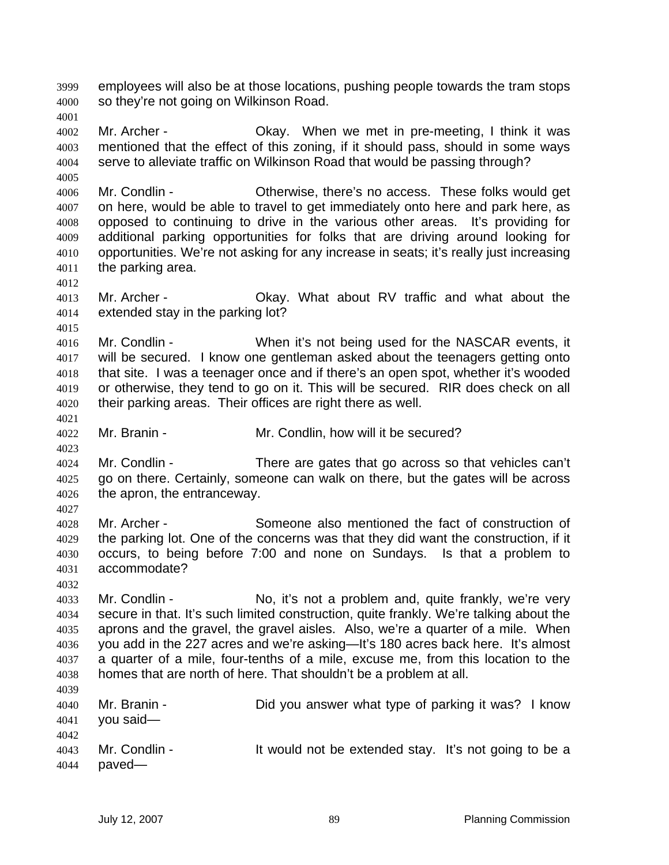employees will also be at those locations, pushing people towards the tram stops so they're not going on Wilkinson Road.

Mr. Archer - Okay. When we met in pre-meeting, I think it was mentioned that the effect of this zoning, if it should pass, should in some ways serve to alleviate traffic on Wilkinson Road that would be passing through?

Mr. Condlin - Otherwise, there's no access. These folks would get on here, would be able to travel to get immediately onto here and park here, as opposed to continuing to drive in the various other areas. It's providing for additional parking opportunities for folks that are driving around looking for opportunities. We're not asking for any increase in seats; it's really just increasing the parking area.

Mr. Archer - Okay. What about RV traffic and what about the extended stay in the parking lot?

Mr. Condlin - When it's not being used for the NASCAR events, it will be secured. I know one gentleman asked about the teenagers getting onto that site. I was a teenager once and if there's an open spot, whether it's wooded or otherwise, they tend to go on it. This will be secured. RIR does check on all their parking areas. Their offices are right there as well.

Mr. Branin - Mr. Condlin, how will it be secured?

Mr. Condlin - There are gates that go across so that vehicles can't go on there. Certainly, someone can walk on there, but the gates will be across the apron, the entranceway.

Mr. Archer - Someone also mentioned the fact of construction of the parking lot. One of the concerns was that they did want the construction, if it occurs, to being before 7:00 and none on Sundays. Is that a problem to accommodate?

Mr. Condlin - No, it's not a problem and, quite frankly, we're very secure in that. It's such limited construction, quite frankly. We're talking about the aprons and the gravel, the gravel aisles. Also, we're a quarter of a mile. When you add in the 227 acres and we're asking—It's 180 acres back here. It's almost a quarter of a mile, four-tenths of a mile, excuse me, from this location to the homes that are north of here. That shouldn't be a problem at all. 

| 4040         | Mr. Branin -<br>$4041$ you said— | Did you answer what type of parking it was? I know    |  |
|--------------|----------------------------------|-------------------------------------------------------|--|
| 4042<br>4044 | 4043 Mr. Condlin -<br>paved—     | It would not be extended stay. It's not going to be a |  |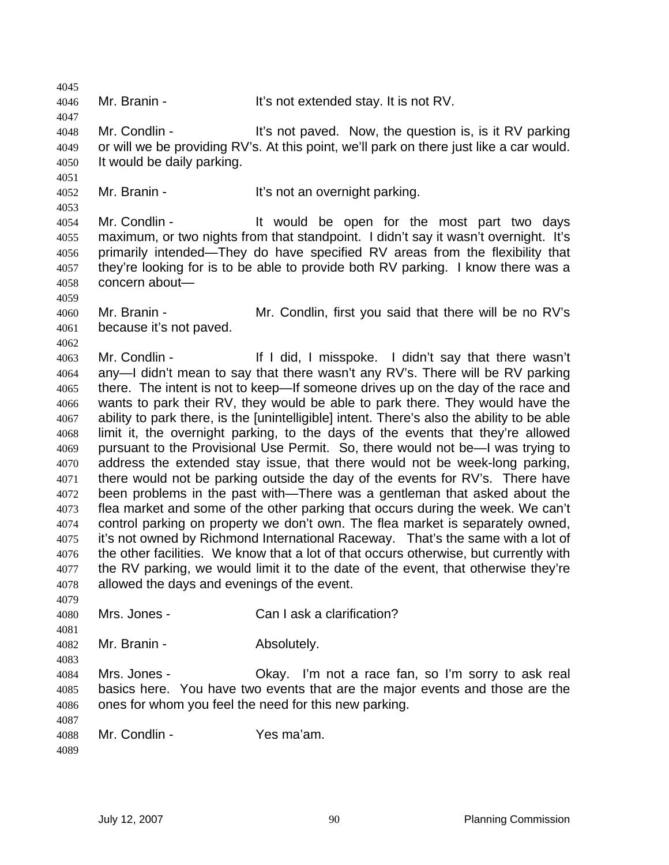Mr. Branin - It's not extended stay. It is not RV.

Mr. Condlin - It's not paved. Now, the question is, is it RV parking or will we be providing RV's. At this point, we'll park on there just like a car would. It would be daily parking.

4052 Mr. Branin - It's not an overnight parking.

Mr. Condlin - It would be open for the most part two days maximum, or two nights from that standpoint. I didn't say it wasn't overnight. It's primarily intended—They do have specified RV areas from the flexibility that they're looking for is to be able to provide both RV parking. I know there was a concern about—

Mr. Branin - Mr. Condlin, first you said that there will be no RV's because it's not paved.

Mr. Condlin - If I did, I misspoke. I didn't say that there wasn't any—I didn't mean to say that there wasn't any RV's. There will be RV parking there. The intent is not to keep—If someone drives up on the day of the race and wants to park their RV, they would be able to park there. They would have the ability to park there, is the [unintelligible] intent. There's also the ability to be able limit it, the overnight parking, to the days of the events that they're allowed pursuant to the Provisional Use Permit. So, there would not be—I was trying to address the extended stay issue, that there would not be week-long parking, there would not be parking outside the day of the events for RV's. There have been problems in the past with—There was a gentleman that asked about the flea market and some of the other parking that occurs during the week. We can't control parking on property we don't own. The flea market is separately owned, it's not owned by Richmond International Raceway. That's the same with a lot of the other facilities. We know that a lot of that occurs otherwise, but currently with the RV parking, we would limit it to the date of the event, that otherwise they're allowed the days and evenings of the event.

Mrs. Jones - Can I ask a clarification? 

Mr. Branin - Absolutely. 

Mrs. Jones - Okay. I'm not a race fan, so I'm sorry to ask real basics here. You have two events that are the major events and those are the ones for whom you feel the need for this new parking.

Mr. Condlin - Yes ma'am.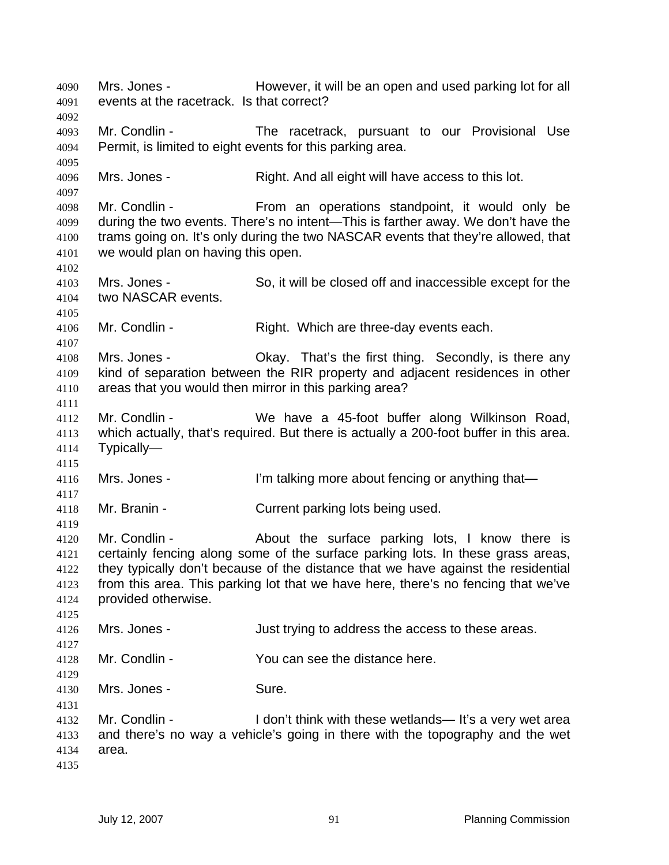Mrs. Jones - However, it will be an open and used parking lot for all events at the racetrack. Is that correct? Mr. Condlin - The racetrack, pursuant to our Provisional Use Permit, is limited to eight events for this parking area. Mrs. Jones - Right. And all eight will have access to this lot. Mr. Condlin - From an operations standpoint, it would only be during the two events. There's no intent—This is farther away. We don't have the 4100 trams going on. It's only during the two NASCAR events that they're allowed, that we would plan on having this open. Mrs. Jones - So, it will be closed off and inaccessible except for the two NASCAR events. Mr. Condlin - Right. Which are three-day events each. Mrs. Jones - Okay. That's the first thing. Secondly, is there any kind of separation between the RIR property and adjacent residences in other areas that you would then mirror in this parking area? Mr. Condlin - We have a 45-foot buffer along Wilkinson Road, which actually, that's required. But there is actually a 200-foot buffer in this area. Typically— Mrs. Jones - I'm talking more about fencing or anything that— Mr. Branin - Current parking lots being used. Mr. Condlin - About the surface parking lots, I know there is certainly fencing along some of the surface parking lots. In these grass areas, they typically don't because of the distance that we have against the residential from this area. This parking lot that we have here, there's no fencing that we've provided otherwise. Mrs. Jones - Just trying to address the access to these areas. Mr. Condlin - You can see the distance here. Mrs. Jones - Sure. Mr. Condlin - I don't think with these wetlands— It's a very wet area and there's no way a vehicle's going in there with the topography and the wet area.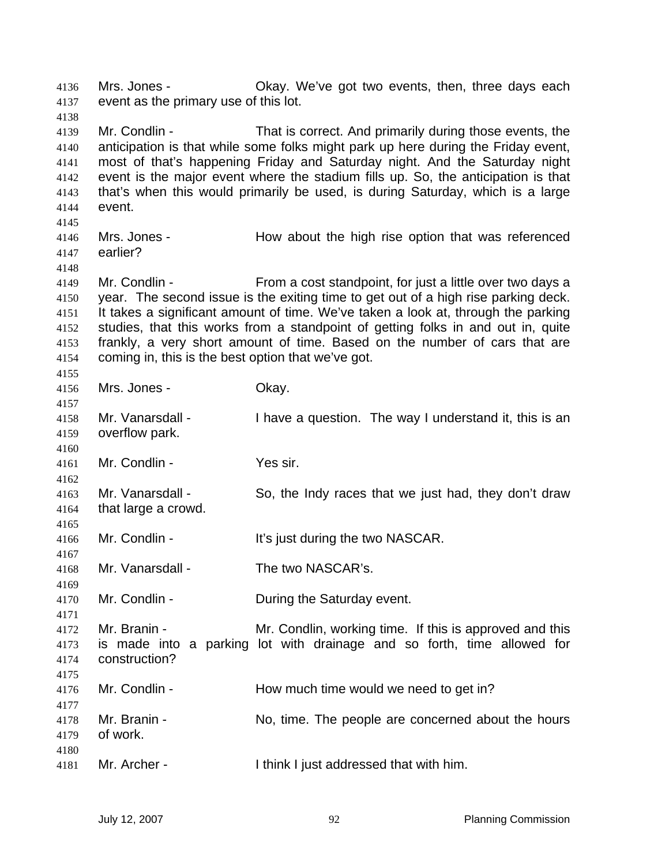Mrs. Jones - Okay. We've got two events, then, three days each event as the primary use of this lot.

Mr. Condlin - That is correct. And primarily during those events, the anticipation is that while some folks might park up here during the Friday event, most of that's happening Friday and Saturday night. And the Saturday night event is the major event where the stadium fills up. So, the anticipation is that that's when this would primarily be used, is during Saturday, which is a large event.

Mrs. Jones - How about the high rise option that was referenced earlier?

Mr. Condlin - From a cost standpoint, for just a little over two days a year. The second issue is the exiting time to get out of a high rise parking deck. It takes a significant amount of time. We've taken a look at, through the parking studies, that this works from a standpoint of getting folks in and out in, quite frankly, a very short amount of time. Based on the number of cars that are coming in, this is the best option that we've got.

 Mrs. Jones - Okay.

Mr. Vanarsdall - I have a question. The way I understand it, this is an overflow park.

- Mr. Condlin Yes sir.
- Mr. Vanarsdall So, the Indy races that we just had, they don't draw that large a crowd.
- Mr. Condlin It's just during the two NASCAR.
- Mr. Vanarsdall - The two NASCAR's.
- Mr. Condlin During the Saturday event.
- Mr. Branin Mr. Condlin, working time. If this is approved and this is made into a parking lot with drainage and so forth, time allowed for construction?
- 4176 Mr. Condlin How much time would we need to get in?
- Mr. Branin No, time. The people are concerned about the hours of work. Mr. Archer - I think I just addressed that with him.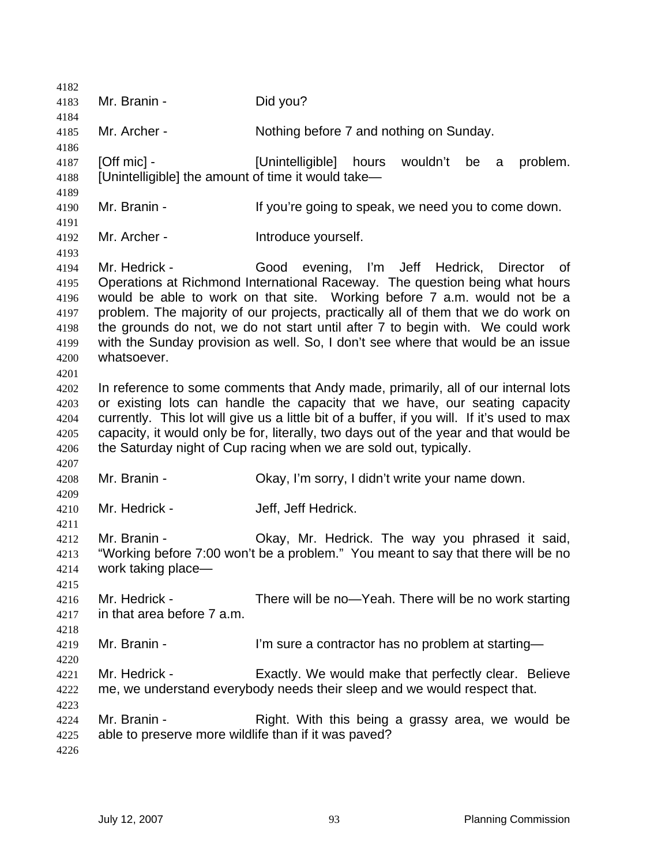| 4182         |                                                                                                                                                         |                                                                                             |  |
|--------------|---------------------------------------------------------------------------------------------------------------------------------------------------------|---------------------------------------------------------------------------------------------|--|
| 4183         | Mr. Branin -                                                                                                                                            | Did you?                                                                                    |  |
| 4184         |                                                                                                                                                         |                                                                                             |  |
| 4185         | Mr. Archer -                                                                                                                                            | Nothing before 7 and nothing on Sunday.                                                     |  |
| 4186         |                                                                                                                                                         |                                                                                             |  |
| 4187         | $[Off$ mic $]$ -                                                                                                                                        | [Unintelligible]<br>hours<br>wouldn't<br>be<br>problem.<br>a                                |  |
| 4188         | [Unintelligible] the amount of time it would take-                                                                                                      |                                                                                             |  |
| 4189         |                                                                                                                                                         |                                                                                             |  |
| 4190         | Mr. Branin -                                                                                                                                            | If you're going to speak, we need you to come down.                                         |  |
| 4191         |                                                                                                                                                         |                                                                                             |  |
| 4192         | Mr. Archer -                                                                                                                                            | Introduce yourself.                                                                         |  |
| 4193         | Mr. Hedrick -                                                                                                                                           | Director                                                                                    |  |
| 4194<br>4195 |                                                                                                                                                         | Good evening, I'm Jeff Hedrick,<br>0f                                                       |  |
| 4196         | Operations at Richmond International Raceway. The question being what hours<br>would be able to work on that site. Working before 7 a.m. would not be a |                                                                                             |  |
| 4197         |                                                                                                                                                         | problem. The majority of our projects, practically all of them that we do work on           |  |
| 4198         |                                                                                                                                                         | the grounds do not, we do not start until after 7 to begin with. We could work              |  |
| 4199         | with the Sunday provision as well. So, I don't see where that would be an issue                                                                         |                                                                                             |  |
| 4200         | whatsoever.                                                                                                                                             |                                                                                             |  |
| 4201         |                                                                                                                                                         |                                                                                             |  |
| 4202         |                                                                                                                                                         | In reference to some comments that Andy made, primarily, all of our internal lots           |  |
| 4203         |                                                                                                                                                         | or existing lots can handle the capacity that we have, our seating capacity                 |  |
| 4204         |                                                                                                                                                         | currently. This lot will give us a little bit of a buffer, if you will. If it's used to max |  |
| 4205         | capacity, it would only be for, literally, two days out of the year and that would be                                                                   |                                                                                             |  |
| 4206         |                                                                                                                                                         | the Saturday night of Cup racing when we are sold out, typically.                           |  |
| 4207         |                                                                                                                                                         |                                                                                             |  |
| 4208         | Mr. Branin -                                                                                                                                            | Okay, I'm sorry, I didn't write your name down.                                             |  |
| 4209         |                                                                                                                                                         |                                                                                             |  |
| 4210         | Mr. Hedrick -                                                                                                                                           | Jeff, Jeff Hedrick.                                                                         |  |
| 4211         |                                                                                                                                                         |                                                                                             |  |
| 4212         | Mr. Branin -                                                                                                                                            | Okay, Mr. Hedrick. The way you phrased it said,                                             |  |
| 4213         |                                                                                                                                                         | "Working before 7:00 won't be a problem." You meant to say that there will be no            |  |
| 4214         | work taking place-                                                                                                                                      |                                                                                             |  |
| 4215<br>4216 | Mr. Hedrick -                                                                                                                                           | There will be no-Yeah. There will be no work starting                                       |  |
| 4217         | in that area before 7 a.m.                                                                                                                              |                                                                                             |  |
| 4218         |                                                                                                                                                         |                                                                                             |  |
| 4219         | Mr. Branin -                                                                                                                                            | I'm sure a contractor has no problem at starting-                                           |  |
| 4220         |                                                                                                                                                         |                                                                                             |  |
| 4221         | Mr. Hedrick -                                                                                                                                           | Exactly. We would make that perfectly clear. Believe                                        |  |
| 4222         |                                                                                                                                                         | me, we understand everybody needs their sleep and we would respect that.                    |  |
| 4223         |                                                                                                                                                         |                                                                                             |  |
| 4224         | Mr. Branin -                                                                                                                                            | Right. With this being a grassy area, we would be                                           |  |
| 4225         | able to preserve more wildlife than if it was paved?                                                                                                    |                                                                                             |  |
| 4226         |                                                                                                                                                         |                                                                                             |  |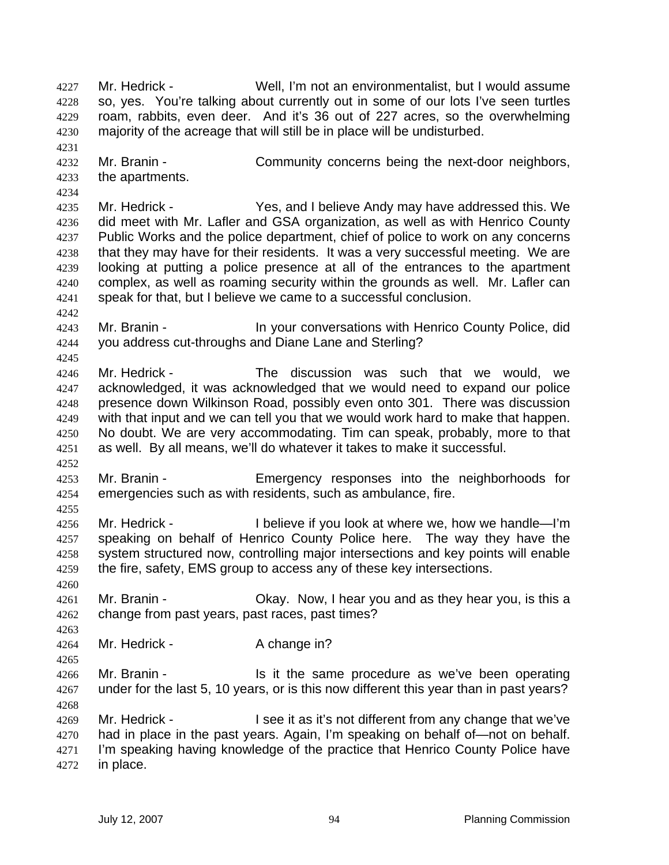Mr. Hedrick - Well, I'm not an environmentalist, but I would assume so, yes. You're talking about currently out in some of our lots I've seen turtles roam, rabbits, even deer. And it's 36 out of 227 acres, so the overwhelming majority of the acreage that will still be in place will be undisturbed.

Mr. Branin - Community concerns being the next-door neighbors, the apartments.

Mr. Hedrick - Yes, and I believe Andy may have addressed this. We did meet with Mr. Lafler and GSA organization, as well as with Henrico County Public Works and the police department, chief of police to work on any concerns 4238 that they may have for their residents. It was a very successful meeting. We are looking at putting a police presence at all of the entrances to the apartment complex, as well as roaming security within the grounds as well. Mr. Lafler can speak for that, but I believe we came to a successful conclusion.

Mr. Branin - In your conversations with Henrico County Police, did you address cut-throughs and Diane Lane and Sterling?

- Mr. Hedrick The discussion was such that we would, we acknowledged, it was acknowledged that we would need to expand our police presence down Wilkinson Road, possibly even onto 301. There was discussion with that input and we can tell you that we would work hard to make that happen. No doubt. We are very accommodating. Tim can speak, probably, more to that as well. By all means, we'll do whatever it takes to make it successful.
- Mr. Branin Emergency responses into the neighborhoods for emergencies such as with residents, such as ambulance, fire.
- Mr. Hedrick I believe if you look at where we, how we handle—I'm speaking on behalf of Henrico County Police here. The way they have the system structured now, controlling major intersections and key points will enable the fire, safety, EMS group to access any of these key intersections.
- Mr. Branin Okay. Now, I hear you and as they hear you, is this a change from past years, past races, past times?
- 4264 Mr. Hedrick A change in?

Mr. Branin - Is it the same procedure as we've been operating under for the last 5, 10 years, or is this now different this year than in past years? 

Mr. Hedrick - I see it as it's not different from any change that we've had in place in the past years. Again, I'm speaking on behalf of—not on behalf. 4271 I'm speaking having knowledge of the practice that Henrico County Police have in place.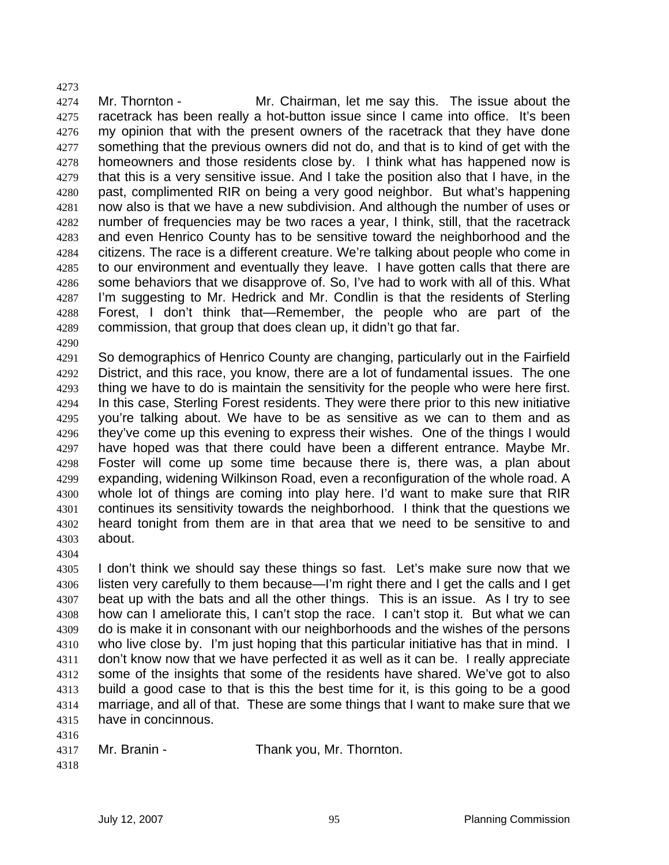4274 Mr. Thornton - Mr. Chairman, let me say this. The issue about the racetrack has been really a hot-button issue since I came into office. It's been my opinion that with the present owners of the racetrack that they have done something that the previous owners did not do, and that is to kind of get with the homeowners and those residents close by. I think what has happened now is that this is a very sensitive issue. And I take the position also that I have, in the past, complimented RIR on being a very good neighbor. But what's happening now also is that we have a new subdivision. And although the number of uses or number of frequencies may be two races a year, I think, still, that the racetrack and even Henrico County has to be sensitive toward the neighborhood and the citizens. The race is a different creature. We're talking about people who come in to our environment and eventually they leave. I have gotten calls that there are some behaviors that we disapprove of. So, I've had to work with all of this. What I'm suggesting to Mr. Hedrick and Mr. Condlin is that the residents of Sterling Forest, I don't think that—Remember, the people who are part of the commission, that group that does clean up, it didn't go that far.

So demographics of Henrico County are changing, particularly out in the Fairfield District, and this race, you know, there are a lot of fundamental issues. The one thing we have to do is maintain the sensitivity for the people who were here first. In this case, Sterling Forest residents. They were there prior to this new initiative you're talking about. We have to be as sensitive as we can to them and as 4296 they've come up this evening to express their wishes. One of the things I would have hoped was that there could have been a different entrance. Maybe Mr. Foster will come up some time because there is, there was, a plan about expanding, widening Wilkinson Road, even a reconfiguration of the whole road. A whole lot of things are coming into play here. I'd want to make sure that RIR continues its sensitivity towards the neighborhood. I think that the questions we heard tonight from them are in that area that we need to be sensitive to and about.

I don't think we should say these things so fast. Let's make sure now that we listen very carefully to them because—I'm right there and I get the calls and I get 4307 beat up with the bats and all the other things. This is an issue. As I try to see how can I ameliorate this, I can't stop the race. I can't stop it. But what we can do is make it in consonant with our neighborhoods and the wishes of the persons who live close by. I'm just hoping that this particular initiative has that in mind. I don't know now that we have perfected it as well as it can be. I really appreciate some of the insights that some of the residents have shared. We've got to also build a good case to that is this the best time for it, is this going to be a good marriage, and all of that. These are some things that I want to make sure that we have in concinnous.

 Mr. Branin - Thank you, Mr. Thornton.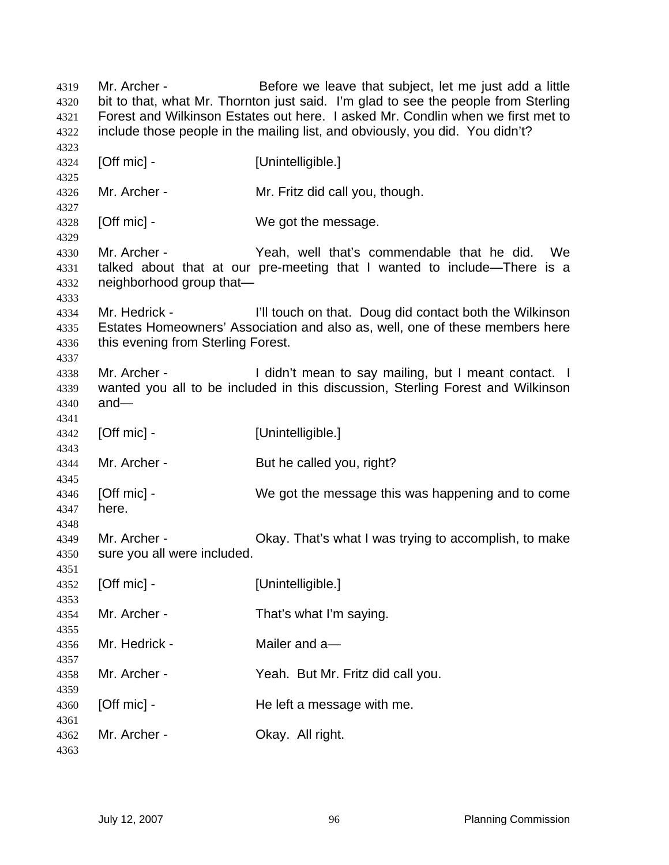Mr. Archer - Before we leave that subject, let me just add a little bit to that, what Mr. Thornton just said. I'm glad to see the people from Sterling Forest and Wilkinson Estates out here. I asked Mr. Condlin when we first met to include those people in the mailing list, and obviously, you did. You didn't? **[Off mic] - [Unintelligible.]**  Mr. Archer - Mr. Fritz did call you, though. **[Off mic] - We got the message.**  Mr. Archer - Yeah, well that's commendable that he did. We talked about that at our pre-meeting that I wanted to include—There is a neighborhood group that— Mr. Hedrick - I'll touch on that. Doug did contact both the Wilkinson Estates Homeowners' Association and also as, well, one of these members here this evening from Sterling Forest. 4338 Mr. Archer - I didn't mean to say mailing, but I meant contact. I wanted you all to be included in this discussion, Sterling Forest and Wilkinson and— **[Off mic] - [Unintelligible.]**  4344 Mr. Archer - But he called you, right? [Off mic] - We got the message this was happening and to come here. Mr. Archer - Okay. That's what I was trying to accomplish, to make sure you all were included. **[Off mic] - [Unintelligible.]**  Mr. Archer - That's what I'm saying. Mr. Hedrick - Mailer and a— Mr. Archer - Yeah. But Mr. Fritz did call you. **[Off mic] - The left a message with me.**  Mr. Archer - Okay. All right.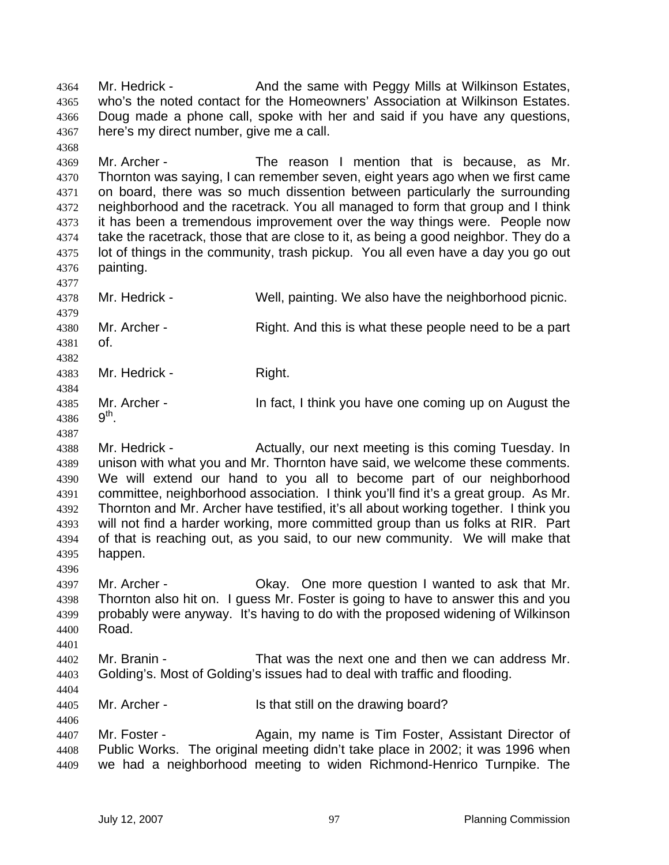Mr. Hedrick - And the same with Peggy Mills at Wilkinson Estates, who's the noted contact for the Homeowners' Association at Wilkinson Estates. Doug made a phone call, spoke with her and said if you have any questions, here's my direct number, give me a call. Mr. Archer - The reason I mention that is because, as Mr. Thornton was saying, I can remember seven, eight years ago when we first came on board, there was so much dissention between particularly the surrounding neighborhood and the racetrack. You all managed to form that group and I think it has been a tremendous improvement over the way things were. People now take the racetrack, those that are close to it, as being a good neighbor. They do a lot of things in the community, trash pickup. You all even have a day you go out painting. Mr. Hedrick - Well, painting. We also have the neighborhood picnic. Mr. Archer - Right. And this is what these people need to be a part of. 4383 Mr. Hedrick - Right. Mr. Archer - In fact, I think you have one coming up on August the 4386  $9^{th}$ . 4388 Mr. Hedrick - Actually, our next meeting is this coming Tuesday. In unison with what you and Mr. Thornton have said, we welcome these comments. We will extend our hand to you all to become part of our neighborhood committee, neighborhood association. I think you'll find it's a great group. As Mr. Thornton and Mr. Archer have testified, it's all about working together. I think you will not find a harder working, more committed group than us folks at RIR. Part of that is reaching out, as you said, to our new community. We will make that happen. Mr. Archer - Okay. One more question I wanted to ask that Mr. Thornton also hit on. I guess Mr. Foster is going to have to answer this and you probably were anyway. It's having to do with the proposed widening of Wilkinson Road. Mr. Branin - That was the next one and then we can address Mr. Golding's. Most of Golding's issues had to deal with traffic and flooding. Mr. Archer - Is that still on the drawing board? 4407 Mr. Foster - Again, my name is Tim Foster, Assistant Director of Public Works. The original meeting didn't take place in 2002; it was 1996 when we had a neighborhood meeting to widen Richmond-Henrico Turnpike. The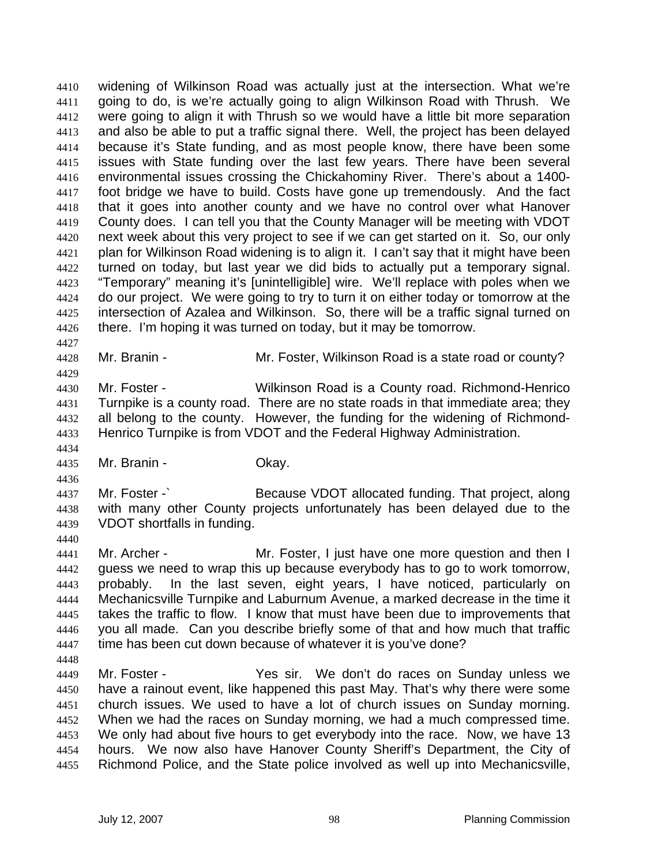widening of Wilkinson Road was actually just at the intersection. What we're going to do, is we're actually going to align Wilkinson Road with Thrush. We were going to align it with Thrush so we would have a little bit more separation and also be able to put a traffic signal there. Well, the project has been delayed because it's State funding, and as most people know, there have been some issues with State funding over the last few years. There have been several environmental issues crossing the Chickahominy River. There's about a 1400- foot bridge we have to build. Costs have gone up tremendously. And the fact that it goes into another county and we have no control over what Hanover County does. I can tell you that the County Manager will be meeting with VDOT next week about this very project to see if we can get started on it. So, our only plan for Wilkinson Road widening is to align it. I can't say that it might have been turned on today, but last year we did bids to actually put a temporary signal. "Temporary" meaning it's [unintelligible] wire. We'll replace with poles when we do our project. We were going to try to turn it on either today or tomorrow at the intersection of Azalea and Wilkinson. So, there will be a traffic signal turned on there. I'm hoping it was turned on today, but it may be tomorrow.

Mr. Branin - Mr. Foster, Wilkinson Road is a state road or county?

Mr. Foster - Wilkinson Road is a County road. Richmond-Henrico Turnpike is a county road. There are no state roads in that immediate area; they all belong to the county. However, the funding for the widening of Richmond-Henrico Turnpike is from VDOT and the Federal Highway Administration.

Mr. Branin - Okay.

Mr. Foster -` Because VDOT allocated funding. That project, along with many other County projects unfortunately has been delayed due to the VDOT shortfalls in funding.

- Mr. Archer Mr. Foster, I just have one more question and then I guess we need to wrap this up because everybody has to go to work tomorrow, probably. In the last seven, eight years, I have noticed, particularly on Mechanicsville Turnpike and Laburnum Avenue, a marked decrease in the time it takes the traffic to flow. I know that must have been due to improvements that you all made. Can you describe briefly some of that and how much that traffic time has been cut down because of whatever it is you've done?
- Mr. Foster Yes sir. We don't do races on Sunday unless we have a rainout event, like happened this past May. That's why there were some church issues. We used to have a lot of church issues on Sunday morning. When we had the races on Sunday morning, we had a much compressed time. We only had about five hours to get everybody into the race. Now, we have 13 hours. We now also have Hanover County Sheriff's Department, the City of Richmond Police, and the State police involved as well up into Mechanicsville,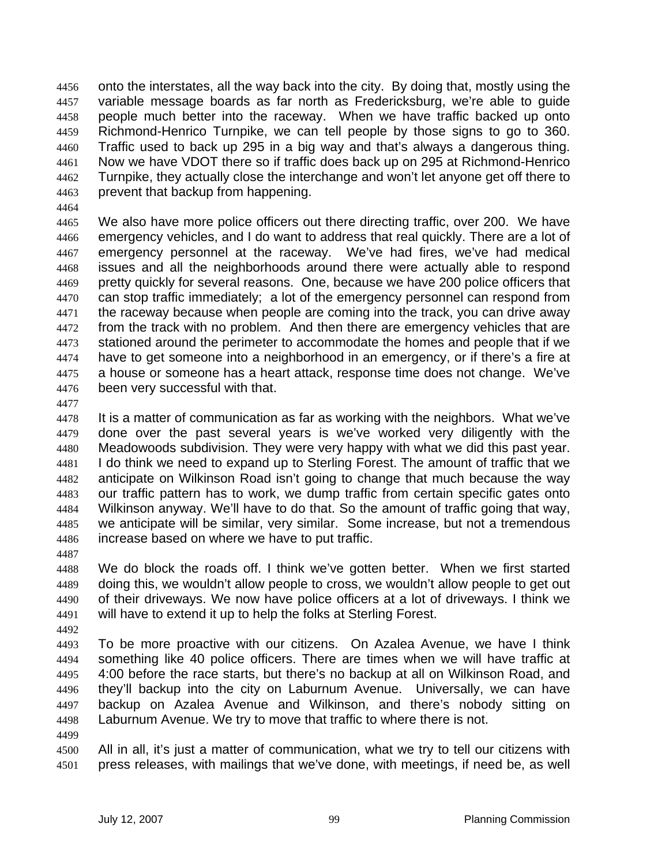onto the interstates, all the way back into the city. By doing that, mostly using the variable message boards as far north as Fredericksburg, we're able to guide people much better into the raceway. When we have traffic backed up onto Richmond-Henrico Turnpike, we can tell people by those signs to go to 360. Traffic used to back up 295 in a big way and that's always a dangerous thing. Now we have VDOT there so if traffic does back up on 295 at Richmond-Henrico Turnpike, they actually close the interchange and won't let anyone get off there to prevent that backup from happening.

We also have more police officers out there directing traffic, over 200. We have emergency vehicles, and I do want to address that real quickly. There are a lot of emergency personnel at the raceway. We've had fires, we've had medical issues and all the neighborhoods around there were actually able to respond pretty quickly for several reasons. One, because we have 200 police officers that can stop traffic immediately; a lot of the emergency personnel can respond from the raceway because when people are coming into the track, you can drive away 4472 from the track with no problem. And then there are emergency vehicles that are stationed around the perimeter to accommodate the homes and people that if we have to get someone into a neighborhood in an emergency, or if there's a fire at a house or someone has a heart attack, response time does not change. We've been very successful with that.

It is a matter of communication as far as working with the neighbors. What we've done over the past several years is we've worked very diligently with the Meadowoods subdivision. They were very happy with what we did this past year. I do think we need to expand up to Sterling Forest. The amount of traffic that we anticipate on Wilkinson Road isn't going to change that much because the way our traffic pattern has to work, we dump traffic from certain specific gates onto Wilkinson anyway. We'll have to do that. So the amount of traffic going that way, we anticipate will be similar, very similar. Some increase, but not a tremendous increase based on where we have to put traffic. 

We do block the roads off. I think we've gotten better. When we first started doing this, we wouldn't allow people to cross, we wouldn't allow people to get out of their driveways. We now have police officers at a lot of driveways. I think we will have to extend it up to help the folks at Sterling Forest.

To be more proactive with our citizens. On Azalea Avenue, we have I think something like 40 police officers. There are times when we will have traffic at 4:00 before the race starts, but there's no backup at all on Wilkinson Road, and they'll backup into the city on Laburnum Avenue. Universally, we can have backup on Azalea Avenue and Wilkinson, and there's nobody sitting on Laburnum Avenue. We try to move that traffic to where there is not.

All in all, it's just a matter of communication, what we try to tell our citizens with press releases, with mailings that we've done, with meetings, if need be, as well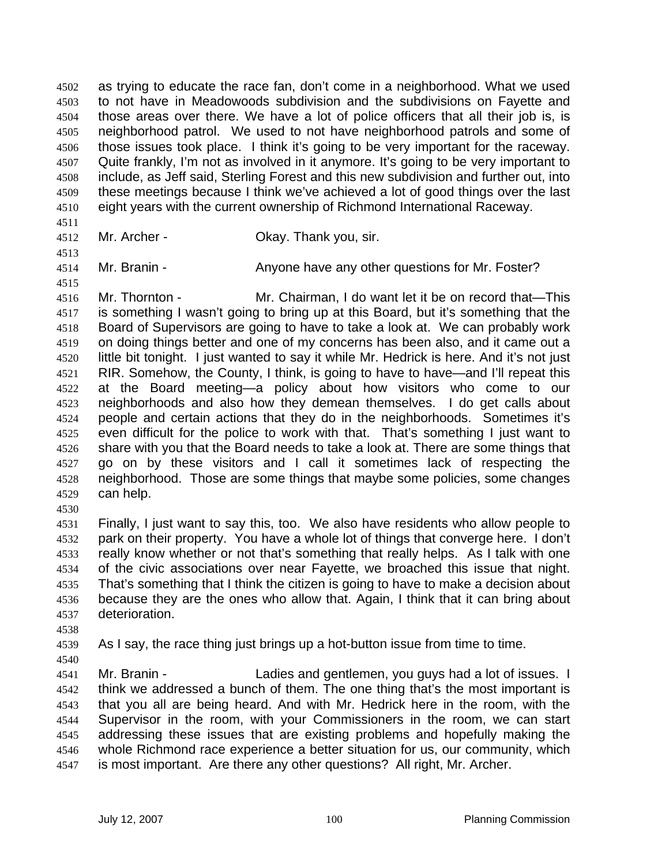as trying to educate the race fan, don't come in a neighborhood. What we used to not have in Meadowoods subdivision and the subdivisions on Fayette and those areas over there. We have a lot of police officers that all their job is, is neighborhood patrol. We used to not have neighborhood patrols and some of those issues took place. I think it's going to be very important for the raceway. Quite frankly, I'm not as involved in it anymore. It's going to be very important to include, as Jeff said, Sterling Forest and this new subdivision and further out, into these meetings because I think we've achieved a lot of good things over the last eight years with the current ownership of Richmond International Raceway.

- 
- Mr. Archer Okay. Thank you, sir.

Mr. Branin - Anyone have any other questions for Mr. Foster?

- Mr. Thornton Mr. Chairman, I do want let it be on record that—This is something I wasn't going to bring up at this Board, but it's something that the Board of Supervisors are going to have to take a look at. We can probably work on doing things better and one of my concerns has been also, and it came out a little bit tonight. I just wanted to say it while Mr. Hedrick is here. And it's not just RIR. Somehow, the County, I think, is going to have to have—and I'll repeat this at the Board meeting—a policy about how visitors who come to our neighborhoods and also how they demean themselves. I do get calls about people and certain actions that they do in the neighborhoods. Sometimes it's even difficult for the police to work with that. That's something I just want to share with you that the Board needs to take a look at. There are some things that go on by these visitors and I call it sometimes lack of respecting the neighborhood. Those are some things that maybe some policies, some changes can help.
- 

Finally, I just want to say this, too. We also have residents who allow people to park on their property. You have a whole lot of things that converge here. I don't really know whether or not that's something that really helps. As I talk with one of the civic associations over near Fayette, we broached this issue that night. That's something that I think the citizen is going to have to make a decision about because they are the ones who allow that. Again, I think that it can bring about deterioration.

- 
- 

As I say, the race thing just brings up a hot-button issue from time to time.

Mr. Branin - Ladies and gentlemen, you guys had a lot of issues. I think we addressed a bunch of them. The one thing that's the most important is that you all are being heard. And with Mr. Hedrick here in the room, with the Supervisor in the room, with your Commissioners in the room, we can start addressing these issues that are existing problems and hopefully making the whole Richmond race experience a better situation for us, our community, which is most important. Are there any other questions? All right, Mr. Archer.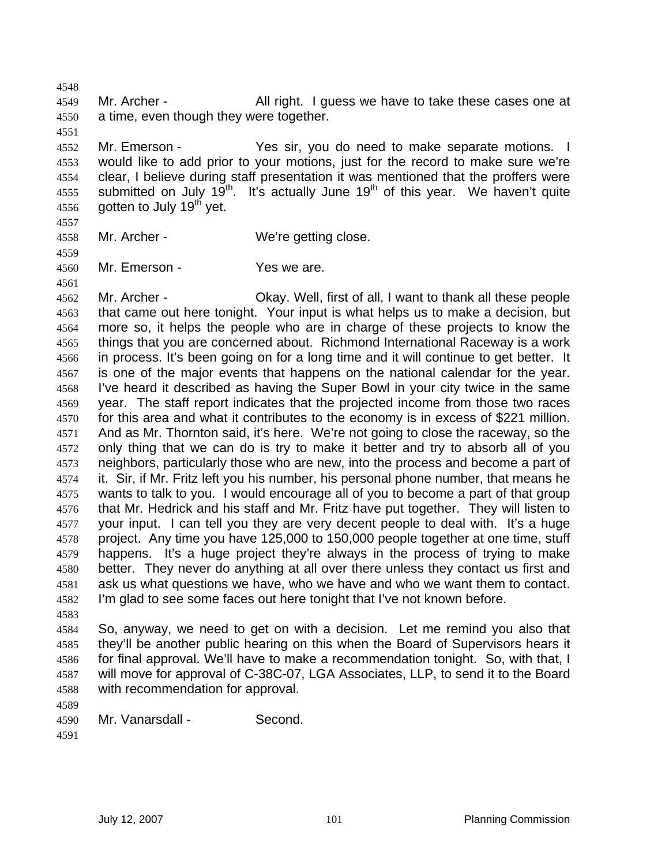4549 Mr. Archer - All right. I guess we have to take these cases one at a time, even though they were together.

Mr. Emerson - Yes sir, you do need to make separate motions. I would like to add prior to your motions, just for the record to make sure we're clear, I believe during staff presentation it was mentioned that the proffers were 4555 submitted on July  $19^{th}$ . It's actually June  $19^{th}$  of this year. We haven't quite 4556 gotten to July 19<sup>th</sup> yet.

Mr. Archer - We're getting close. 

Mr. Emerson - Yes we are.

 Mr. Archer - Okay. Well, first of all, I want to thank all these people that came out here tonight. Your input is what helps us to make a decision, but more so, it helps the people who are in charge of these projects to know the things that you are concerned about. Richmond International Raceway is a work in process. It's been going on for a long time and it will continue to get better. It is one of the major events that happens on the national calendar for the year. I've heard it described as having the Super Bowl in your city twice in the same year. The staff report indicates that the projected income from those two races for this area and what it contributes to the economy is in excess of \$221 million. And as Mr. Thornton said, it's here. We're not going to close the raceway, so the only thing that we can do is try to make it better and try to absorb all of you neighbors, particularly those who are new, into the process and become a part of it. Sir, if Mr. Fritz left you his number, his personal phone number, that means he wants to talk to you. I would encourage all of you to become a part of that group that Mr. Hedrick and his staff and Mr. Fritz have put together. They will listen to your input. I can tell you they are very decent people to deal with. It's a huge project. Any time you have 125,000 to 150,000 people together at one time, stuff happens. It's a huge project they're always in the process of trying to make better. They never do anything at all over there unless they contact us first and ask us what questions we have, who we have and who we want them to contact. I'm glad to see some faces out here tonight that I've not known before.

So, anyway, we need to get on with a decision. Let me remind you also that they'll be another public hearing on this when the Board of Supervisors hears it for final approval. We'll have to make a recommendation tonight. So, with that, I will move for approval of C-38C-07, LGA Associates, LLP, to send it to the Board with recommendation for approval.

Mr. Vanarsdall - Second.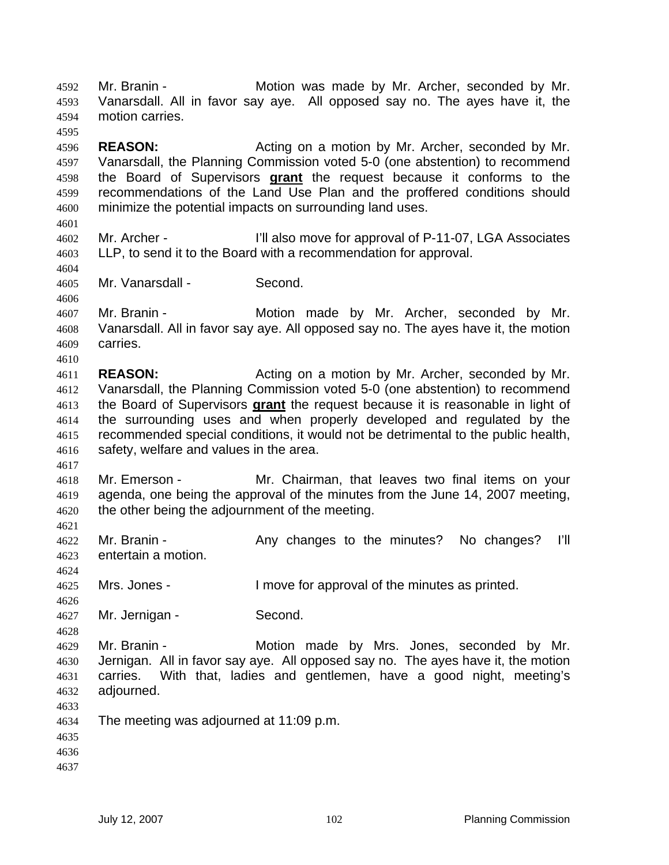Mr. Branin - Motion was made by Mr. Archer, seconded by Mr. Vanarsdall. All in favor say aye. All opposed say no. The ayes have it, the motion carries. 

**REASON:** Acting on a motion by Mr. Archer, seconded by Mr. Vanarsdall, the Planning Commission voted 5-0 (one abstention) to recommend the Board of Supervisors **grant** the request because it conforms to the recommendations of the Land Use Plan and the proffered conditions should minimize the potential impacts on surrounding land uses.

Mr. Archer - I'll also move for approval of P-11-07, LGA Associates LLP, to send it to the Board with a recommendation for approval.

Mr. Vanarsdall - Second.

Mr. Branin - Motion made by Mr. Archer, seconded by Mr. Vanarsdall. All in favor say aye. All opposed say no. The ayes have it, the motion carries.

**REASON:** Acting on a motion by Mr. Archer, seconded by Mr. Vanarsdall, the Planning Commission voted 5-0 (one abstention) to recommend the Board of Supervisors **grant** the request because it is reasonable in light of the surrounding uses and when properly developed and regulated by the recommended special conditions, it would not be detrimental to the public health, safety, welfare and values in the area.

Mr. Emerson - Mr. Chairman, that leaves two final items on your agenda, one being the approval of the minutes from the June 14, 2007 meeting, the other being the adjournment of the meeting.

Mr. Branin - Any changes to the minutes? No changes? I'll entertain a motion.

Mrs. Jones - I move for approval of the minutes as printed.

Mr. Jernigan - Second.

Mr. Branin - Motion made by Mrs. Jones, seconded by Mr. Jernigan. All in favor say aye. All opposed say no. The ayes have it, the motion carries. With that, ladies and gentlemen, have a good night, meeting's adjourned.

- 
- The meeting was adjourned at 11:09 p.m.
- 
- 
-